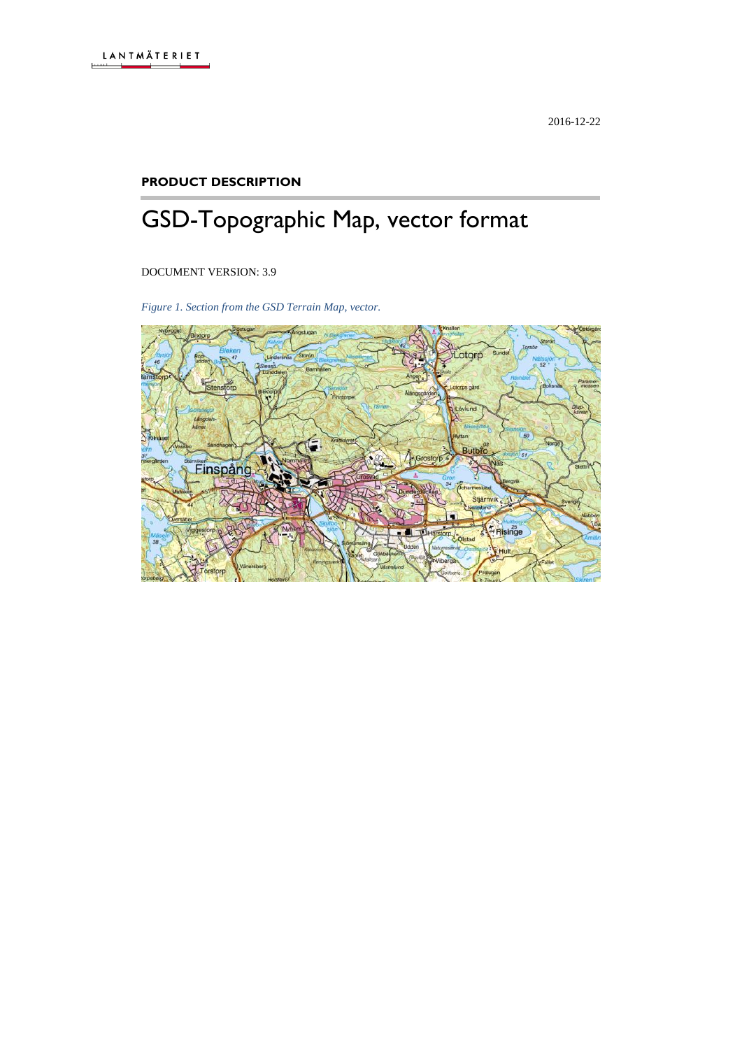#### **PRODUCT DESCRIPTION**

# GSD-Topographic Map, vector format

DOCUMENT VERSION: 3.9

*Figure 1. Section from the GSD Terrain Map, vector.*

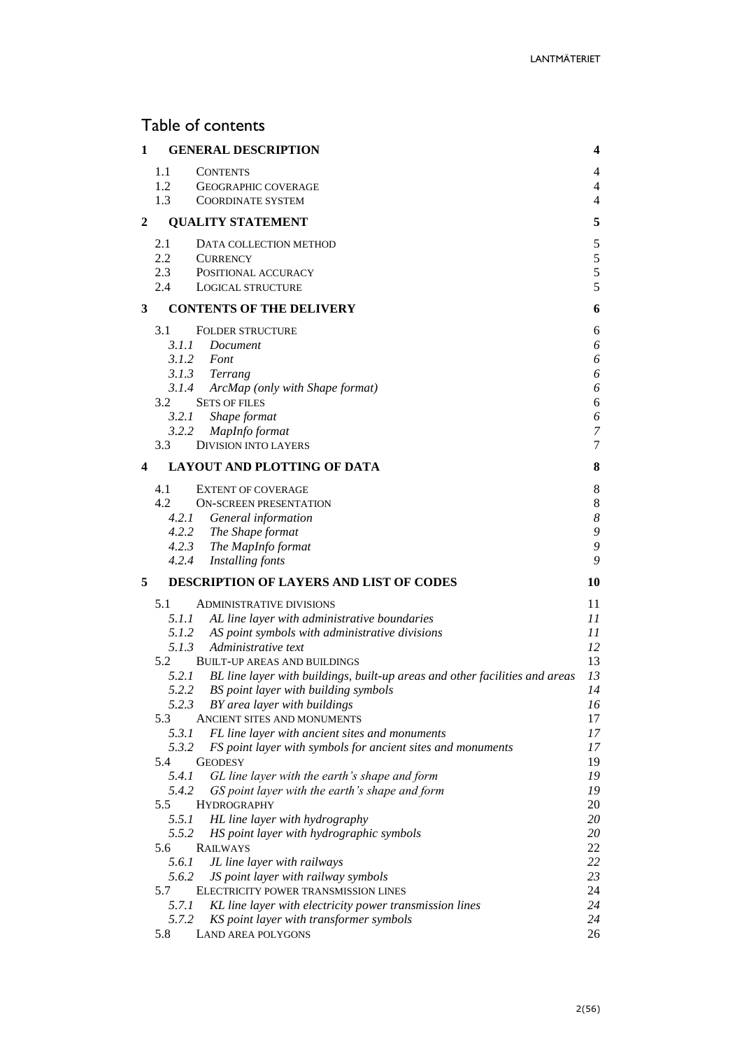# Table of contents

| 1 |              | <b>GENERAL DESCRIPTION</b>                                                  | 4                |
|---|--------------|-----------------------------------------------------------------------------|------------------|
|   | 1.1          | <b>CONTENTS</b>                                                             | 4                |
|   | 1.2          | <b>GEOGRAPHIC COVERAGE</b>                                                  | 4                |
|   | 1.3          | <b>COORDINATE SYSTEM</b>                                                    | 4                |
| 2 |              | <b>QUALITY STATEMENT</b>                                                    | 5                |
|   | 2.1          | DATA COLLECTION METHOD                                                      | $\sqrt{5}$       |
|   | 2.2          | <b>CURRENCY</b>                                                             | 5                |
|   | 2.3          | POSITIONAL ACCURACY                                                         | 5                |
|   | 2.4          | <b>LOGICAL STRUCTURE</b>                                                    | 5                |
| 3 |              | <b>CONTENTS OF THE DELIVERY</b>                                             | 6                |
|   |              |                                                                             |                  |
|   | 3.1          | <b>FOLDER STRUCTURE</b><br>3.1.1 Document                                   | 6                |
|   |              | 3.1.2 Font                                                                  | 6<br>6           |
|   |              | 3.1.3 Terrang                                                               | 6                |
|   |              | 3.1.4 ArcMap (only with Shape format)                                       | 6                |
|   | 3.2          | <b>SETS OF FILES</b>                                                        | 6                |
|   | 3.2.1        | Shape format                                                                | 6                |
|   | 3.2.2        | MapInfo format                                                              | $\boldsymbol{7}$ |
|   | 3.3          | <b>DIVISION INTO LAYERS</b>                                                 | 7                |
| 4 |              | LAYOUT AND PLOTTING OF DATA                                                 | 8                |
|   | 4.1          | <b>EXTENT OF COVERAGE</b>                                                   | $8\phantom{1}$   |
|   | 4.2          | <b>ON-SCREEN PRESENTATION</b>                                               | $8\phantom{1}$   |
|   |              | 4.2.1 General information                                                   | $\boldsymbol{8}$ |
|   |              | 4.2.2 The Shape format                                                      | 9                |
|   |              | 4.2.3 The MapInfo format                                                    | 9                |
|   |              | 4.2.4 Installing fonts                                                      | 9                |
| 5 |              | <b>DESCRIPTION OF LAYERS AND LIST OF CODES</b>                              | 10               |
|   | 5.1          | <b>ADMINISTRATIVE DIVISIONS</b>                                             | 11               |
|   | 5.1.1        | AL line layer with administrative boundaries                                | 11               |
|   |              | 5.1.2 AS point symbols with administrative divisions                        | 11               |
|   | 5.1.3        | Administrative text                                                         | 12               |
|   | 5.2          | <b>BUILT-UP AREAS AND BUILDINGS</b>                                         | 13               |
|   | 5.2.1        | BL line layer with buildings, built-up areas and other facilities and areas | 13               |
|   | 5.2.2        | BS point layer with building symbols                                        | 14               |
|   | 5.2.3        | BY area layer with buildings                                                | 16               |
|   | 5.3          | ANCIENT SITES AND MONUMENTS                                                 | 17               |
|   | 5.3.1        | FL line layer with ancient sites and monuments                              | 17               |
|   | 5.3.2        | FS point layer with symbols for ancient sites and monuments                 | 17               |
|   | 5.4          | <b>GEODESY</b>                                                              | 19               |
|   | 5.4.1        | GL line layer with the earth's shape and form                               | 19               |
|   | 5.4.2        | GS point layer with the earth's shape and form                              | 19               |
|   | 5.5          | <b>HYDROGRAPHY</b>                                                          | 20               |
|   | 5.5.1        | HL line layer with hydrography                                              | 20               |
|   | 5.5.2<br>5.6 | HS point layer with hydrographic symbols<br><b>RAILWAYS</b>                 | 20<br>22         |
|   | 5.6.1        | JL line layer with railways                                                 | 22               |
|   | 5.6.2        | JS point layer with railway symbols                                         | 23               |
|   | 5.7          | ELECTRICITY POWER TRANSMISSION LINES                                        | 24               |
|   | 5.7.1        | KL line layer with electricity power transmission lines                     | 24               |
|   |              |                                                                             | 24               |
|   | 5.7.2        | KS point layer with transformer symbols                                     |                  |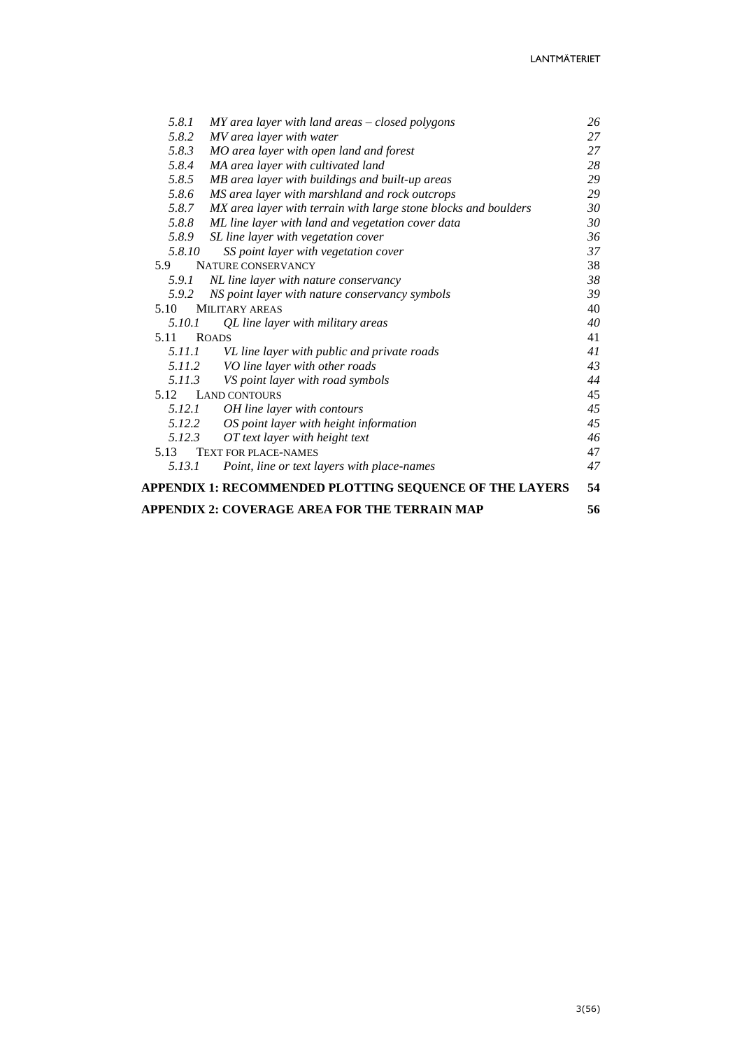| 5.8.1  | $MY$ area layer with land areas $-$ closed polygons             | 26 |
|--------|-----------------------------------------------------------------|----|
| 5.8.2  | MV area layer with water                                        | 27 |
| 5.8.3  | MO area layer with open land and forest                         | 27 |
| 5.8.4  | MA area layer with cultivated land                              | 28 |
| 5.8.5  | MB area layer with buildings and built-up areas                 | 29 |
| 5.8.6  | MS area layer with marshland and rock outcrops                  | 29 |
| 5.8.7  | MX area layer with terrain with large stone blocks and boulders | 30 |
| 5.8.8  | ML line layer with land and vegetation cover data               | 30 |
| 5.8.9  | SL line layer with vegetation cover                             | 36 |
| 5.8.10 | SS point layer with vegetation cover                            | 37 |
| 5.9    | <b>NATURE CONSERVANCY</b>                                       | 38 |
| 5.9.1  | NL line layer with nature conservancy                           | 38 |
| 5.9.2  | NS point layer with nature conservancy symbols                  | 39 |
| 5.10   | <b>MILITARY AREAS</b>                                           | 40 |
| 5.10.1 | QL line layer with military areas                               | 40 |
| 5.11   | <b>ROADS</b>                                                    | 41 |
| 5.11.1 | VL line layer with public and private roads                     | 41 |
| 5.11.2 | VO line layer with other roads                                  | 43 |
| 5.11.3 | VS point layer with road symbols                                | 44 |
| 5.12   | <b>LAND CONTOURS</b>                                            | 45 |
| 5.12.1 | OH line layer with contours                                     | 45 |
| 5.12.2 | OS point layer with height information                          | 45 |
| 5.12.3 | OT text layer with height text                                  | 46 |
| 5.13   | <b>TEXT FOR PLACE-NAMES</b>                                     | 47 |
| 5.13.1 | Point, line or text layers with place-names                     | 47 |
|        | APPENDIX 1: RECOMMENDED PLOTTING SEQUENCE OF THE LAYERS         | 54 |
|        | APPENDIX 2: COVERAGE AREA FOR THE TERRAIN MAP                   | 56 |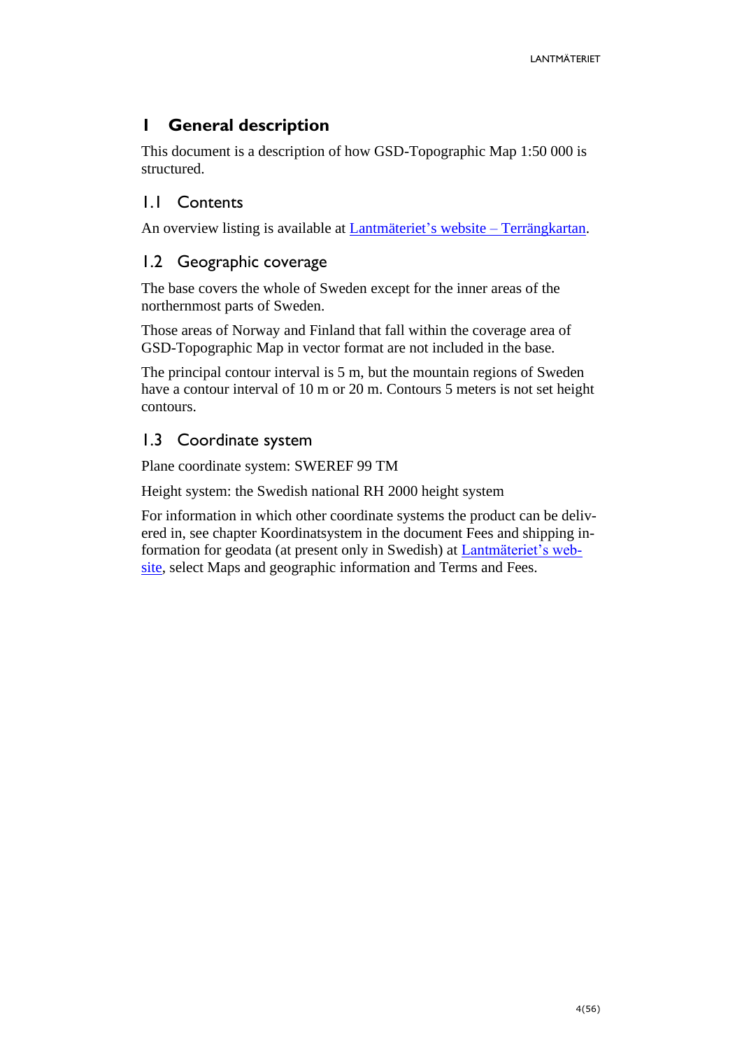# <span id="page-3-0"></span>**1 General description**

This document is a description of how GSD-Topographic Map 1:50 000 is structured.

# <span id="page-3-1"></span>1.1 Contents

An overview listing is available at [Lantmäteriet's website](https://www.lantmateriet.se/sv/Kartor-och-geografisk-information/geodataprodukter/produktlista/terrangkartan/#steg=3) – Terrängkartan.

# <span id="page-3-2"></span>1.2 Geographic coverage

The base covers the whole of Sweden except for the inner areas of the northernmost parts of Sweden.

Those areas of Norway and Finland that fall within the coverage area of GSD-Topographic Map in vector format are not included in the base.

The principal contour interval is 5 m, but the mountain regions of Sweden have a contour interval of 10 m or 20 m. Contours 5 meters is not set height contours.

# <span id="page-3-3"></span>1.3 Coordinate system

Plane coordinate system: SWEREF 99 TM

Height system: the Swedish national RH 2000 height system

For information in which other coordinate systems the product can be delivered in, see chapter Koordinatsystem in the document Fees and shipping information for geodata (at present only in Swedish) at [Lantmäteriet's web](http://www.lantmateriet.se/)[site,](http://www.lantmateriet.se/) select Maps and geographic information and Terms and Fees.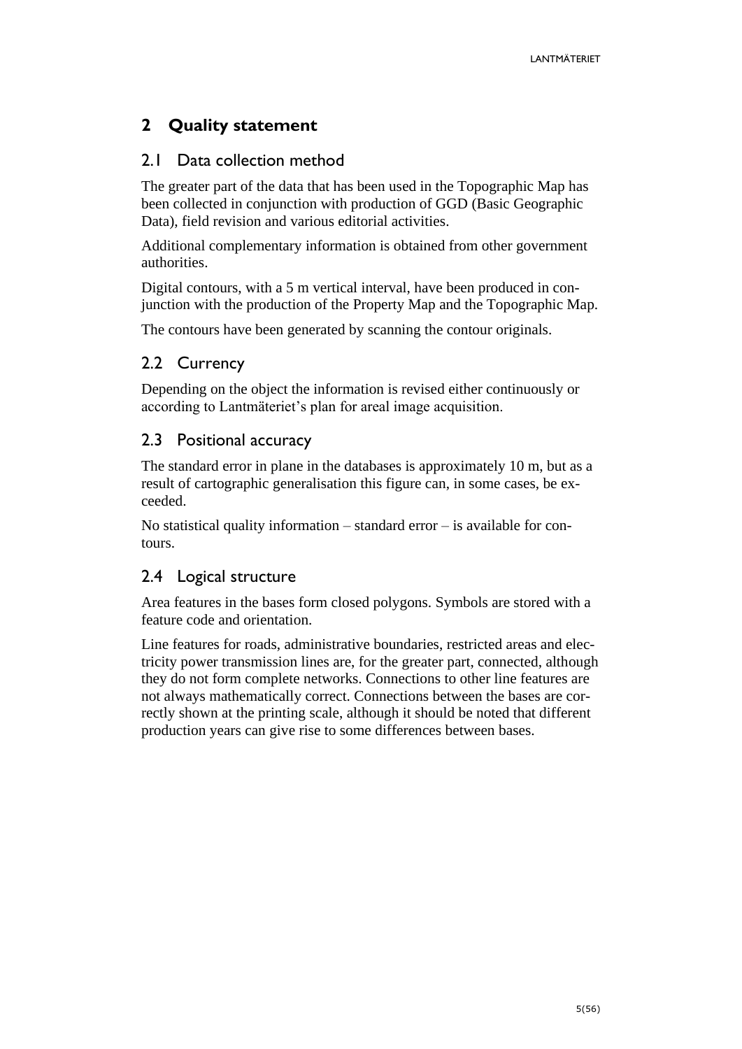# <span id="page-4-0"></span>**2 Quality statement**

# <span id="page-4-1"></span>2.1 Data collection method

The greater part of the data that has been used in the Topographic Map has been collected in conjunction with production of GGD (Basic Geographic Data), field revision and various editorial activities.

Additional complementary information is obtained from other government authorities.

Digital contours, with a 5 m vertical interval, have been produced in conjunction with the production of the Property Map and the Topographic Map.

The contours have been generated by scanning the contour originals.

# <span id="page-4-2"></span>2.2 Currency

Depending on the object the information is revised either continuously or according to Lantmäteriet's plan for areal image acquisition.

### <span id="page-4-3"></span>2.3 Positional accuracy

The standard error in plane in the databases is approximately 10 m, but as a result of cartographic generalisation this figure can, in some cases, be exceeded.

No statistical quality information – standard error – is available for contours.

# <span id="page-4-4"></span>2.4 Logical structure

Area features in the bases form closed polygons. Symbols are stored with a feature code and orientation.

Line features for roads, administrative boundaries, restricted areas and electricity power transmission lines are, for the greater part, connected, although they do not form complete networks. Connections to other line features are not always mathematically correct. Connections between the bases are correctly shown at the printing scale, although it should be noted that different production years can give rise to some differences between bases.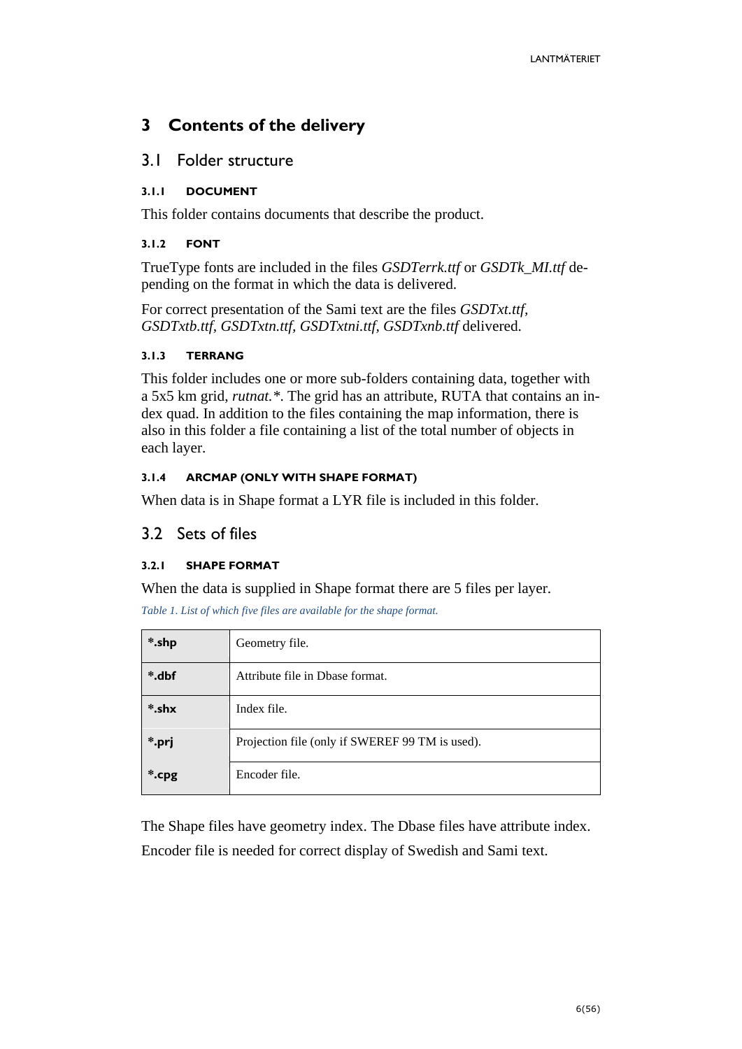# <span id="page-5-0"></span>**3 Contents of the delivery**

### <span id="page-5-1"></span>3.1 Folder structure

### <span id="page-5-2"></span>**3.1.1 DOCUMENT**

This folder contains documents that describe the product.

#### <span id="page-5-3"></span>**3.1.2 FONT**

TrueType fonts are included in the files *GSDTerrk.ttf* or *GSDTk\_MI.ttf* depending on the format in which the data is delivered.

For correct presentation of the Sami text are the files *GSDTxt.ttf, GSDTxtb.ttf, GSDTxtn.ttf, GSDTxtni.ttf, GSDTxnb.ttf* delivered.

#### <span id="page-5-4"></span>**3.1.3 TERRANG**

This folder includes one or more sub-folders containing data, together with a 5x5 km grid, *rutnat.\**. The grid has an attribute, RUTA that contains an index quad. In addition to the files containing the map information, there is also in this folder a file containing a list of the total number of objects in each layer.

#### <span id="page-5-5"></span>**3.1.4 ARCMAP (ONLY WITH SHAPE FORMAT)**

When data is in Shape format a LYR file is included in this folder.

### <span id="page-5-6"></span>3.2 Sets of files

### <span id="page-5-7"></span>**3.2.1 SHAPE FORMAT**

When the data is supplied in Shape format there are 5 files per layer.

*Table 1. List of which five files are available for the shape format.*

| *.shp | Geometry file.                                  |
|-------|-------------------------------------------------|
| *.dbf | Attribute file in Dbase format.                 |
| *.shx | Index file.                                     |
| *.prj | Projection file (only if SWEREF 99 TM is used). |
| *.cpg | Encoder file.                                   |

The Shape files have geometry index. The Dbase files have attribute index. Encoder file is needed for correct display of Swedish and Sami text.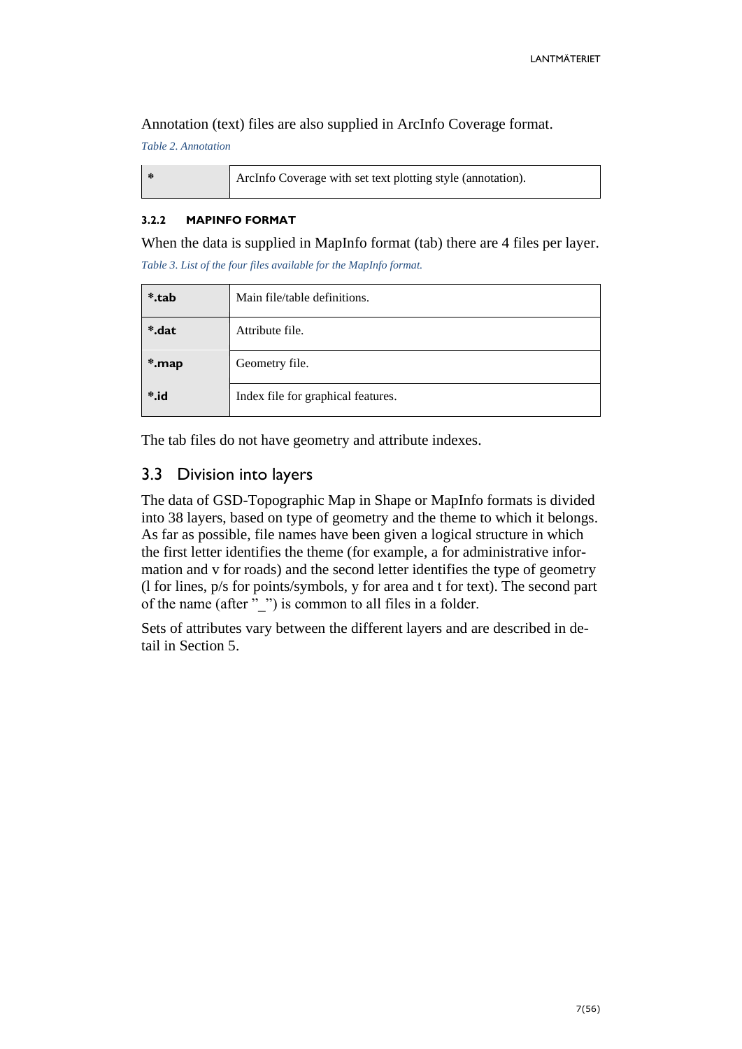Annotation (text) files are also supplied in ArcInfo Coverage format.

*Table 2. Annotation*

|  | ArcInfo Coverage with set text plotting style (annotation). |
|--|-------------------------------------------------------------|
|--|-------------------------------------------------------------|

#### <span id="page-6-0"></span>**3.2.2 MAPINFO FORMAT**

When the data is supplied in MapInfo format (tab) there are 4 files per layer. *Table 3. List of the four files available for the MapInfo format.*

| *.tab           | Main file/table definitions.       |  |  |  |  |
|-----------------|------------------------------------|--|--|--|--|
| *.dat           | Attribute file.                    |  |  |  |  |
| *.map           | Geometry file.                     |  |  |  |  |
| $\ddot{\ }$ .id | Index file for graphical features. |  |  |  |  |

The tab files do not have geometry and attribute indexes.

# <span id="page-6-1"></span>3.3 Division into layers

The data of GSD-Topographic Map in Shape or MapInfo formats is divided into 38 layers, based on type of geometry and the theme to which it belongs. As far as possible, file names have been given a logical structure in which the first letter identifies the theme (for example, a for administrative information and v for roads) and the second letter identifies the type of geometry (l for lines, p/s for points/symbols, y for area and t for text). The second part of the name (after "\_") is common to all files in a folder.

Sets of attributes vary between the different layers and are described in detail in Section 5.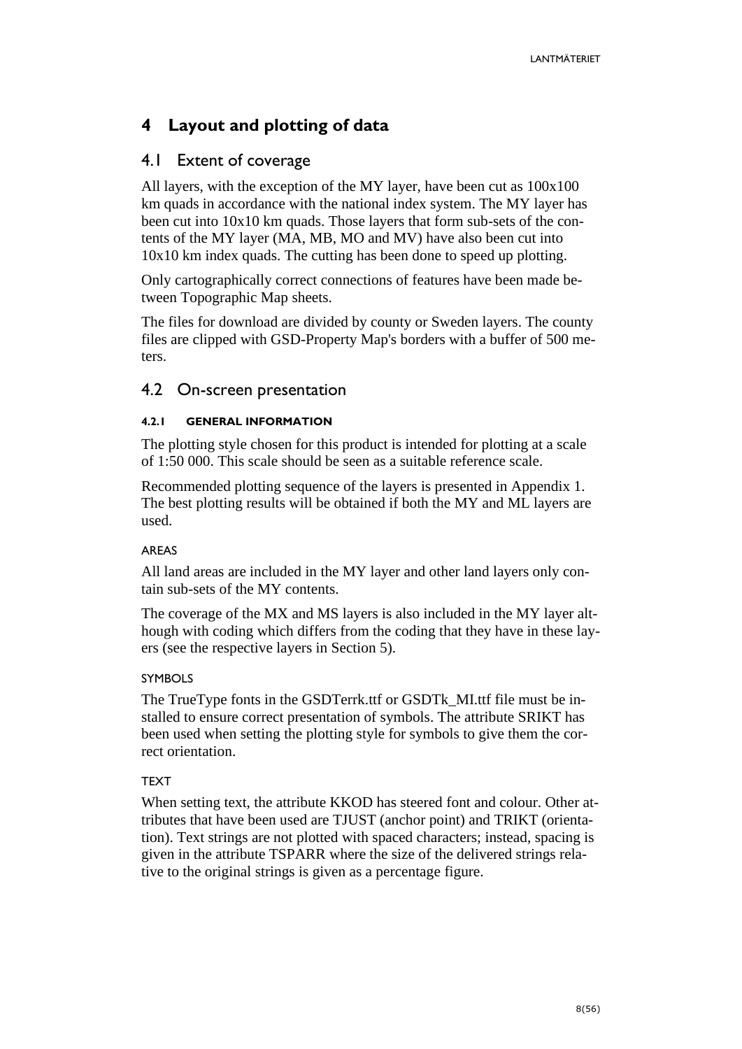# <span id="page-7-0"></span>**4 Layout and plotting of data**

# <span id="page-7-1"></span>4.1 Extent of coverage

All layers, with the exception of the MY layer, have been cut as 100x100 km quads in accordance with the national index system. The MY layer has been cut into 10x10 km quads. Those layers that form sub-sets of the contents of the MY layer (MA, MB, MO and MV) have also been cut into 10x10 km index quads. The cutting has been done to speed up plotting.

Only cartographically correct connections of features have been made between Topographic Map sheets.

The files for download are divided by county or Sweden layers. The county files are clipped with GSD-Property Map's borders with a buffer of 500 meters.

### <span id="page-7-2"></span>4.2 On-screen presentation

#### <span id="page-7-3"></span>**4.2.1 GENERAL INFORMATION**

The plotting style chosen for this product is intended for plotting at a scale of 1:50 000. This scale should be seen as a suitable reference scale.

Recommended plotting sequence of the layers is presented in Appendix 1. The best plotting results will be obtained if both the MY and ML layers are used.

#### AREAS

All land areas are included in the MY layer and other land layers only contain sub-sets of the MY contents.

The coverage of the MX and MS layers is also included in the MY layer although with coding which differs from the coding that they have in these layers (see the respective layers in Section 5).

#### **SYMBOLS**

The TrueType fonts in the GSDTerrk.ttf or GSDTk\_MI.ttf file must be installed to ensure correct presentation of symbols. The attribute SRIKT has been used when setting the plotting style for symbols to give them the correct orientation.

### TEXT

When setting text, the attribute KKOD has steered font and colour. Other attributes that have been used are TJUST (anchor point) and TRIKT (orientation). Text strings are not plotted with spaced characters; instead, spacing is given in the attribute TSPARR where the size of the delivered strings relative to the original strings is given as a percentage figure.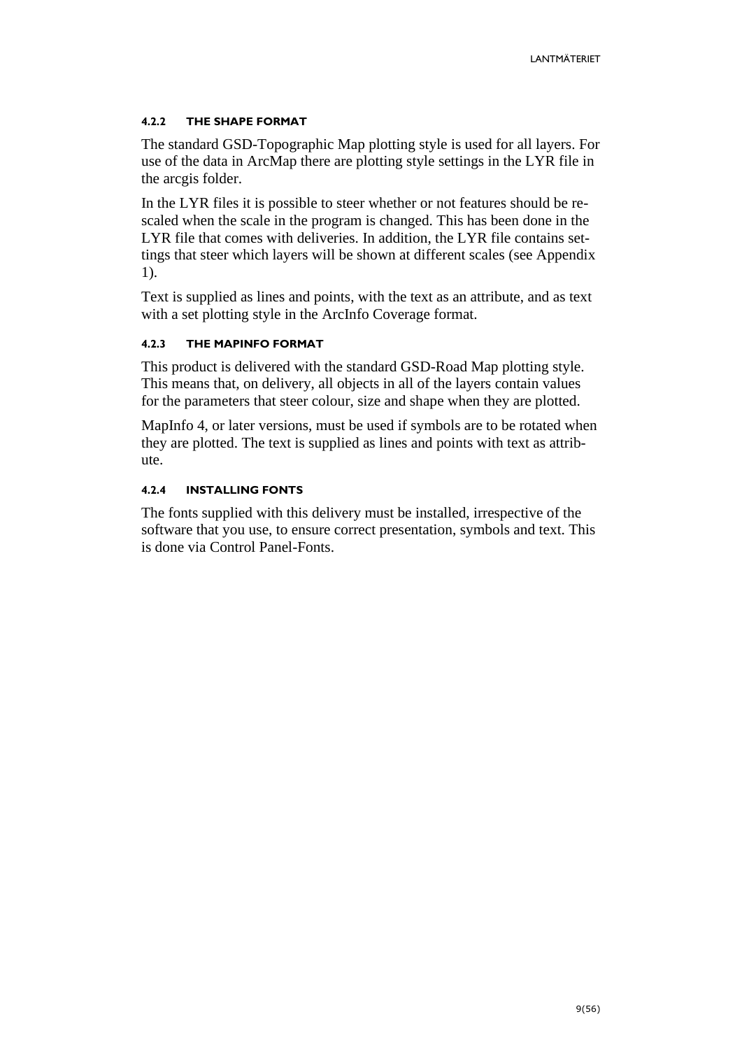#### <span id="page-8-0"></span>**4.2.2 THE SHAPE FORMAT**

The standard GSD-Topographic Map plotting style is used for all layers. For use of the data in ArcMap there are plotting style settings in the LYR file in the arcgis folder.

In the LYR files it is possible to steer whether or not features should be rescaled when the scale in the program is changed. This has been done in the LYR file that comes with deliveries. In addition, the LYR file contains settings that steer which layers will be shown at different scales (see Appendix 1).

Text is supplied as lines and points, with the text as an attribute, and as text with a set plotting style in the ArcInfo Coverage format.

#### <span id="page-8-1"></span>**4.2.3 THE MAPINFO FORMAT**

This product is delivered with the standard GSD-Road Map plotting style. This means that, on delivery, all objects in all of the layers contain values for the parameters that steer colour, size and shape when they are plotted.

MapInfo 4, or later versions, must be used if symbols are to be rotated when they are plotted. The text is supplied as lines and points with text as attribute.

#### <span id="page-8-2"></span>**4.2.4 INSTALLING FONTS**

The fonts supplied with this delivery must be installed, irrespective of the software that you use, to ensure correct presentation, symbols and text. This is done via Control Panel-Fonts.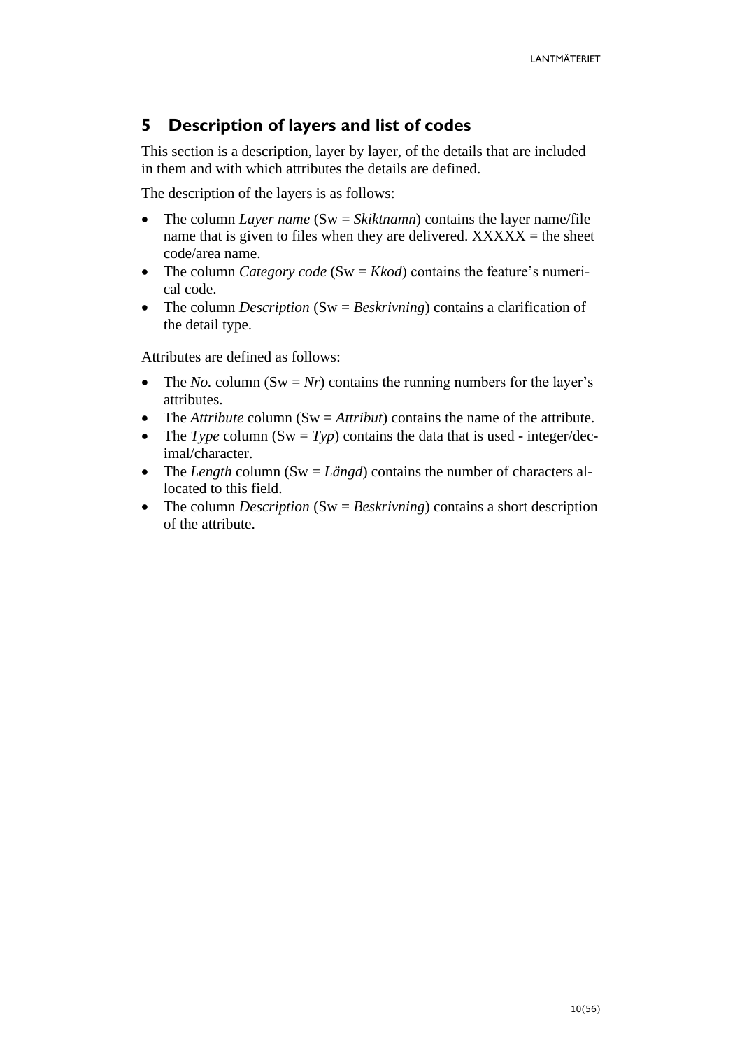# <span id="page-9-0"></span>**5 Description of layers and list of codes**

This section is a description, layer by layer, of the details that are included in them and with which attributes the details are defined.

The description of the layers is as follows:

- The column *Layer name* (Sw = *Skiktnamn*) contains the layer name/file name that is given to files when they are delivered.  $XXXXX =$  the sheet code/area name.
- The column *Category code* (Sw = *Kkod*) contains the feature's numerical code.
- The column *Description* (Sw = *Beskrivning*) contains a clarification of the detail type.

Attributes are defined as follows:

- The *No*. column (Sw = *Nr*) contains the running numbers for the layer's attributes.
- The *Attribute* column (Sw = *Attribut*) contains the name of the attribute.
- The *Type* column  $(Sw = Typ)$  contains the data that is used integer/decimal/character.
- The *Length* column (Sw = *Längd*) contains the number of characters allocated to this field.
- The column *Description* (Sw = *Beskrivning*) contains a short description of the attribute.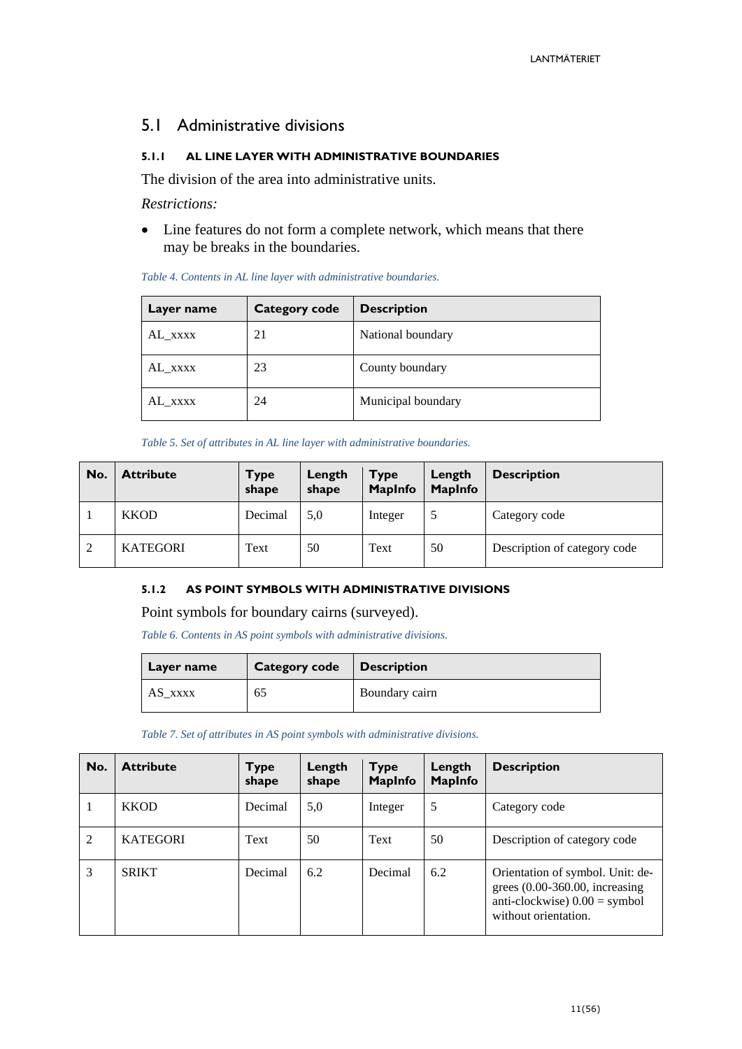### <span id="page-10-0"></span>5.1 Administrative divisions

#### <span id="page-10-1"></span>**5.1.1 AL LINE LAYER WITH ADMINISTRATIVE BOUNDARIES**

The division of the area into administrative units.

*Restrictions:*

• Line features do not form a complete network, which means that there may be breaks in the boundaries.

| Layer name | <b>Category code</b> | <b>Description</b> |
|------------|----------------------|--------------------|
| AL_xxxx    | 21                   | National boundary  |
| AL XXXX    | 23                   | County boundary    |
| AL XXXX    | 24                   | Municipal boundary |

*Table 5. Set of attributes in AL line layer with administrative boundaries.*

| No. | <b>Attribute</b> | <b>Type</b><br>shape | Length<br>shape | <b>Type</b><br><b>MapInfo</b> | Length<br><b>MapInfo</b> | <b>Description</b>           |
|-----|------------------|----------------------|-----------------|-------------------------------|--------------------------|------------------------------|
|     | <b>KKOD</b>      | Decimal              | 5,0             | Integer                       |                          | Category code                |
| 2   | <b>KATEGORI</b>  | Text                 | 50              | Text                          | 50                       | Description of category code |

#### <span id="page-10-2"></span>**5.1.2 AS POINT SYMBOLS WITH ADMINISTRATIVE DIVISIONS**

Point symbols for boundary cairns (surveyed).

*Table 6. Contents in AS point symbols with administrative divisions.*

| Layer name | <b>Category code</b> | <b>Description</b> |
|------------|----------------------|--------------------|
| AS xxxx    | 65                   | Boundary cairn     |

*Table 7. Set of attributes in AS point symbols with administrative divisions.*

| No.            | <b>Attribute</b> | Туре<br>shape | Length<br>shape | <b>Type</b><br><b>MapInfo</b> | Length<br><b>MapInfo</b> | <b>Description</b>                                                                                                             |
|----------------|------------------|---------------|-----------------|-------------------------------|--------------------------|--------------------------------------------------------------------------------------------------------------------------------|
|                | <b>KKOD</b>      | Decimal       | 5,0             | Integer                       | 5                        | Category code                                                                                                                  |
| $\overline{2}$ | <b>KATEGORI</b>  | Text          | 50              | Text                          | 50                       | Description of category code                                                                                                   |
| 3              | <b>SRIKT</b>     | Decimal       | 6.2             | Decimal                       | 6.2                      | Orientation of symbol. Unit: de-<br>grees $(0.00-360.00,$ increasing<br>anti-clockwise $0.00 =$ symbol<br>without orientation. |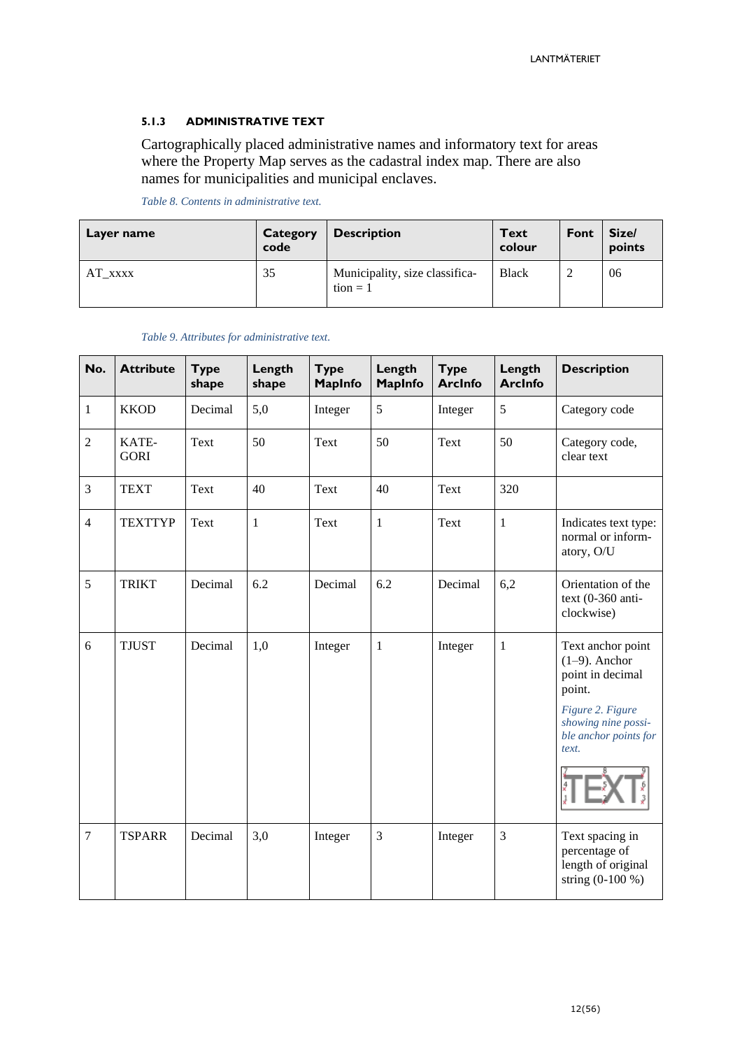#### <span id="page-11-0"></span>**5.1.3 ADMINISTRATIVE TEXT**

Cartographically placed administrative names and informatory text for areas where the Property Map serves as the cadastral index map. There are also names for municipalities and municipal enclaves.

*Table 8. Contents in administrative text.*

| Layer name     | Category<br>code | <b>Description</b>                           | <b>Text</b><br>colour | Font | Size/<br>points |
|----------------|------------------|----------------------------------------------|-----------------------|------|-----------------|
| $AT_{\_}$ xxxx | 35               | Municipality, size classifica-<br>$tion = 1$ | <b>Black</b>          |      | 06              |

|  |  |  | Table 9. Attributes for administrative text. |  |
|--|--|--|----------------------------------------------|--|
|--|--|--|----------------------------------------------|--|

| No.            | <b>Attribute</b>     | <b>Type</b><br>shape | Length<br>shape | <b>Type</b><br><b>MapInfo</b> | Length<br><b>MapInfo</b> | <b>Type</b><br><b>ArcInfo</b> | Length<br><b>ArcInfo</b> | <b>Description</b>                                                                                                                               |
|----------------|----------------------|----------------------|-----------------|-------------------------------|--------------------------|-------------------------------|--------------------------|--------------------------------------------------------------------------------------------------------------------------------------------------|
| 1              | <b>KKOD</b>          | Decimal              | 5,0             | Integer                       | 5                        | Integer                       | 5                        | Category code                                                                                                                                    |
| $\sqrt{2}$     | KATE-<br><b>GORI</b> | Text                 | 50              | Text                          | 50                       | Text                          | 50                       | Category code,<br>clear text                                                                                                                     |
| 3              | <b>TEXT</b>          | Text                 | 40              | Text                          | 40                       | Text                          | 320                      |                                                                                                                                                  |
| $\overline{4}$ | <b>TEXTTYP</b>       | Text                 | $\mathbf{1}$    | Text                          | $\,1\,$                  | Text                          | $\mathbf{1}$             | Indicates text type:<br>normal or inform-<br>atory, O/U                                                                                          |
| 5              | <b>TRIKT</b>         | Decimal              | 6.2             | Decimal                       | 6.2                      | Decimal                       | 6,2                      | Orientation of the<br>text $(0-360$ anti-<br>clockwise)                                                                                          |
| 6              | <b>TJUST</b>         | Decimal              | 1,0             | Integer                       | 1                        | Integer                       | $\mathbf{1}$             | Text anchor point<br>$(1-9)$ . Anchor<br>point in decimal<br>point.<br>Figure 2. Figure<br>showing nine possi-<br>ble anchor points for<br>text. |
| $\tau$         | <b>TSPARR</b>        | Decimal              | 3,0             | Integer                       | 3                        | Integer                       | 3                        | Text spacing in<br>percentage of<br>length of original<br>string (0-100 %)                                                                       |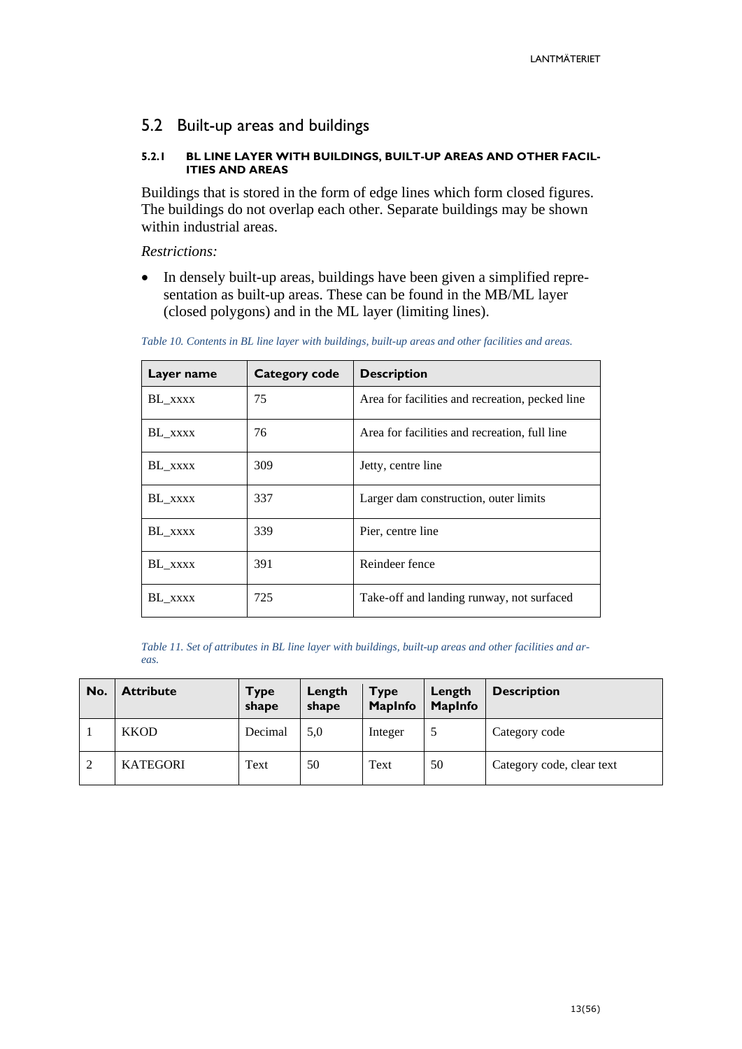### <span id="page-12-0"></span>5.2 Built-up areas and buildings

#### <span id="page-12-1"></span>**5.2.1 BL LINE LAYER WITH BUILDINGS, BUILT-UP AREAS AND OTHER FACIL-ITIES AND AREAS**

Buildings that is stored in the form of edge lines which form closed figures. The buildings do not overlap each other. Separate buildings may be shown within industrial areas.

*Restrictions:*

• In densely built-up areas, buildings have been given a simplified representation as built-up areas. These can be found in the MB/ML layer (closed polygons) and in the ML layer (limiting lines).

*Table 10. Contents in BL line layer with buildings, built-up areas and other facilities and areas.*

| Layer name | Category code | <b>Description</b>                              |
|------------|---------------|-------------------------------------------------|
| BL XXXX    | 75            | Area for facilities and recreation, pecked line |
| BL XXXX    | 76            | Area for facilities and recreation, full line   |
| BL XXXX    | 309           | Jetty, centre line                              |
| BL_xxxx    | 337           | Larger dam construction, outer limits           |
| BL XXXX    | 339           | Pier, centre line                               |
| BL XXXX    | 391           | Reindeer fence                                  |
| BL_xxxx    | 725           | Take-off and landing runway, not surfaced       |

*Table 11. Set of attributes in BL line layer with buildings, built-up areas and other facilities and areas.*

| No. | <b>Attribute</b> | <b>Type</b><br>shape | Length<br>shape | <b>Type</b><br><b>MapInfo</b> | Length<br><b>MapInfo</b> | <b>Description</b>        |
|-----|------------------|----------------------|-----------------|-------------------------------|--------------------------|---------------------------|
|     | <b>KKOD</b>      | Decimal              | 5,0             | Integer                       |                          | Category code             |
| 2   | <b>KATEGORI</b>  | Text                 | 50              | Text                          | 50                       | Category code, clear text |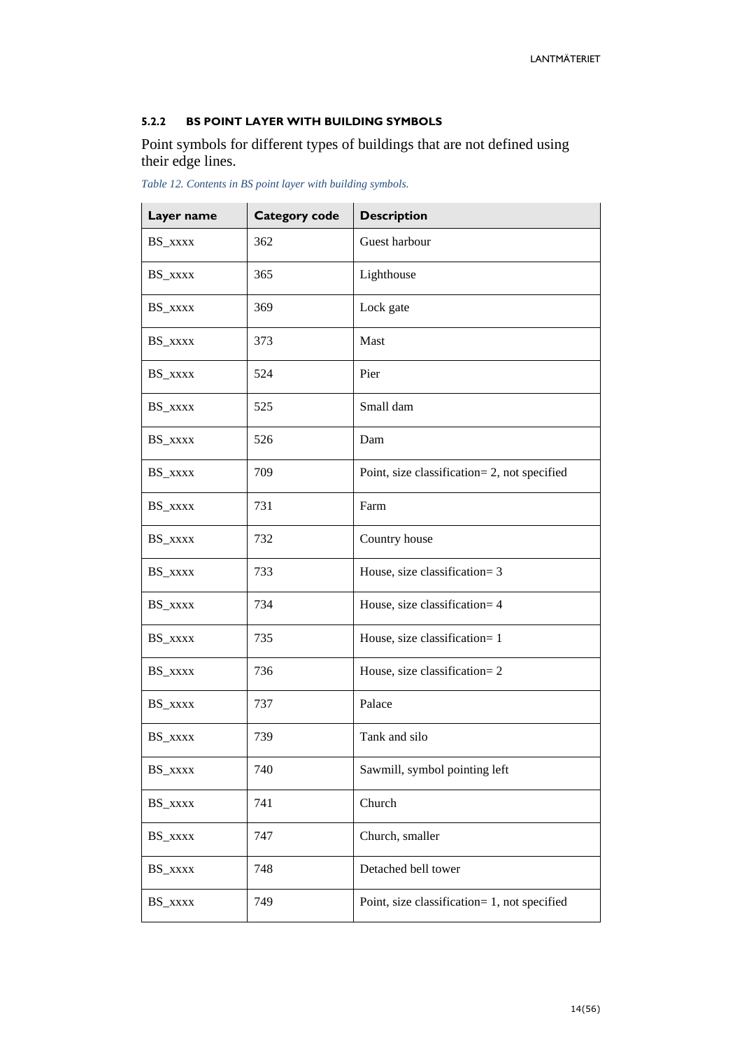#### <span id="page-13-0"></span>**5.2.2 BS POINT LAYER WITH BUILDING SYMBOLS**

Point symbols for different types of buildings that are not defined using their edge lines.

| Layer name | <b>Category code</b> | <b>Description</b>                           |
|------------|----------------------|----------------------------------------------|
| BS_xxxx    | 362                  | Guest harbour                                |
| BS_xxxx    | 365                  | Lighthouse                                   |
| BS_xxxx    | 369                  | Lock gate                                    |
| BS_xxxx    | 373                  | Mast                                         |
| BS_xxxx    | 524                  | Pier                                         |
| BS_xxxx    | 525                  | Small dam                                    |
| BS_xxxx    | 526                  | Dam                                          |
| BS_xxxx    | 709                  | Point, size classification= 2, not specified |
| BS XXXX    | 731                  | Farm                                         |
| BS_xxxx    | 732                  | Country house                                |
| BS_xxxx    | 733                  | House, size classification= 3                |
| BS_xxxx    | 734                  | House, size classification= 4                |
| BS_xxxx    | 735                  | House, size classification= 1                |
| BS_xxxx    | 736                  | House, size classification= 2                |
| BS_xxxx    | 737                  | Palace                                       |
| BS_xxxx    | 739                  | Tank and silo                                |
| BS_xxxx    | 740                  | Sawmill, symbol pointing left                |
| BS_xxxx    | 741                  | Church                                       |
| BS_xxxx    | 747                  | Church, smaller                              |
| BS_xxxx    | 748                  | Detached bell tower                          |
| BS_xxxx    | 749                  | Point, size classification= 1, not specified |

*Table 12. Contents in BS point layer with building symbols.*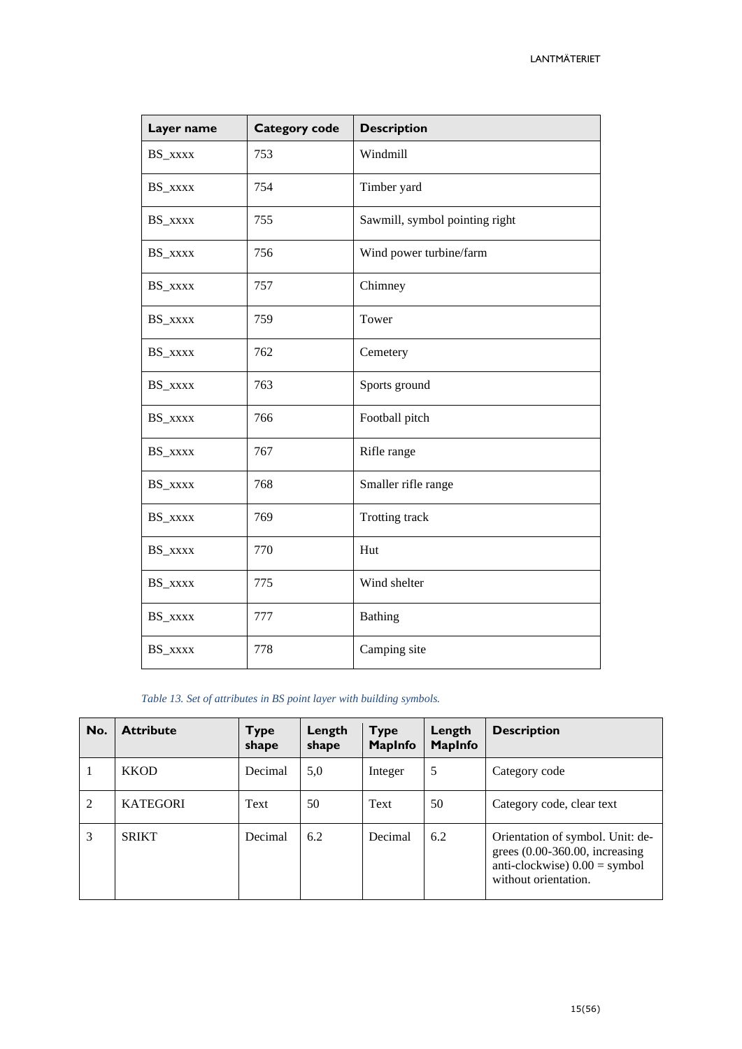| Layer name | <b>Category code</b> | <b>Description</b>             |
|------------|----------------------|--------------------------------|
| BS_xxxx    | 753                  | Windmill                       |
| BS_xxxx    | 754                  | Timber yard                    |
| BS_xxxx    | 755                  | Sawmill, symbol pointing right |
| BS_xxxx    | 756                  | Wind power turbine/farm        |
| BS_xxxx    | 757                  | Chimney                        |
| BS_xxxx    | 759                  | Tower                          |
| BS_xxxx    | 762                  | Cemetery                       |
| BS_xxxx    | 763                  | Sports ground                  |
| BS_xxxx    | 766                  | Football pitch                 |
| BS_xxxx    | 767                  | Rifle range                    |
| BS_xxxx    | 768                  | Smaller rifle range            |
| BS_xxxx    | 769                  | Trotting track                 |
| BS_xxxx    | 770                  | Hut                            |
| BS_xxxx    | 775                  | Wind shelter                   |
| BS_xxxx    | 777                  | <b>Bathing</b>                 |
| BS_xxxx    | 778                  | Camping site                   |

#### *Table 13. Set of attributes in BS point layer with building symbols.*

| No.            | <b>Attribute</b> | <b>Type</b><br>shape | Length<br>shape | <b>Type</b><br><b>MapInfo</b> | Length<br>MapInfo | <b>Description</b>                                                                                                             |
|----------------|------------------|----------------------|-----------------|-------------------------------|-------------------|--------------------------------------------------------------------------------------------------------------------------------|
|                | <b>KKOD</b>      | Decimal              | 5,0             | Integer                       | 5                 | Category code                                                                                                                  |
| $\overline{2}$ | <b>KATEGORI</b>  | Text                 | 50              | Text                          | 50                | Category code, clear text                                                                                                      |
| 3              | <b>SRIKT</b>     | Decimal              | 6.2             | Decimal                       | 6.2               | Orientation of symbol. Unit: de-<br>grees $(0.00-360.00,$ increasing<br>anti-clockwise $0.00 =$ symbol<br>without orientation. |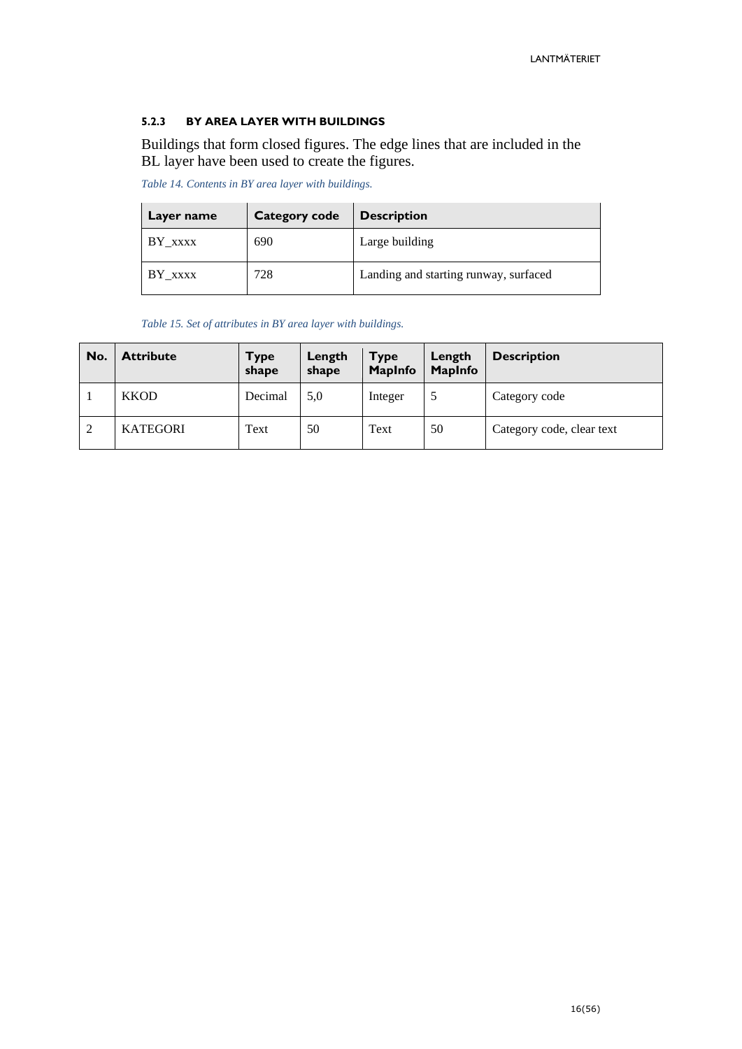#### <span id="page-15-0"></span>**5.2.3 BY AREA LAYER WITH BUILDINGS**

Buildings that form closed figures. The edge lines that are included in the BL layer have been used to create the figures.

*Table 14. Contents in BY area layer with buildings.*

| Layer name | <b>Category code</b> | <b>Description</b>                    |
|------------|----------------------|---------------------------------------|
| BY XXXX    | 690                  | Large building                        |
| BY XXXX    | 728                  | Landing and starting runway, surfaced |

*Table 15. Set of attributes in BY area layer with buildings.*

| No. | <b>Attribute</b> | Type<br>shape | Length<br>shape | <b>Type</b><br><b>MapInfo</b> | Length<br><b>MapInfo</b> | <b>Description</b>        |
|-----|------------------|---------------|-----------------|-------------------------------|--------------------------|---------------------------|
|     | <b>KKOD</b>      | Decimal       | 5,0             | Integer                       |                          | Category code             |
| 2   | <b>KATEGORI</b>  | Text          | 50              | Text                          | 50                       | Category code, clear text |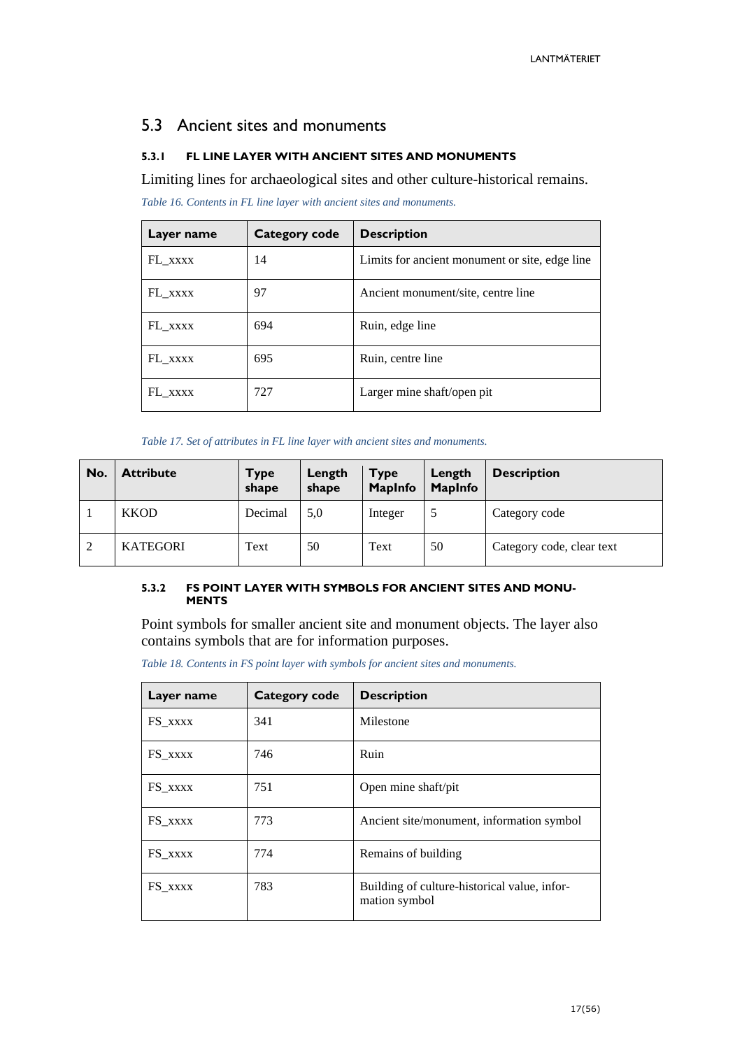### <span id="page-16-0"></span>5.3 Ancient sites and monuments

#### <span id="page-16-1"></span>**5.3.1 FL LINE LAYER WITH ANCIENT SITES AND MONUMENTS**

Limiting lines for archaeological sites and other culture-historical remains.

*Table 16. Contents in FL line layer with ancient sites and monuments.*

| Layer name | Category code | <b>Description</b>                             |
|------------|---------------|------------------------------------------------|
| FL XXXX    | 14            | Limits for ancient monument or site, edge line |
| FL XXXX    | 97            | Ancient monument/site, centre line             |
| FL XXXX    | 694           | Ruin, edge line                                |
| FL XXXX    | 695           | Ruin, centre line                              |
| FL xxxx    | 727           | Larger mine shaft/open pit                     |

*Table 17. Set of attributes in FL line layer with ancient sites and monuments.*

| No. | <b>Attribute</b> | <b>Type</b><br>shape | Length<br>shape | <b>Type</b><br><b>MapInfo</b> | Length<br><b>MapInfo</b> | <b>Description</b>        |
|-----|------------------|----------------------|-----------------|-------------------------------|--------------------------|---------------------------|
|     | <b>KKOD</b>      | Decimal              | 5,0             | Integer                       |                          | Category code             |
| 2   | <b>KATEGORI</b>  | Text                 | 50              | Text                          | 50                       | Category code, clear text |

#### <span id="page-16-2"></span>**5.3.2 FS POINT LAYER WITH SYMBOLS FOR ANCIENT SITES AND MONU-MENTS**

Point symbols for smaller ancient site and monument objects. The layer also contains symbols that are for information purposes.

*Table 18. Contents in FS point layer with symbols for ancient sites and monuments.*

| Layer name | <b>Category code</b> | <b>Description</b>                                            |
|------------|----------------------|---------------------------------------------------------------|
| FS XXXX    | 341                  | Milestone                                                     |
| FS XXXX    | 746                  | Ruin                                                          |
| FS XXXX    | 751                  | Open mine shaft/pit                                           |
| FS_xxxx    | 773                  | Ancient site/monument, information symbol                     |
| FS XXXX    | 774                  | Remains of building                                           |
| FS XXXX    | 783                  | Building of culture-historical value, infor-<br>mation symbol |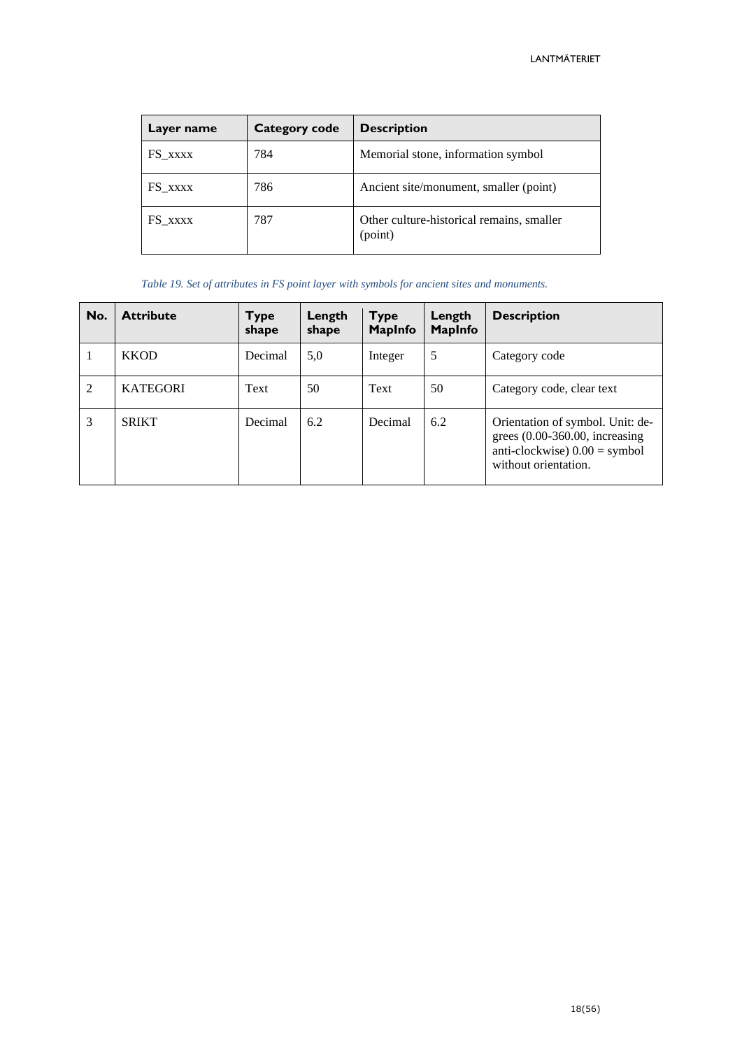| Layer name | Category code | <b>Description</b>                                   |
|------------|---------------|------------------------------------------------------|
| FS XXXX    | 784           | Memorial stone, information symbol                   |
| FS_xxxx    | 786           | Ancient site/monument, smaller (point)               |
| FS XXXX    | 787           | Other culture-historical remains, smaller<br>(point) |

*Table 19. Set of attributes in FS point layer with symbols for ancient sites and monuments.*

| No.            | <b>Attribute</b> | <b>Type</b><br>shape | Length<br>shape | <b>Type</b><br><b>MapInfo</b> | Length<br><b>MapInfo</b> | <b>Description</b>                                                                                                             |
|----------------|------------------|----------------------|-----------------|-------------------------------|--------------------------|--------------------------------------------------------------------------------------------------------------------------------|
|                | <b>KKOD</b>      | Decimal              | 5,0             | Integer                       | 5                        | Category code                                                                                                                  |
| $\overline{2}$ | <b>KATEGORI</b>  | Text                 | 50              | Text                          | 50                       | Category code, clear text                                                                                                      |
| 3              | <b>SRIKT</b>     | Decimal              | 6.2             | Decimal                       | 6.2                      | Orientation of symbol. Unit: de-<br>grees $(0.00-360.00,$ increasing<br>anti-clockwise $0.00 =$ symbol<br>without orientation. |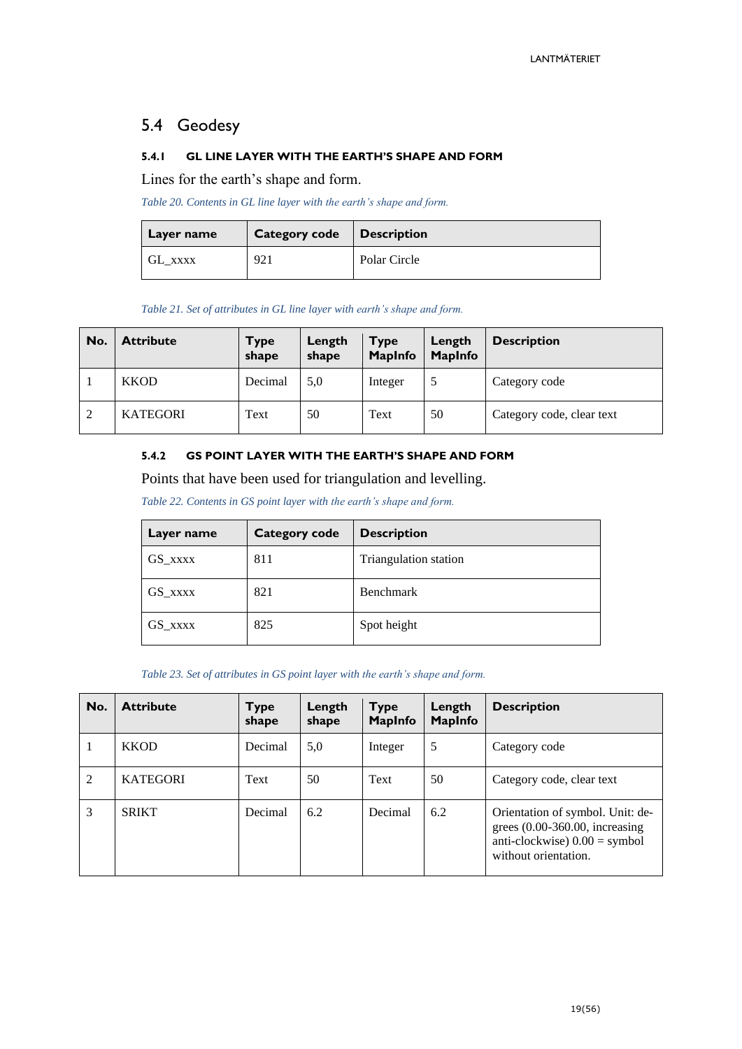# <span id="page-18-0"></span>5.4 Geodesy

#### <span id="page-18-1"></span>**5.4.1 GL LINE LAYER WITH THE EARTH'S SHAPE AND FORM**

Lines for the earth's shape and form.

*Table 20. Contents in GL line layer with the earth's shape and form.*

| Layer name | Category code   Description |              |
|------------|-----------------------------|--------------|
| GL XXXX    | 921                         | Polar Circle |

*Table 21. Set of attributes in GL line layer with earth's shape and form.*

| No. | <b>Attribute</b> | <b>Type</b><br>shape | Length<br>shape | <b>Type</b><br><b>MapInfo</b> | Length<br><b>MapInfo</b> | <b>Description</b>        |
|-----|------------------|----------------------|-----------------|-------------------------------|--------------------------|---------------------------|
|     | <b>KKOD</b>      | Decimal              | 5,0             | Integer                       |                          | Category code             |
| 2   | <b>KATEGORI</b>  | Text                 | 50              | Text                          | 50                       | Category code, clear text |

#### <span id="page-18-2"></span>**5.4.2 GS POINT LAYER WITH THE EARTH'S SHAPE AND FORM**

Points that have been used for triangulation and levelling.

*Table 22. Contents in GS point layer with the earth's shape and form.*

| Layer name | <b>Category code</b> | <b>Description</b>    |
|------------|----------------------|-----------------------|
| GS_xxxx    | 811                  | Triangulation station |
| GS XXXX    | 821                  | <b>Benchmark</b>      |
| GS_xxxx    | 825                  | Spot height           |

#### *Table 23. Set of attributes in GS point layer with the earth's shape and form.*

| No.            | <b>Attribute</b> | Type<br>shape | Length<br>shape | <b>Type</b><br><b>MapInfo</b> | Length<br>MapInfo | <b>Description</b>                                                                                                              |
|----------------|------------------|---------------|-----------------|-------------------------------|-------------------|---------------------------------------------------------------------------------------------------------------------------------|
|                | <b>KKOD</b>      | Decimal       | 5,0             | Integer                       | 5                 | Category code                                                                                                                   |
| $\overline{2}$ | <b>KATEGORI</b>  | Text          | 50              | Text                          | 50                | Category code, clear text                                                                                                       |
| 3              | <b>SRIKT</b>     | Decimal       | 6.2             | Decimal                       | 6.2               | Orientation of symbol. Unit: de-<br>grees $(0.00-360.00,$ increasing<br>anti-clockwise) $0.00 =$ symbol<br>without orientation. |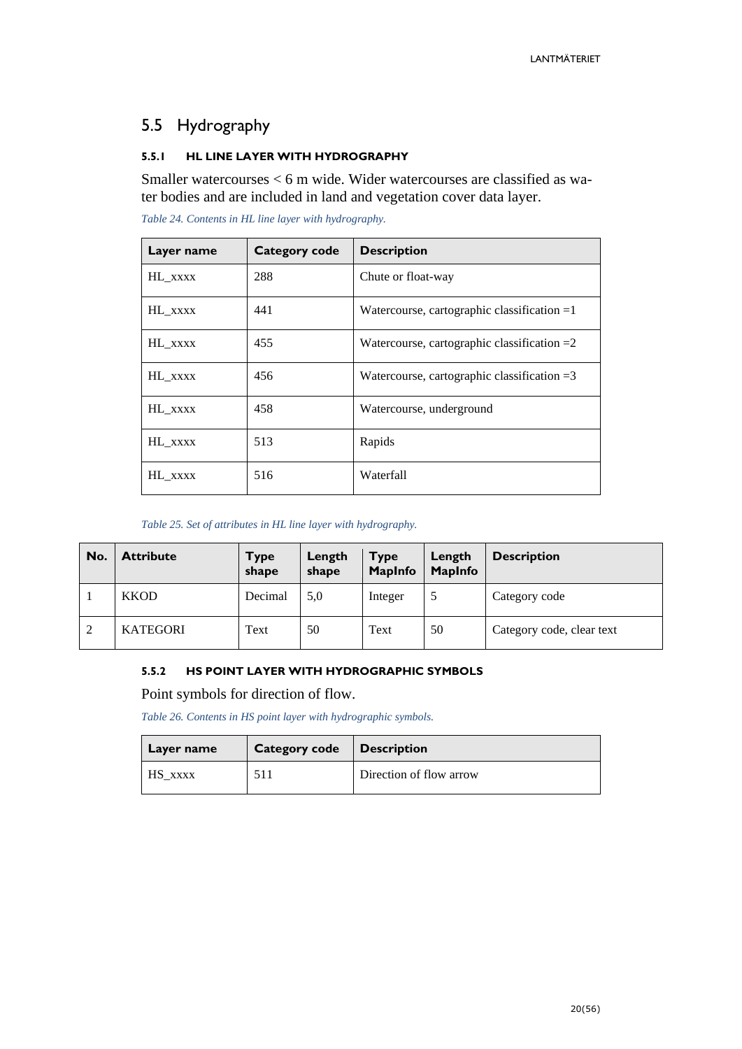# <span id="page-19-0"></span>5.5 Hydrography

#### <span id="page-19-1"></span>**5.5.1 HL LINE LAYER WITH HYDROGRAPHY**

Smaller watercourses < 6 m wide. Wider watercourses are classified as water bodies and are included in land and vegetation cover data layer.

| Layer name | Category code | <b>Description</b>                            |
|------------|---------------|-----------------------------------------------|
| HL_xxxx    | 288           | Chute or float-way                            |
| HL XXXX    | 441           | Watercourse, cartographic classification $=1$ |
| HL XXXX    | 455           | Watercourse, cartographic classification $=2$ |
| HL_xxxx    | 456           | Watercourse, cartographic classification $=3$ |
| HL XXXX    | 458           | Watercourse, underground                      |
| HL_xxxx    | 513           | Rapids                                        |
| HL_xxxx    | 516           | Waterfall                                     |

*Table 24. Contents in HL line layer with hydrography.*

*Table 25. Set of attributes in HL line layer with hydrography.*

| No. | <b>Attribute</b> | <b>Type</b><br>shape | Length<br>shape | <b>Type</b><br><b>MapInfo</b> | Length<br><b>MapInfo</b> | <b>Description</b>        |
|-----|------------------|----------------------|-----------------|-------------------------------|--------------------------|---------------------------|
|     | <b>KKOD</b>      | Decimal              | 5,0             | Integer                       |                          | Category code             |
| 2   | <b>KATEGORI</b>  | Text                 | 50              | Text                          | 50                       | Category code, clear text |

#### <span id="page-19-2"></span>**5.5.2 HS POINT LAYER WITH HYDROGRAPHIC SYMBOLS**

Point symbols for direction of flow.

*Table 26. Contents in HS point layer with hydrographic symbols.*

| Layer name | Category code   Description |                         |
|------------|-----------------------------|-------------------------|
| HS xxxx    | 511                         | Direction of flow arrow |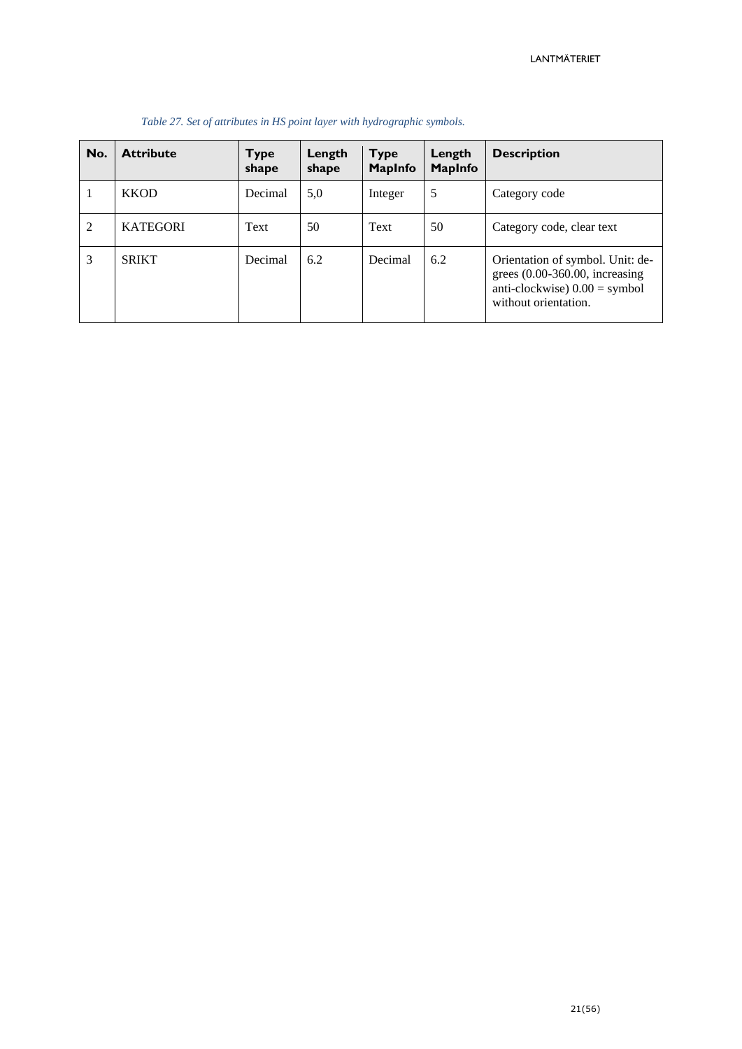| No.            | <b>Attribute</b> | <b>Type</b><br>shape | Length<br>shape | <b>Type</b><br><b>MapInfo</b> | Length<br><b>MapInfo</b> | <b>Description</b>                                                                                                             |
|----------------|------------------|----------------------|-----------------|-------------------------------|--------------------------|--------------------------------------------------------------------------------------------------------------------------------|
|                | <b>KKOD</b>      | Decimal              | 5,0             | Integer                       | 5                        | Category code                                                                                                                  |
| $\overline{2}$ | <b>KATEGORI</b>  | Text                 | 50              | Text                          | 50                       | Category code, clear text                                                                                                      |
| 3              | <b>SRIKT</b>     | Decimal              | 6.2             | Decimal                       | 6.2                      | Orientation of symbol. Unit: de-<br>grees $(0.00-360.00,$ increasing<br>anti-clockwise $0.00 =$ symbol<br>without orientation. |

#### *Table 27. Set of attributes in HS point layer with hydrographic symbols.*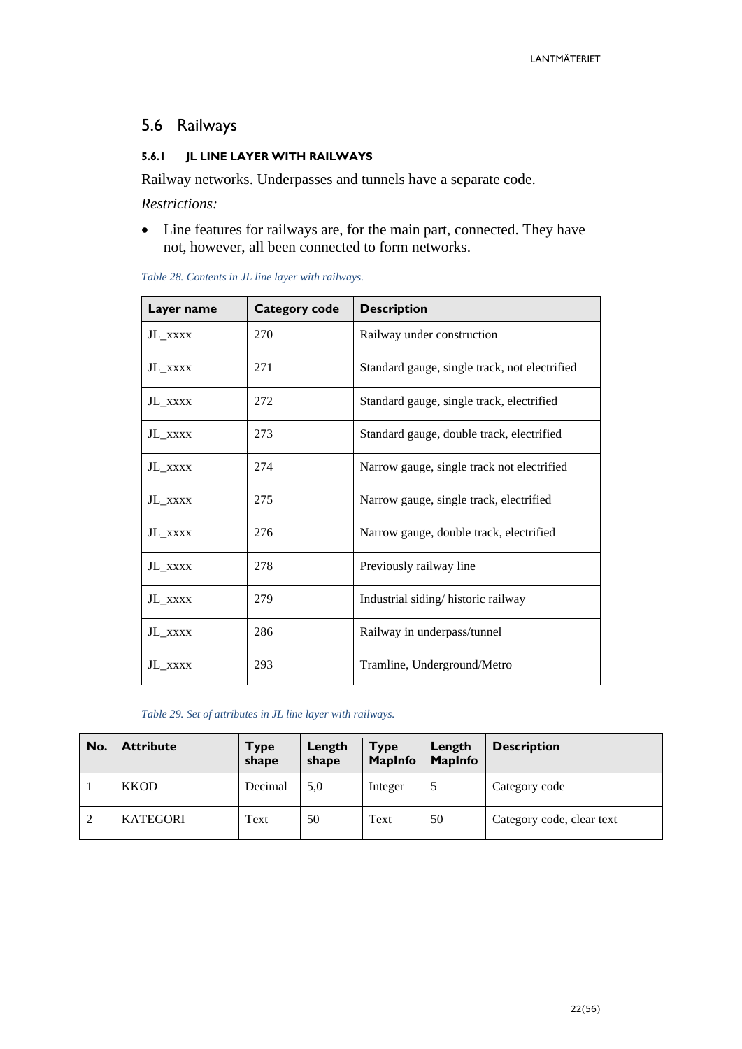# <span id="page-21-0"></span>5.6 Railways

#### <span id="page-21-1"></span>**5.6.1 JL LINE LAYER WITH RAILWAYS**

Railway networks. Underpasses and tunnels have a separate code.

*Restrictions:*

• Line features for railways are, for the main part, connected. They have not, however, all been connected to form networks.

| Layer name | <b>Category code</b> | <b>Description</b>                            |
|------------|----------------------|-----------------------------------------------|
| JL XXXX    | 270                  | Railway under construction                    |
| JL XXXX    | 271                  | Standard gauge, single track, not electrified |
| JL XXXX    | 272                  | Standard gauge, single track, electrified     |
| JL XXXX    | 273                  | Standard gauge, double track, electrified     |
| JL_XXXX    | 274                  | Narrow gauge, single track not electrified    |
| JL XXXX    | 275                  | Narrow gauge, single track, electrified       |
| JL XXXX    | 276                  | Narrow gauge, double track, electrified       |
| JL_XXXX    | 278                  | Previously railway line                       |
| JL_xxxx    | 279                  | Industrial siding/historic railway            |
| JL XXXX    | 286                  | Railway in underpass/tunnel                   |
| JL_xxxx    | 293                  | Tramline, Underground/Metro                   |

*Table 28. Contents in JL line layer with railways.*

*Table 29. Set of attributes in JL line layer with railways.*

| No.            | <b>Attribute</b> | <b>Type</b><br>shape | Length<br>shape | <b>Type</b><br><b>MapInfo</b> | Length<br><b>MapInfo</b> | <b>Description</b>        |
|----------------|------------------|----------------------|-----------------|-------------------------------|--------------------------|---------------------------|
|                | <b>KKOD</b>      | Decimal              | 5,0             | Integer                       |                          | Category code             |
| $\overline{2}$ | <b>KATEGORI</b>  | Text                 | 50              | Text                          | 50                       | Category code, clear text |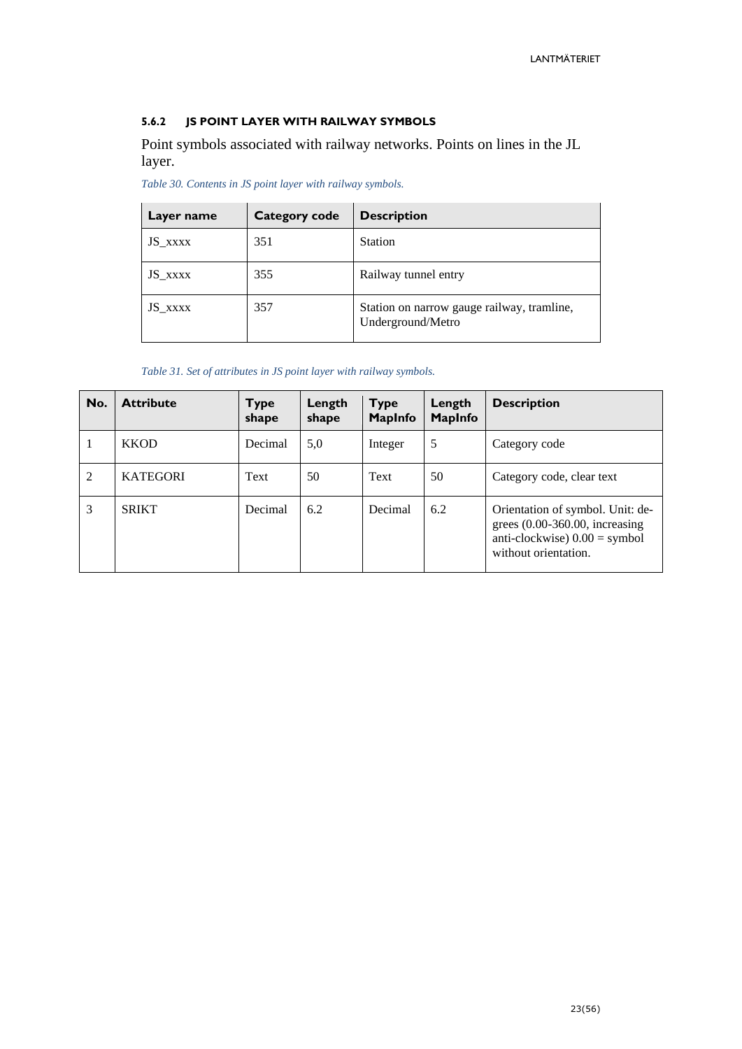#### <span id="page-22-0"></span>**5.6.2 JS POINT LAYER WITH RAILWAY SYMBOLS**

Point symbols associated with railway networks. Points on lines in the JL layer.

*Table 30. Contents in JS point layer with railway symbols.*

| Layer name | <b>Category code</b> | <b>Description</b>                                              |
|------------|----------------------|-----------------------------------------------------------------|
| JS_xxxx    | 351                  | <b>Station</b>                                                  |
| JS_xxxx    | 355                  | Railway tunnel entry                                            |
| JS XXXX    | 357                  | Station on narrow gauge railway, tramline,<br>Underground/Metro |

*Table 31. Set of attributes in JS point layer with railway symbols.*

| No. | <b>Attribute</b> | Type<br>shape | Length<br>shape | <b>Type</b><br><b>MapInfo</b> | Length<br><b>MapInfo</b> | <b>Description</b>                                                                                                             |
|-----|------------------|---------------|-----------------|-------------------------------|--------------------------|--------------------------------------------------------------------------------------------------------------------------------|
|     | <b>KKOD</b>      | Decimal       | 5,0             | Integer                       | 5                        | Category code                                                                                                                  |
| 2   | <b>KATEGORI</b>  | Text          | 50              | Text                          | 50                       | Category code, clear text                                                                                                      |
| 3   | <b>SRIKT</b>     | Decimal       | 6.2             | Decimal                       | 6.2                      | Orientation of symbol. Unit: de-<br>grees $(0.00-360.00,$ increasing<br>anti-clockwise $0.00 =$ symbol<br>without orientation. |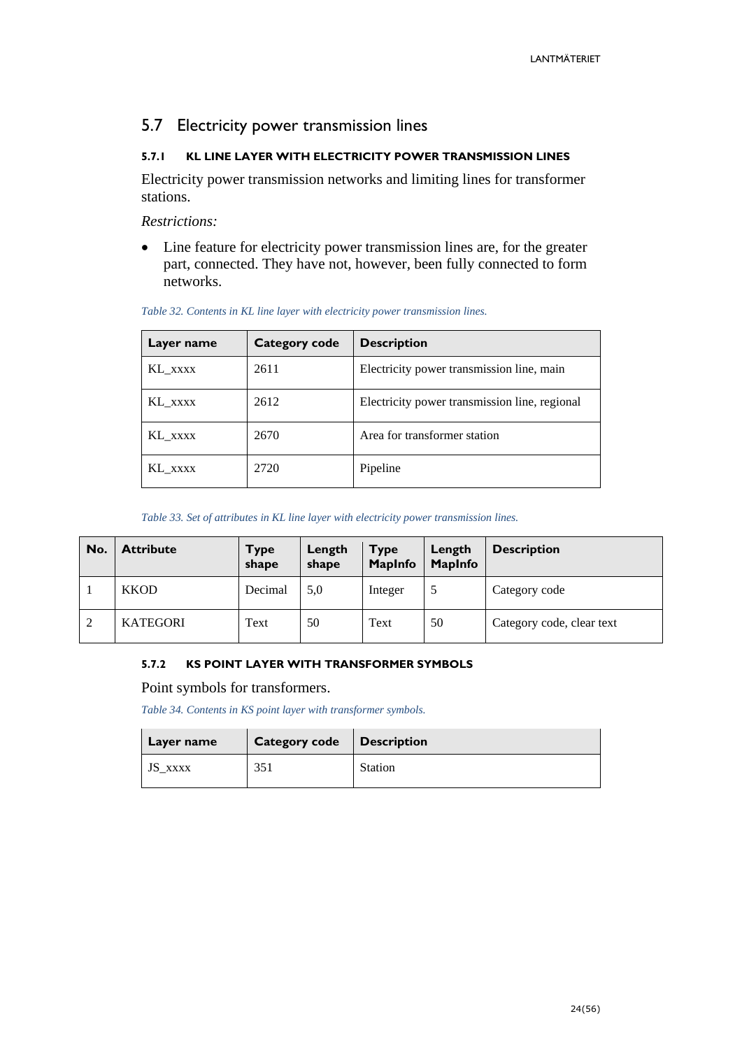# <span id="page-23-0"></span>5.7 Electricity power transmission lines

#### <span id="page-23-1"></span>**5.7.1 KL LINE LAYER WITH ELECTRICITY POWER TRANSMISSION LINES**

Electricity power transmission networks and limiting lines for transformer stations.

*Restrictions:*

• Line feature for electricity power transmission lines are, for the greater part, connected. They have not, however, been fully connected to form networks.

| Layer name | <b>Category code</b> | <b>Description</b>                            |
|------------|----------------------|-----------------------------------------------|
| KL XXXX    | 2611                 | Electricity power transmission line, main     |
| KL_xxxx    | 2612                 | Electricity power transmission line, regional |
| KL xxxx    | 2670                 | Area for transformer station                  |
| KL XXXX    | 2720                 | Pipeline                                      |

#### *Table 32. Contents in KL line layer with electricity power transmission lines.*

#### *Table 33. Set of attributes in KL line layer with electricity power transmission lines.*

| No.            | <b>Attribute</b> | Type<br>shape | Length<br>shape | <b>Type</b><br><b>MapInfo</b> | Length<br><b>MapInfo</b> | <b>Description</b>        |
|----------------|------------------|---------------|-----------------|-------------------------------|--------------------------|---------------------------|
|                | <b>KKOD</b>      | Decimal       | 5,0             | Integer                       |                          | Category code             |
| $\overline{2}$ | <b>KATEGORI</b>  | Text          | 50              | Text                          | 50                       | Category code, clear text |

#### <span id="page-23-2"></span>**5.7.2 KS POINT LAYER WITH TRANSFORMER SYMBOLS**

Point symbols for transformers.

*Table 34. Contents in KS point layer with transformer symbols.*

| Layer name | Category code   Description |                |
|------------|-----------------------------|----------------|
| JS XXXX    | 351                         | <b>Station</b> |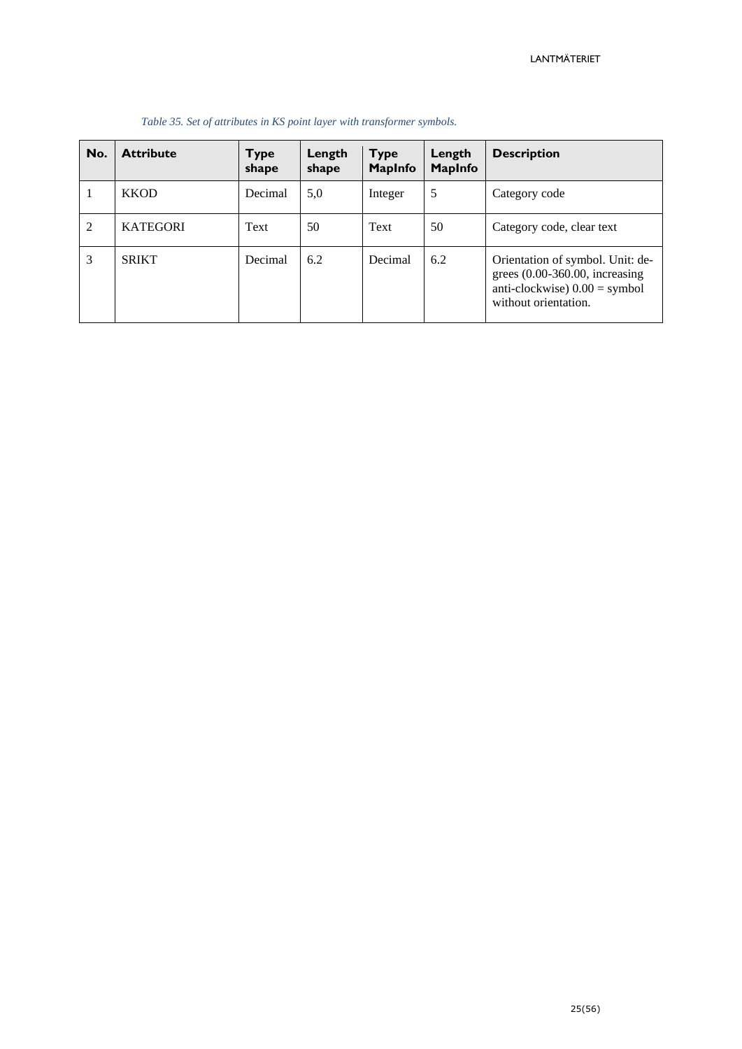| No.            | <b>Attribute</b> | <b>Type</b><br>shape | Length<br>shape | <b>Type</b><br><b>MapInfo</b> | Length<br><b>MapInfo</b> | <b>Description</b>                                                                                                             |
|----------------|------------------|----------------------|-----------------|-------------------------------|--------------------------|--------------------------------------------------------------------------------------------------------------------------------|
|                | <b>KKOD</b>      | Decimal              | 5,0             | Integer                       | 5                        | Category code                                                                                                                  |
| $\overline{2}$ | <b>KATEGORI</b>  | Text                 | 50              | Text                          | 50                       | Category code, clear text                                                                                                      |
| 3              | <b>SRIKT</b>     | Decimal              | 6.2             | Decimal                       | 6.2                      | Orientation of symbol. Unit: de-<br>grees $(0.00-360.00,$ increasing<br>anti-clockwise $0.00 =$ symbol<br>without orientation. |

#### *Table 35. Set of attributes in KS point layer with transformer symbols.*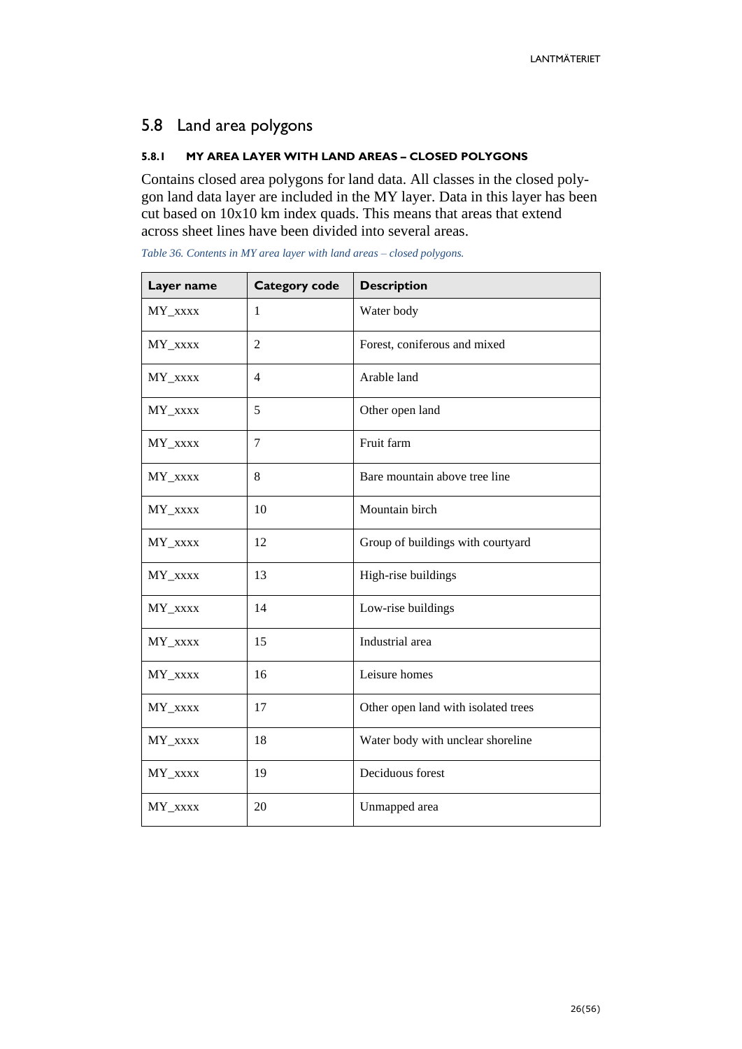# <span id="page-25-0"></span>5.8 Land area polygons

#### <span id="page-25-1"></span>**5.8.1 MY AREA LAYER WITH LAND AREAS – CLOSED POLYGONS**

Contains closed area polygons for land data. All classes in the closed polygon land data layer are included in the MY layer. Data in this layer has been cut based on 10x10 km index quads. This means that areas that extend across sheet lines have been divided into several areas.

| Layer name | <b>Category code</b> | <b>Description</b>                  |
|------------|----------------------|-------------------------------------|
| MY_xxxx    | 1                    | Water body                          |
| MY_xxxx    | $\overline{2}$       | Forest, coniferous and mixed        |
| MY_xxxx    | $\overline{4}$       | Arable land                         |
| MY_xxxx    | 5                    | Other open land                     |
| MY_xxxx    | 7                    | Fruit farm                          |
| MY_xxxx    | 8                    | Bare mountain above tree line       |
| $MY\_xxxx$ | 10                   | Mountain birch                      |
| MY_xxxx    | 12                   | Group of buildings with courtyard   |
| MY_xxxx    | 13                   | High-rise buildings                 |
| MY_xxxx    | 14                   | Low-rise buildings                  |
| MY_xxxx    | 15                   | Industrial area                     |
| MY_xxxx    | 16                   | Leisure homes                       |
| MY_xxxx    | 17                   | Other open land with isolated trees |
| MY_xxxx    | 18                   | Water body with unclear shoreline   |
| MY_xxxx    | 19                   | Deciduous forest                    |
| MY_xxxx    | 20                   | Unmapped area                       |

*Table 36. Contents in MY area layer with land areas – closed polygons.*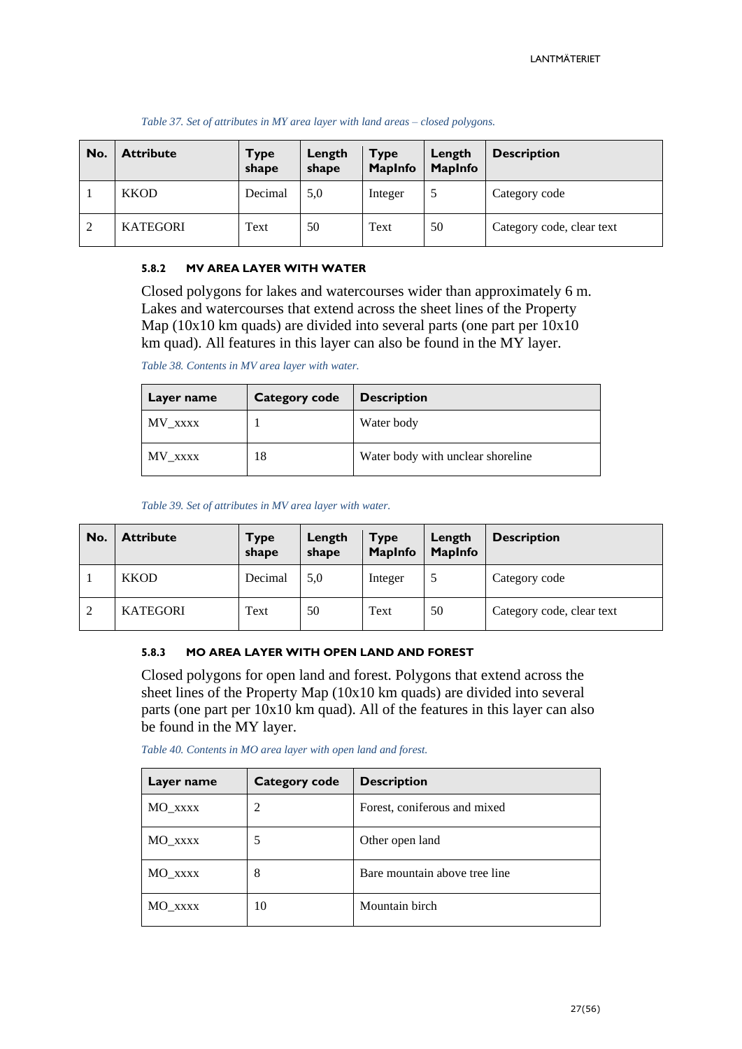| No.           | <b>Attribute</b> | <b>Type</b><br>shape | Length<br>shape | <b>Type</b><br><b>MapInfo</b> | Length<br><b>MapInfo</b> | <b>Description</b>        |
|---------------|------------------|----------------------|-----------------|-------------------------------|--------------------------|---------------------------|
|               | <b>KKOD</b>      | Decimal              | 5,0             | Integer                       | .5                       | Category code             |
| $\mathcal{D}$ | <b>KATEGORI</b>  | Text                 | 50              | Text                          | 50                       | Category code, clear text |

#### *Table 37. Set of attributes in MY area layer with land areas – closed polygons.*

#### <span id="page-26-0"></span>**5.8.2 MV AREA LAYER WITH WATER**

Closed polygons for lakes and watercourses wider than approximately 6 m. Lakes and watercourses that extend across the sheet lines of the Property Map (10x10 km quads) are divided into several parts (one part per 10x10 km quad). All features in this layer can also be found in the MY layer.

*Table 38. Contents in MV area layer with water.*

| Layer name | <b>Category code</b> | <b>Description</b>                |
|------------|----------------------|-----------------------------------|
| MV_xxxx    |                      | Water body                        |
| MV xxxx    | 18                   | Water body with unclear shoreline |

*Table 39. Set of attributes in MV area layer with water.*

| No.            | <b>Attribute</b> | <b>Type</b><br>shape | Length<br>shape | <b>Type</b><br><b>MapInfo</b> | Length<br><b>MapInfo</b> | <b>Description</b>        |
|----------------|------------------|----------------------|-----------------|-------------------------------|--------------------------|---------------------------|
|                | <b>KKOD</b>      | Decimal              | 5,0             | Integer                       |                          | Category code             |
| $\overline{2}$ | <b>KATEGORI</b>  | Text                 | 50              | Text                          | 50                       | Category code, clear text |

#### <span id="page-26-1"></span>**5.8.3 MO AREA LAYER WITH OPEN LAND AND FOREST**

Closed polygons for open land and forest. Polygons that extend across the sheet lines of the Property Map (10x10 km quads) are divided into several parts (one part per 10x10 km quad). All of the features in this layer can also be found in the MY layer.

| Table 40. Contents in MO area layer with open land and forest. |  |  |  |  |  |
|----------------------------------------------------------------|--|--|--|--|--|
|                                                                |  |  |  |  |  |

| Layer name | Category code | <b>Description</b>            |
|------------|---------------|-------------------------------|
| MO XXXX    | 2             | Forest, coniferous and mixed  |
| MO_xxxx    | 5             | Other open land               |
| MO XXXX    | 8             | Bare mountain above tree line |
| MO xxxx    | 10            | Mountain birch                |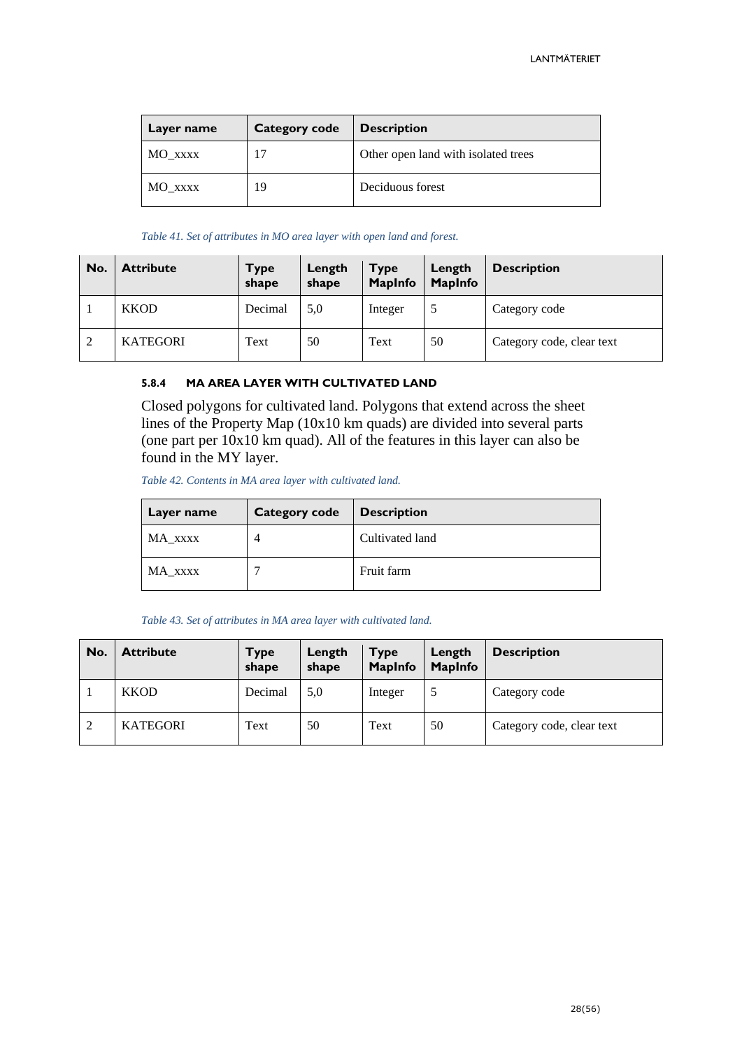| Layer name | <b>Category code</b> | <b>Description</b>                  |
|------------|----------------------|-------------------------------------|
| MO xxxx    |                      | Other open land with isolated trees |
| MO xxxx    | 19                   | Deciduous forest                    |

#### *Table 41. Set of attributes in MO area layer with open land and forest.*

| No.            | <b>Attribute</b> | Type<br>shape | Length<br>shape | <b>Type</b><br><b>MapInfo</b> | Length<br><b>MapInfo</b> | <b>Description</b>        |
|----------------|------------------|---------------|-----------------|-------------------------------|--------------------------|---------------------------|
|                | <b>KKOD</b>      | Decimal       | 5,0             | Integer                       |                          | Category code             |
| $\overline{2}$ | <b>KATEGORI</b>  | Text          | 50              | Text                          | 50                       | Category code, clear text |

#### <span id="page-27-0"></span>**5.8.4 MA AREA LAYER WITH CULTIVATED LAND**

Closed polygons for cultivated land. Polygons that extend across the sheet lines of the Property Map (10x10 km quads) are divided into several parts (one part per 10x10 km quad). All of the features in this layer can also be found in the MY layer.

*Table 42. Contents in MA area layer with cultivated land.*

| Layer name | Category code | <b>Description</b> |
|------------|---------------|--------------------|
| MA_xxxx    |               | Cultivated land    |
| MA_xxxx    |               | Fruit farm         |

#### *Table 43. Set of attributes in MA area layer with cultivated land.*

| No. | <b>Attribute</b> | Type<br>shape | Length<br>shape | <b>Type</b><br><b>MapInfo</b> | Length<br><b>MapInfo</b> | <b>Description</b>        |
|-----|------------------|---------------|-----------------|-------------------------------|--------------------------|---------------------------|
|     | <b>KKOD</b>      | Decimal       | 5,0             | Integer                       |                          | Category code             |
| 2   | <b>KATEGORI</b>  | Text          | 50              | Text                          | 50                       | Category code, clear text |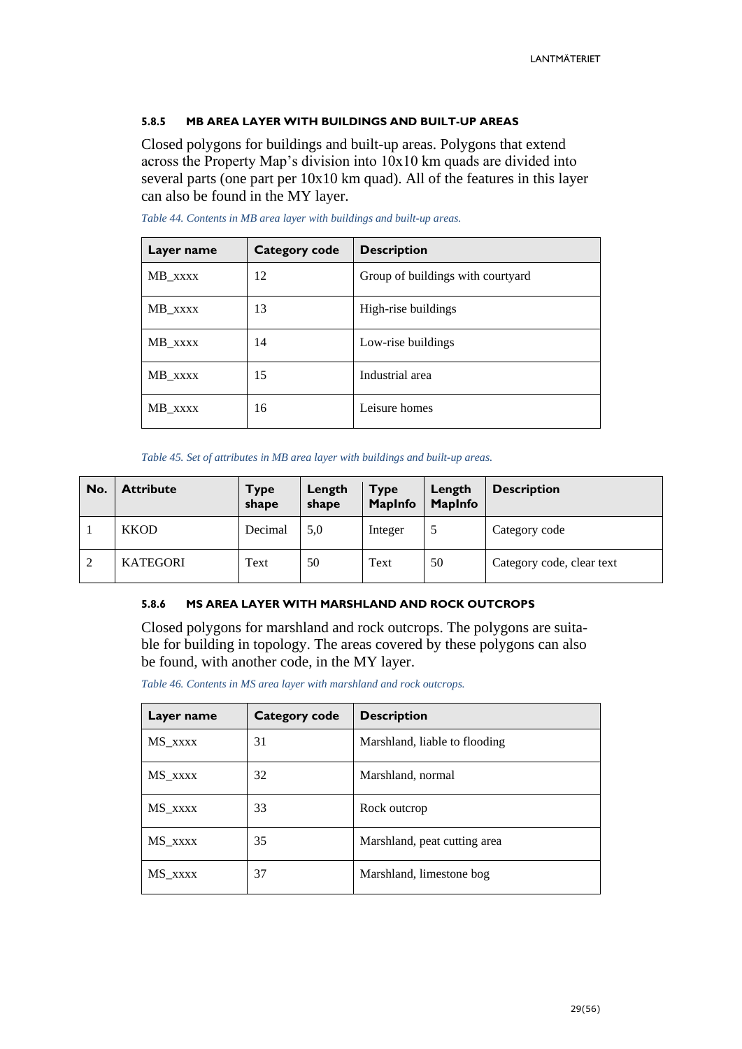#### <span id="page-28-0"></span>**5.8.5 MB AREA LAYER WITH BUILDINGS AND BUILT-UP AREAS**

Closed polygons for buildings and built-up areas. Polygons that extend across the Property Map's division into 10x10 km quads are divided into several parts (one part per 10x10 km quad). All of the features in this layer can also be found in the MY layer.

| Layer name | Category code | <b>Description</b>                |
|------------|---------------|-----------------------------------|
| MB_xxxx    | 12            | Group of buildings with courtyard |
| MB_xxxx    | 13            | High-rise buildings               |
| MB_xxxx    | 14            | Low-rise buildings                |
| MB_xxxx    | 15            | Industrial area                   |
| MB_xxxx    | 16            | Leisure homes                     |

*Table 44. Contents in MB area layer with buildings and built-up areas.*

*Table 45. Set of attributes in MB area layer with buildings and built-up areas.*

| No. | <b>Attribute</b> | <b>Type</b><br>shape | Length<br>shape | <b>Type</b><br><b>MapInfo</b> | Length<br><b>MapInfo</b> | <b>Description</b>        |
|-----|------------------|----------------------|-----------------|-------------------------------|--------------------------|---------------------------|
|     | <b>KKOD</b>      | Decimal              | 5.0             | Integer                       |                          | Category code             |
| 2   | <b>KATEGORI</b>  | Text                 | 50              | Text                          | 50                       | Category code, clear text |

#### <span id="page-28-1"></span>**5.8.6 MS AREA LAYER WITH MARSHLAND AND ROCK OUTCROPS**

Closed polygons for marshland and rock outcrops. The polygons are suitable for building in topology. The areas covered by these polygons can also be found, with another code, in the MY layer.

*Table 46. Contents in MS area layer with marshland and rock outcrops.*

| Layer name | <b>Category code</b> | <b>Description</b>            |
|------------|----------------------|-------------------------------|
| MS_xxxx    | 31                   | Marshland, liable to flooding |
| MS_xxxx    | 32                   | Marshland, normal             |
| MS_xxxx    | 33                   | Rock outcrop                  |
| MS_xxxx    | 35                   | Marshland, peat cutting area  |
| MS XXXX    | 37                   | Marshland, limestone bog      |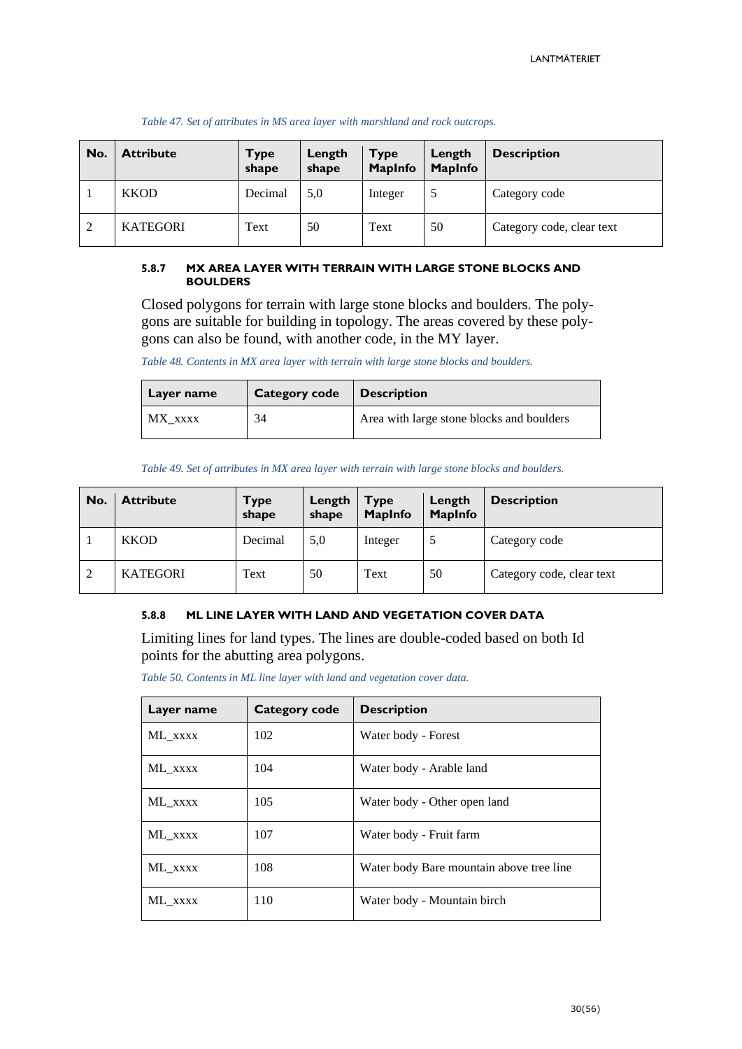| No. | <b>Attribute</b> | Type<br>shape | Length<br>shape | <b>Type</b><br><b>MapInfo</b> | Length<br><b>MapInfo</b> | <b>Description</b>        |
|-----|------------------|---------------|-----------------|-------------------------------|--------------------------|---------------------------|
|     | <b>KKOD</b>      | Decimal       | 5,0             | Integer                       |                          | Category code             |
| 2   | <b>KATEGORI</b>  | Text          | 50              | Text                          | 50                       | Category code, clear text |

#### *Table 47. Set of attributes in MS area layer with marshland and rock outcrops.*

#### <span id="page-29-0"></span>**5.8.7 MX AREA LAYER WITH TERRAIN WITH LARGE STONE BLOCKS AND BOULDERS**

Closed polygons for terrain with large stone blocks and boulders. The polygons are suitable for building in topology. The areas covered by these polygons can also be found, with another code, in the MY layer.

*Table 48. Contents in MX area layer with terrain with large stone blocks and boulders.*

| Layer name | <b>Category code</b> | <b>Description</b>                        |
|------------|----------------------|-------------------------------------------|
| MX xxxx    | 34                   | Area with large stone blocks and boulders |

*Table 49. Set of attributes in MX area layer with terrain with large stone blocks and boulders.*

| No. | <b>Attribute</b> | <b>Type</b><br>shape | Length<br>shape | <b>Type</b><br><b>MapInfo</b> | Length<br><b>MapInfo</b> | <b>Description</b>        |
|-----|------------------|----------------------|-----------------|-------------------------------|--------------------------|---------------------------|
|     | <b>KKOD</b>      | Decimal              | 5,0             | Integer                       |                          | Category code             |
| 2   | <b>KATEGORI</b>  | Text                 | 50              | Text                          | 50                       | Category code, clear text |

#### <span id="page-29-1"></span>**5.8.8 ML LINE LAYER WITH LAND AND VEGETATION COVER DATA**

Limiting lines for land types. The lines are double-coded based on both Id points for the abutting area polygons.

*Table 50. Contents in ML line layer with land and vegetation cover data.*

| Layer name | <b>Category code</b> | <b>Description</b>                       |
|------------|----------------------|------------------------------------------|
| ML XXXX    | 102                  | Water body - Forest                      |
| ML XXXX    | 104                  | Water body - Arable land                 |
| ML XXXX    | 105                  | Water body - Other open land             |
| ML_xxxx    | 107                  | Water body - Fruit farm                  |
| ML XXXX    | 108                  | Water body Bare mountain above tree line |
| ML XXXX    | 110                  | Water body - Mountain birch              |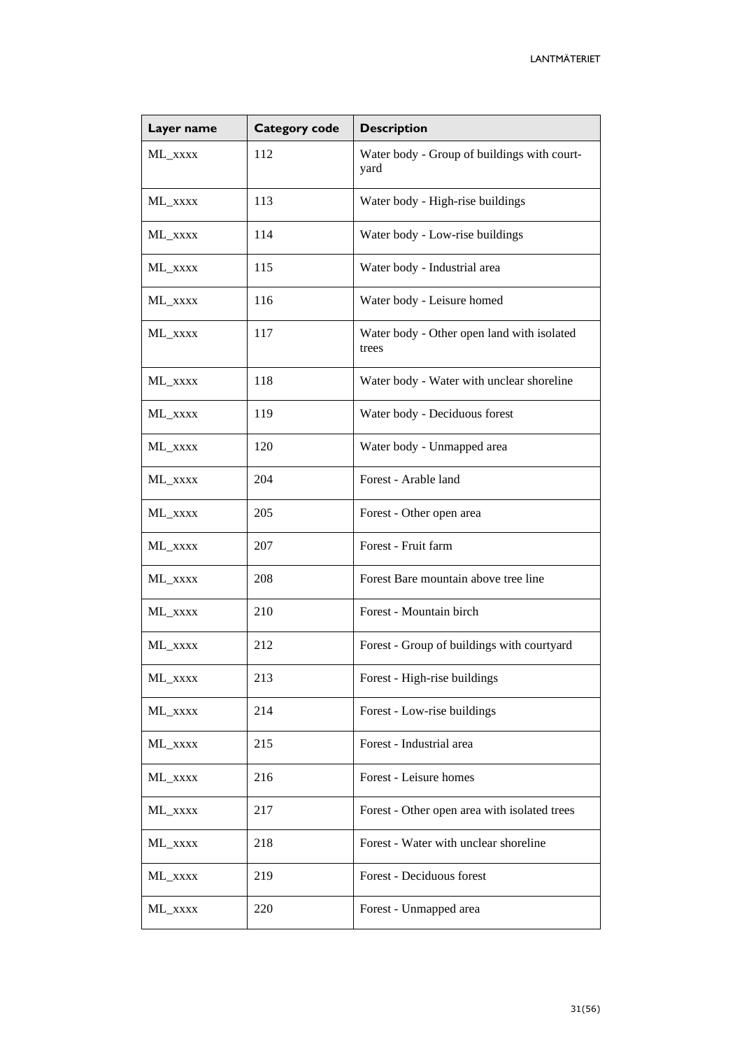| Layer name     | <b>Category code</b> | <b>Description</b>                                  |
|----------------|----------------------|-----------------------------------------------------|
| ML_xxxx        | 112                  | Water body - Group of buildings with court-<br>yard |
| ML_xxxx        | 113                  | Water body - High-rise buildings                    |
| ML_xxxx        | 114                  | Water body - Low-rise buildings                     |
| ML_xxxx        | 115                  | Water body - Industrial area                        |
| ML_xxxx        | 116                  | Water body - Leisure homed                          |
| ML_xxxx        | 117                  | Water body - Other open land with isolated<br>trees |
| ML_xxxx        | 118                  | Water body - Water with unclear shoreline           |
| ML_xxxx        | 119                  | Water body - Deciduous forest                       |
| ML_xxxx        | 120                  | Water body - Unmapped area                          |
| ML_xxxx        | 204                  | Forest - Arable land                                |
| ML_xxxx        | 205                  | Forest - Other open area                            |
| ML_xxxx        | 207                  | Forest - Fruit farm                                 |
| ML_xxxx        | 208                  | Forest Bare mountain above tree line                |
| ML_xxxx        | 210                  | Forest - Mountain birch                             |
| ML_xxxx        | 212                  | Forest - Group of buildings with courtyard          |
| $\rm ML\_xxxx$ | 213                  | Forest - High-rise buildings                        |
| ML_xxxx        | 214                  | Forest - Low-rise buildings                         |
| ML_xxxx        | 215                  | Forest - Industrial area                            |
| ML_xxxx        | 216                  | Forest - Leisure homes                              |
| ML_xxxx        | 217                  | Forest - Other open area with isolated trees        |
| ML_xxxx        | 218                  | Forest - Water with unclear shoreline               |
| ML_xxxx        | 219                  | Forest - Deciduous forest                           |
| ML_xxxx        | 220                  | Forest - Unmapped area                              |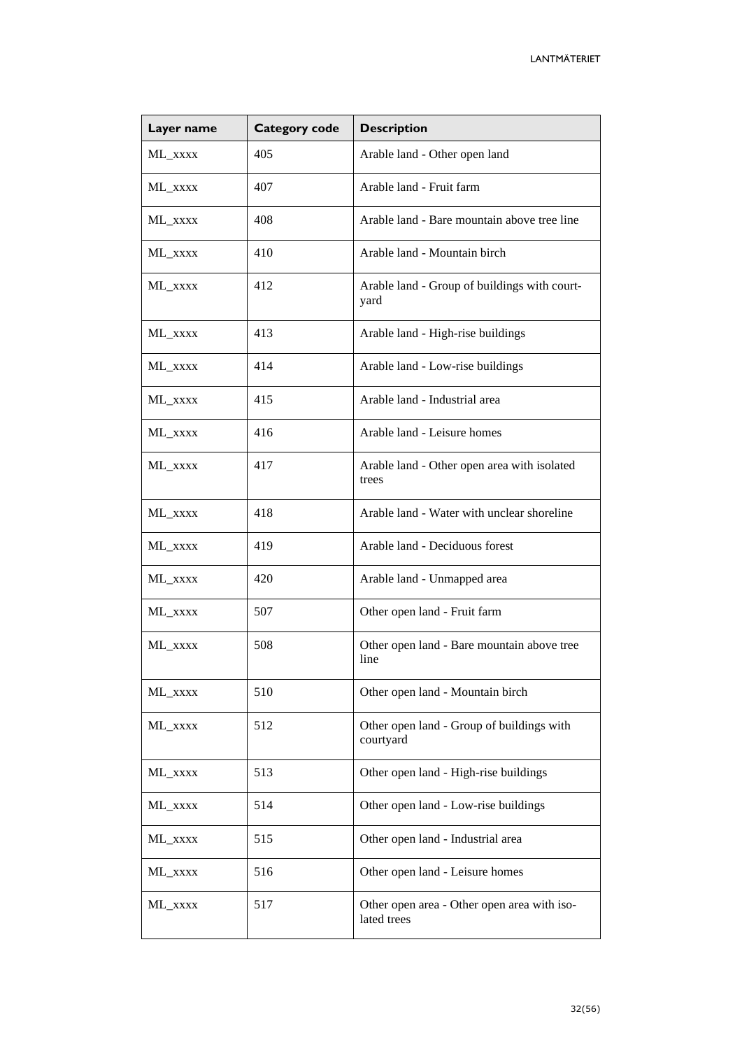| Layer name | <b>Category code</b> | <b>Description</b>                                         |
|------------|----------------------|------------------------------------------------------------|
| ML_xxxx    | 405                  | Arable land - Other open land                              |
| ML_xxxx    | 407                  | Arable land - Fruit farm                                   |
| ML_xxxx    | 408                  | Arable land - Bare mountain above tree line                |
| ML_xxxx    | 410                  | Arable land - Mountain birch                               |
| ML_xxxx    | 412                  | Arable land - Group of buildings with court-<br>yard       |
| ML_xxxx    | 413                  | Arable land - High-rise buildings                          |
| ML_xxxx    | 414                  | Arable land - Low-rise buildings                           |
| ML_xxxx    | 415                  | Arable land - Industrial area                              |
| ML_xxxx    | 416                  | Arable land - Leisure homes                                |
| ML_xxxx    | 417                  | Arable land - Other open area with isolated<br>trees       |
| ML_xxxx    | 418                  | Arable land - Water with unclear shoreline                 |
| ML_xxxx    | 419                  | Arable land - Deciduous forest                             |
| ML_xxxx    | 420                  | Arable land - Unmapped area                                |
| ML_xxxx    | 507                  | Other open land - Fruit farm                               |
| ML_xxxx    | 508                  | Other open land - Bare mountain above tree<br>line         |
| ML_xxxx    | 510                  | Other open land - Mountain birch                           |
| ML_xxxx    | 512                  | Other open land - Group of buildings with<br>courtyard     |
| ML_xxxx    | 513                  | Other open land - High-rise buildings                      |
| ML_xxxx    | 514                  | Other open land - Low-rise buildings                       |
| ML_xxxx    | 515                  | Other open land - Industrial area                          |
| ML_xxxx    | 516                  | Other open land - Leisure homes                            |
| ML_xxxx    | 517                  | Other open area - Other open area with iso-<br>lated trees |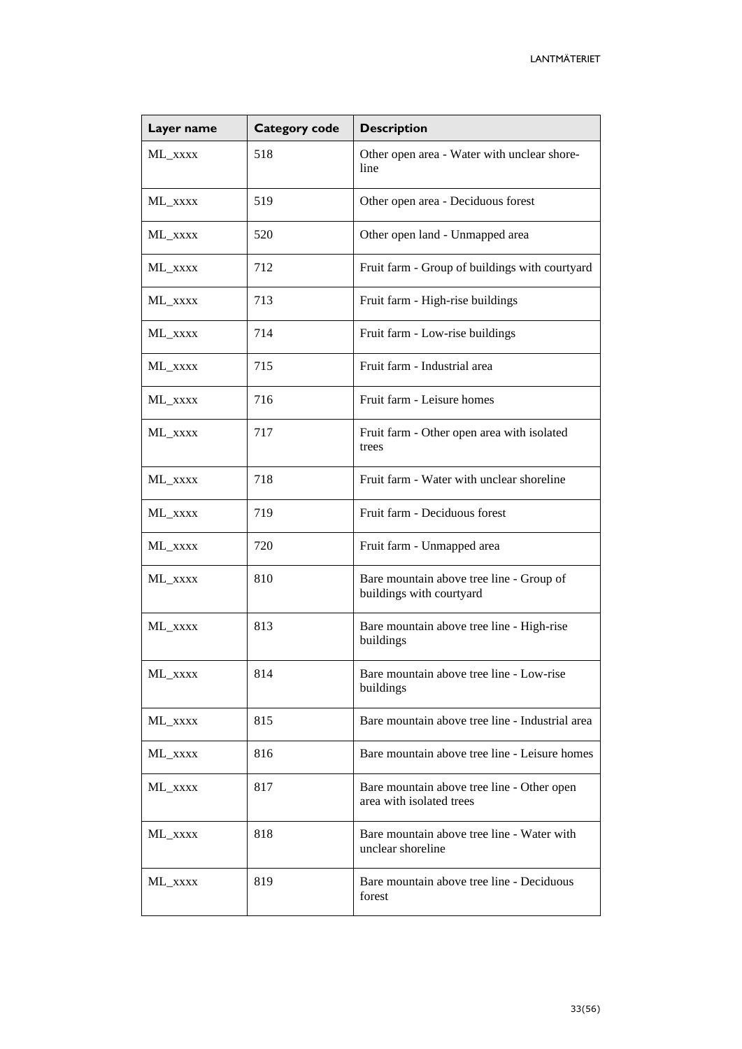| Layer name | <b>Category code</b> | <b>Description</b>                                                     |
|------------|----------------------|------------------------------------------------------------------------|
| ML_xxxx    | 518                  | Other open area - Water with unclear shore-<br>line                    |
| ML_xxxx    | 519                  | Other open area - Deciduous forest                                     |
| ML_xxxx    | 520                  | Other open land - Unmapped area                                        |
| ML_xxxx    | 712                  | Fruit farm - Group of buildings with courtyard                         |
| ML_xxxx    | 713                  | Fruit farm - High-rise buildings                                       |
| ML_xxxx    | 714                  | Fruit farm - Low-rise buildings                                        |
| ML_xxxx    | 715                  | Fruit farm - Industrial area                                           |
| ML_xxxx    | 716                  | Fruit farm - Leisure homes                                             |
| ML_xxxx    | 717                  | Fruit farm - Other open area with isolated<br>trees                    |
| ML_xxxx    | 718                  | Fruit farm - Water with unclear shoreline                              |
| ML_xxxx    | 719                  | Fruit farm - Deciduous forest                                          |
| ML_xxxx    | 720                  | Fruit farm - Unmapped area                                             |
| ML_xxxx    | 810                  | Bare mountain above tree line - Group of<br>buildings with courtyard   |
| ML_xxxx    | 813                  | Bare mountain above tree line - High-rise<br>buildings                 |
| ML_xxxx    | 814                  | Bare mountain above tree line - Low-rise<br>buildings                  |
| ML_xxxx    | 815                  | Bare mountain above tree line - Industrial area                        |
| ML_xxxx    | 816                  | Bare mountain above tree line - Leisure homes                          |
| ML_xxxx    | 817                  | Bare mountain above tree line - Other open<br>area with isolated trees |
| ML_xxxx    | 818                  | Bare mountain above tree line - Water with<br>unclear shoreline        |
| ML_xxxx    | 819                  | Bare mountain above tree line - Deciduous<br>forest                    |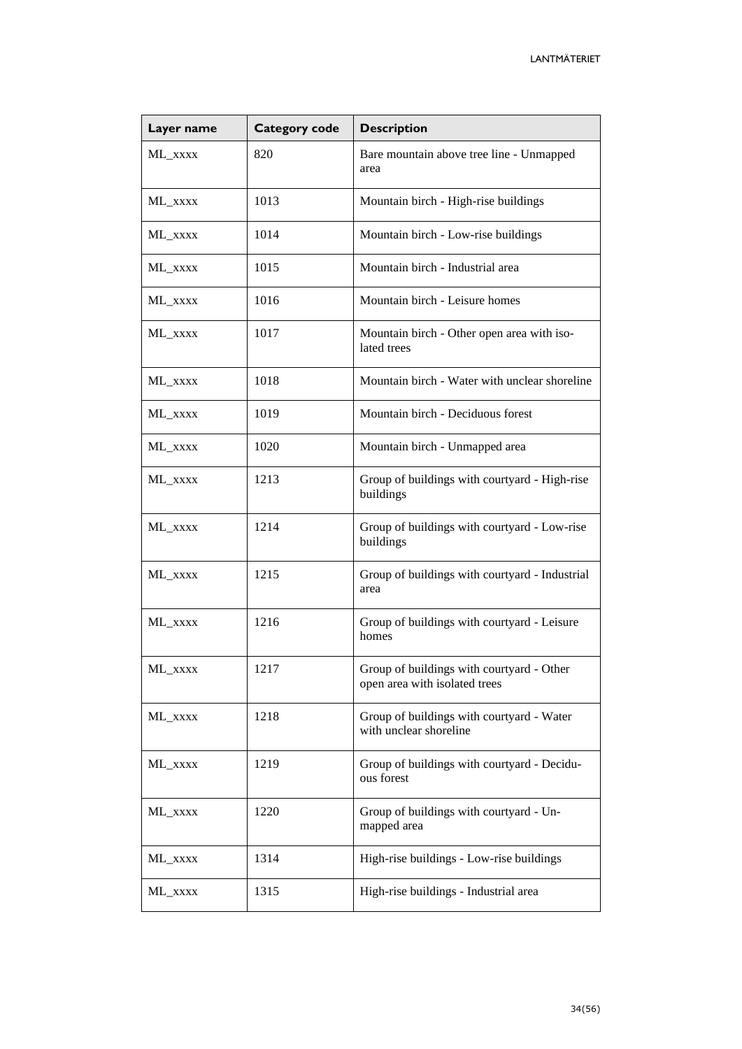| Layer name | <b>Category code</b> | <b>Description</b>                                                         |
|------------|----------------------|----------------------------------------------------------------------------|
| ML_xxxx    | 820                  | Bare mountain above tree line - Unmapped<br>area                           |
| ML XXXX    | 1013                 | Mountain birch - High-rise buildings                                       |
| ML_xxxx    | 1014                 | Mountain birch - Low-rise buildings                                        |
| ML_xxxx    | 1015                 | Mountain birch - Industrial area                                           |
| ML_xxxx    | 1016                 | Mountain birch - Leisure homes                                             |
| ML_xxxx    | 1017                 | Mountain birch - Other open area with iso-<br>lated trees                  |
| ML XXXX    | 1018                 | Mountain birch - Water with unclear shoreline                              |
| ML XXXX    | 1019                 | Mountain birch - Deciduous forest                                          |
| ML_xxxx    | 1020                 | Mountain birch - Unmapped area                                             |
| ML_xxxx    | 1213                 | Group of buildings with courtyard - High-rise<br>buildings                 |
| ML_xxxx    | 1214                 | Group of buildings with courtyard - Low-rise<br>buildings                  |
| ML_xxxx    | 1215                 | Group of buildings with courtyard - Industrial<br>area                     |
| ML_xxxx    | 1216                 | Group of buildings with courtyard - Leisure<br>homes                       |
| ML_xxxx    | 1217                 | Group of buildings with courtyard - Other<br>open area with isolated trees |
| ML_xxxx    | 1218                 | Group of buildings with courtyard - Water<br>with unclear shoreline        |
| ML_xxxx    | 1219                 | Group of buildings with courtyard - Decidu-<br>ous forest                  |
| ML_xxxx    | 1220                 | Group of buildings with courtyard - Un-<br>mapped area                     |
| ML_xxxx    | 1314                 | High-rise buildings - Low-rise buildings                                   |
| ML_xxxx    | 1315                 | High-rise buildings - Industrial area                                      |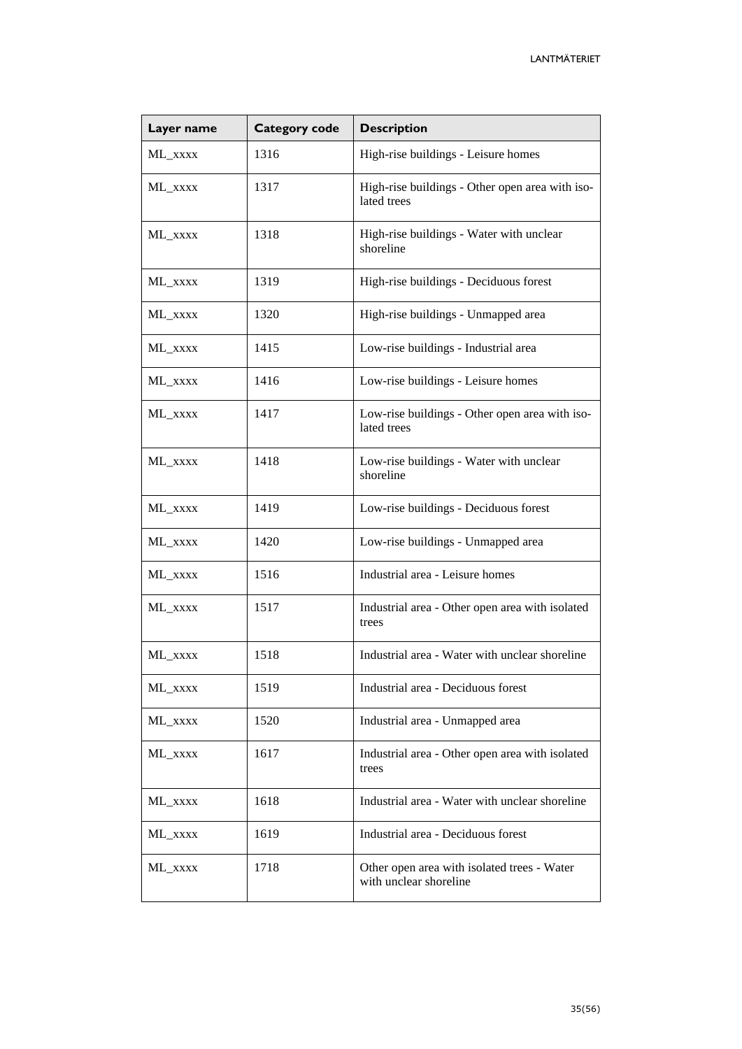| Layer name | <b>Category code</b> | <b>Description</b>                                                    |
|------------|----------------------|-----------------------------------------------------------------------|
| ML_xxxx    | 1316                 | High-rise buildings - Leisure homes                                   |
| ML_xxxx    | 1317                 | High-rise buildings - Other open area with iso-<br>lated trees        |
| ML_xxxx    | 1318                 | High-rise buildings - Water with unclear<br>shoreline                 |
| ML_xxxx    | 1319                 | High-rise buildings - Deciduous forest                                |
| ML_xxxx    | 1320                 | High-rise buildings - Unmapped area                                   |
| ML_xxxx    | 1415                 | Low-rise buildings - Industrial area                                  |
| ML_xxxx    | 1416                 | Low-rise buildings - Leisure homes                                    |
| ML XXXX    | 1417                 | Low-rise buildings - Other open area with iso-<br>lated trees         |
| ML_xxxx    | 1418                 | Low-rise buildings - Water with unclear<br>shoreline                  |
| ML_xxxx    | 1419                 | Low-rise buildings - Deciduous forest                                 |
| ML_xxxx    | 1420                 | Low-rise buildings - Unmapped area                                    |
| ML_xxxx    | 1516                 | Industrial area - Leisure homes                                       |
| ML_xxxx    | 1517                 | Industrial area - Other open area with isolated<br>trees              |
| ML_xxxx    | 1518                 | Industrial area - Water with unclear shoreline                        |
| ML_xxxx    | 1519                 | Industrial area - Deciduous forest                                    |
| ML_xxxx    | 1520                 | Industrial area - Unmapped area                                       |
| ML_xxxx    | 1617                 | Industrial area - Other open area with isolated<br>trees              |
| ML_xxxx    | 1618                 | Industrial area - Water with unclear shoreline                        |
| ML_xxxx    | 1619                 | Industrial area - Deciduous forest                                    |
| ML_xxxx    | 1718                 | Other open area with isolated trees - Water<br>with unclear shoreline |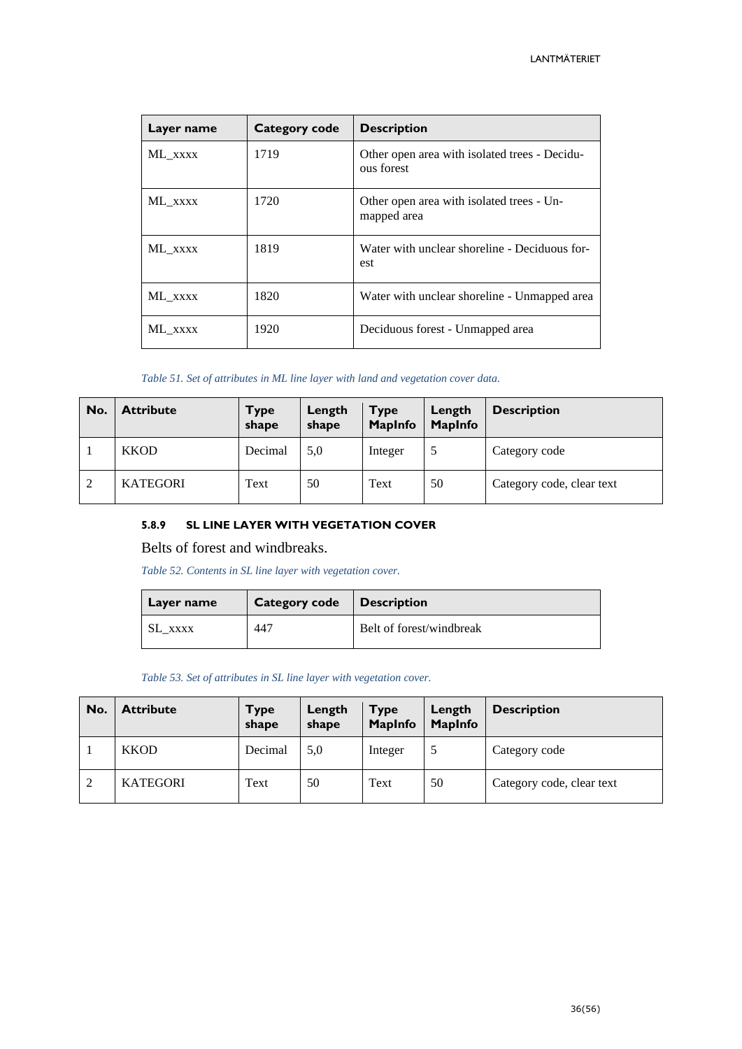| Layer name | Category code | <b>Description</b>                                          |
|------------|---------------|-------------------------------------------------------------|
| ML XXXX    | 1719          | Other open area with isolated trees - Decidu-<br>ous forest |
| ML XXXX    | 1720          | Other open area with isolated trees - Un-<br>mapped area    |
| ML XXXX    | 1819          | Water with unclear shoreline - Deciduous for-<br>est.       |
| ML XXXX    | 1820          | Water with unclear shoreline - Unmapped area                |
| ML XXXX    | 1920          | Deciduous forest - Unmapped area                            |

#### *Table 51. Set of attributes in ML line layer with land and vegetation cover data.*

| No.            | <b>Attribute</b> | Type<br>shape | Length<br>shape | <b>Type</b><br><b>MapInfo</b> | Length<br><b>MapInfo</b> | <b>Description</b>        |
|----------------|------------------|---------------|-----------------|-------------------------------|--------------------------|---------------------------|
|                | <b>KKOD</b>      | Decimal       | 5,0             | Integer                       |                          | Category code             |
| $\overline{2}$ | <b>KATEGORI</b>  | Text          | 50              | Text                          | 50                       | Category code, clear text |

#### <span id="page-35-0"></span>**5.8.9 SL LINE LAYER WITH VEGETATION COVER**

Belts of forest and windbreaks.

*Table 52. Contents in SL line layer with vegetation cover.*

| Layer name | <b>Category code</b> | <b>Description</b>       |
|------------|----------------------|--------------------------|
| SL XXXX    | 447                  | Belt of forest/windbreak |

*Table 53. Set of attributes in SL line layer with vegetation cover.*

| No.            | <b>Attribute</b> | Type<br>shape | Length<br>shape | <b>Type</b><br><b>MapInfo</b> | Length<br><b>MapInfo</b> | <b>Description</b>        |
|----------------|------------------|---------------|-----------------|-------------------------------|--------------------------|---------------------------|
|                | <b>KKOD</b>      | Decimal       | 5.0             | Integer                       |                          | Category code             |
| $\overline{2}$ | <b>KATEGORI</b>  | Text          | 50              | Text                          | 50                       | Category code, clear text |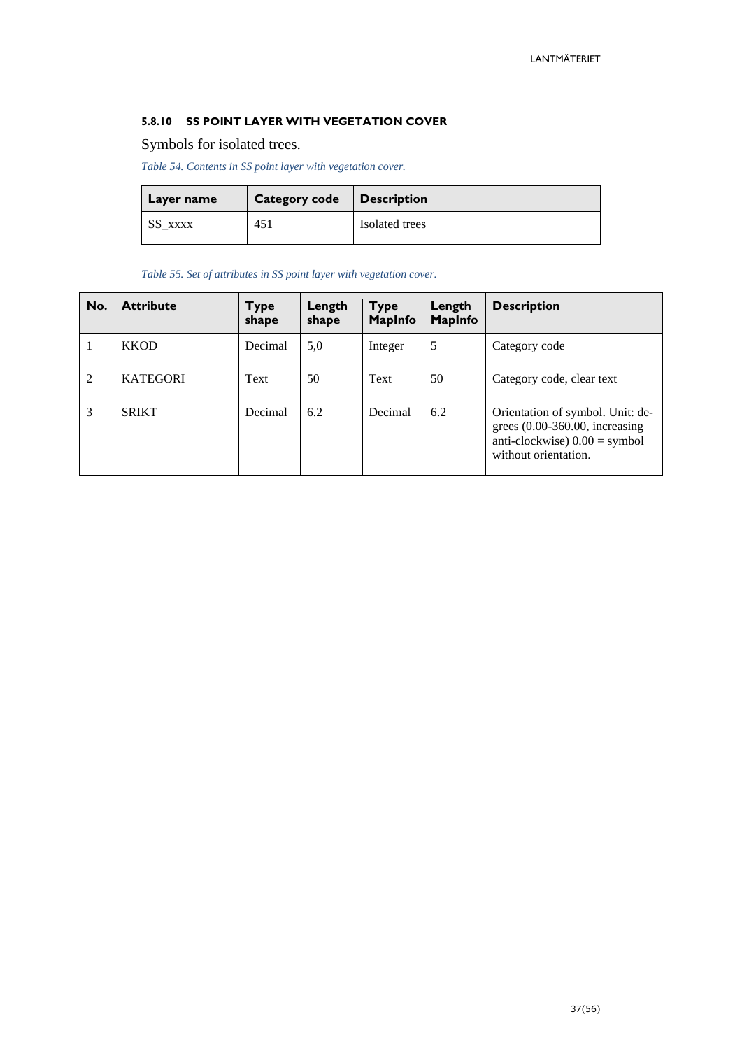#### <span id="page-36-0"></span>**5.8.10 SS POINT LAYER WITH VEGETATION COVER**

## Symbols for isolated trees.

*Table 54. Contents in SS point layer with vegetation cover.*

| Layer name | <b>Category code</b> | $\mid$ Description |
|------------|----------------------|--------------------|
| SS XXXX    | 451                  | Isolated trees     |

*Table 55. Set of attributes in SS point layer with vegetation cover.*

| No. | <b>Attribute</b> | Type<br>shape | Length<br>shape | <b>Type</b><br><b>MapInfo</b> | Length<br><b>MapInfo</b> | <b>Description</b>                                                                                                              |
|-----|------------------|---------------|-----------------|-------------------------------|--------------------------|---------------------------------------------------------------------------------------------------------------------------------|
|     | <b>KKOD</b>      | Decimal       | 5,0             | Integer                       | 5                        | Category code                                                                                                                   |
| 2   | <b>KATEGORI</b>  | Text          | 50              | Text                          | 50                       | Category code, clear text                                                                                                       |
| 3   | <b>SRIKT</b>     | Decimal       | 6.2             | Decimal                       | 6.2                      | Orientation of symbol. Unit: de-<br>grees $(0.00-360.00,$ increasing<br>anti-clockwise) $0.00 =$ symbol<br>without orientation. |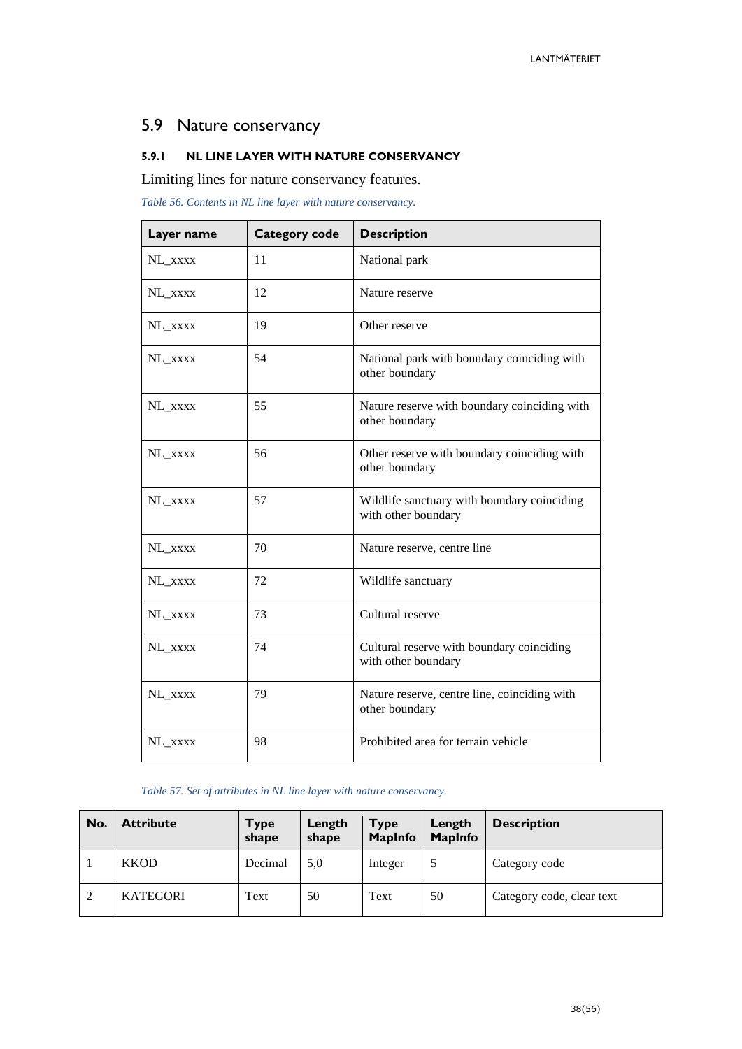# <span id="page-37-0"></span>5.9 Nature conservancy

#### <span id="page-37-1"></span>**5.9.1 NL LINE LAYER WITH NATURE CONSERVANCY**

Limiting lines for nature conservancy features.

*Table 56. Contents in NL line layer with nature conservancy.*

| Layer name | <b>Category code</b> | <b>Description</b>                                                 |
|------------|----------------------|--------------------------------------------------------------------|
| NL_xxxx    | 11                   | National park                                                      |
| NL XXXX    | 12                   | Nature reserve                                                     |
| NL_xxxx    | 19                   | Other reserve                                                      |
| NL_xxxx    | 54                   | National park with boundary coinciding with<br>other boundary      |
| NL_xxxx    | 55                   | Nature reserve with boundary coinciding with<br>other boundary     |
| NL_xxxx    | 56                   | Other reserve with boundary coinciding with<br>other boundary      |
| NL_xxxx    | 57                   | Wildlife sanctuary with boundary coinciding<br>with other boundary |
| NL_xxxx    | 70                   | Nature reserve, centre line                                        |
| NL_xxxx    | 72                   | Wildlife sanctuary                                                 |
| NL_xxxx    | 73                   | Cultural reserve                                                   |
| NL_xxxx    | 74                   | Cultural reserve with boundary coinciding<br>with other boundary   |
| NL_xxxx    | 79                   | Nature reserve, centre line, coinciding with<br>other boundary     |
| NL_xxxx    | 98                   | Prohibited area for terrain vehicle                                |

#### *Table 57. Set of attributes in NL line layer with nature conservancy.*

| No. | <b>Attribute</b> | <b>Type</b><br>shape | Length<br>shape | <b>Type</b><br><b>MapInfo</b> | Length<br><b>MapInfo</b> | <b>Description</b>        |
|-----|------------------|----------------------|-----------------|-------------------------------|--------------------------|---------------------------|
|     | <b>KKOD</b>      | Decimal              | 5.0             | Integer                       |                          | Category code             |
| 2   | <b>KATEGORI</b>  | Text                 | 50              | Text                          | 50                       | Category code, clear text |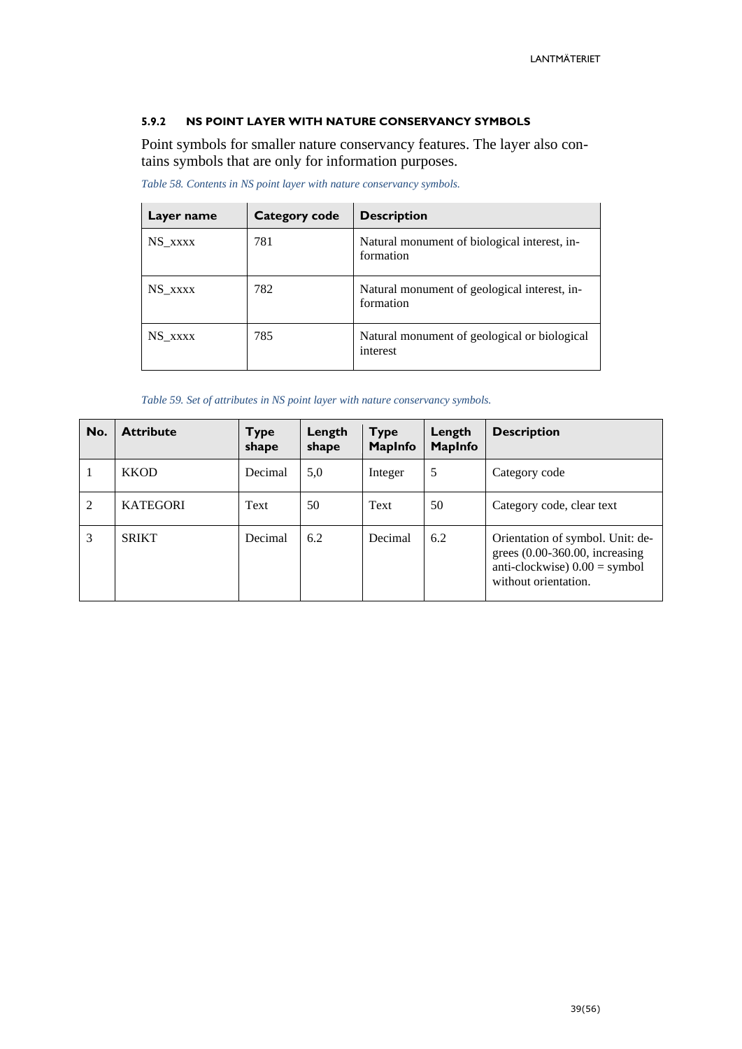#### <span id="page-38-0"></span>**5.9.2 NS POINT LAYER WITH NATURE CONSERVANCY SYMBOLS**

Point symbols for smaller nature conservancy features. The layer also contains symbols that are only for information purposes.

| Layer name | Category code | <b>Description</b>                                        |
|------------|---------------|-----------------------------------------------------------|
| NS XXXX    | 781           | Natural monument of biological interest, in-<br>formation |
| NS XXXX    | 782           | Natural monument of geological interest, in-<br>formation |
| NS XXXX    | 785           | Natural monument of geological or biological<br>interest  |

*Table 58. Contents in NS point layer with nature conservancy symbols.*

*Table 59. Set of attributes in NS point layer with nature conservancy symbols.*

| No. | <b>Attribute</b> | <b>Type</b><br>shape | Length<br>shape | <b>Type</b><br><b>MapInfo</b> | Length<br><b>MapInfo</b> | <b>Description</b>                                                                                                              |
|-----|------------------|----------------------|-----------------|-------------------------------|--------------------------|---------------------------------------------------------------------------------------------------------------------------------|
|     | <b>KKOD</b>      | Decimal              | 5,0             | Integer                       | 5                        | Category code                                                                                                                   |
| 2   | <b>KATEGORI</b>  | Text                 | 50              | Text                          | 50                       | Category code, clear text                                                                                                       |
| 3   | <b>SRIKT</b>     | Decimal              | 6.2             | Decimal                       | 6.2                      | Orientation of symbol. Unit: de-<br>grees $(0.00-360.00,$ increasing<br>anti-clockwise) $0.00 =$ symbol<br>without orientation. |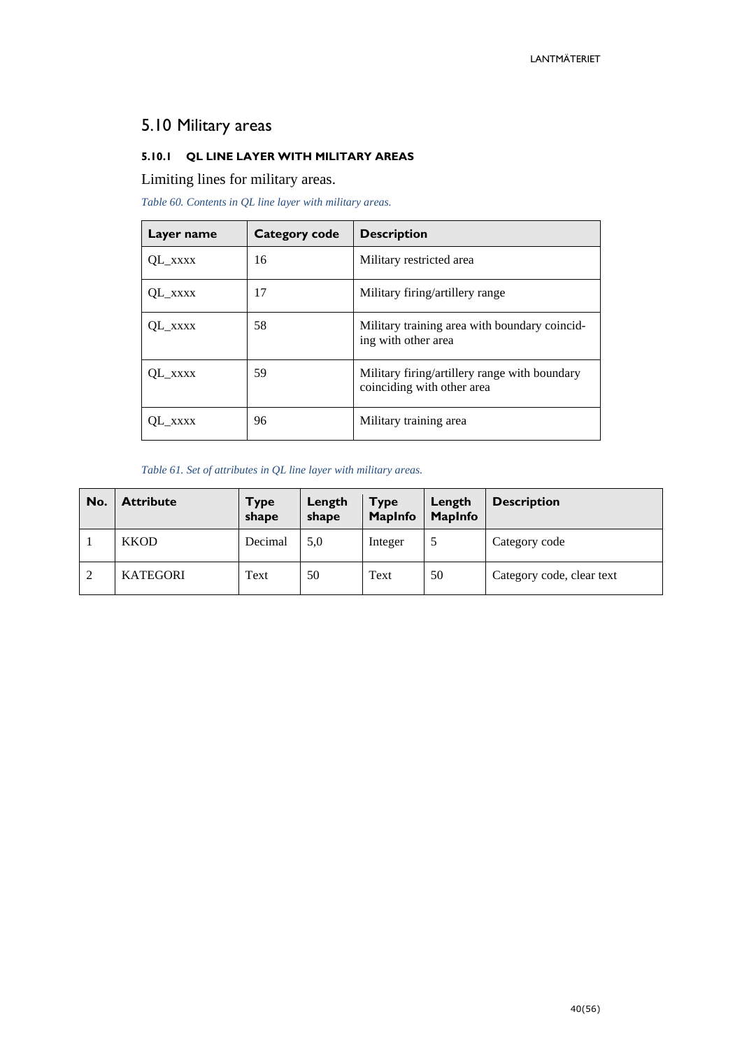# <span id="page-39-0"></span>5.10 Military areas

### <span id="page-39-1"></span>**5.10.1 QL LINE LAYER WITH MILITARY AREAS**

Limiting lines for military areas.

*Table 60. Contents in QL line layer with military areas.*

| Layer name | Category code | <b>Description</b>                                                          |
|------------|---------------|-----------------------------------------------------------------------------|
| QL XXXX    | 16            | Military restricted area                                                    |
| OL XXXX    | 17            | Military firing/artillery range                                             |
| OL XXXX    | 58            | Military training area with boundary coincid-<br>ing with other area        |
| QL_xxxx    | 59            | Military firing/artillery range with boundary<br>coinciding with other area |
| OL XXXX    | 96            | Military training area                                                      |

*Table 61. Set of attributes in QL line layer with military areas.*

| No. | <b>Attribute</b> | <b>Type</b><br>shape | Length<br>shape | <b>Type</b><br><b>MapInfo</b> | Length<br><b>MapInfo</b> | <b>Description</b>        |
|-----|------------------|----------------------|-----------------|-------------------------------|--------------------------|---------------------------|
|     | <b>KKOD</b>      | Decimal              | 5,0             | Integer                       |                          | Category code             |
| 2   | <b>KATEGORI</b>  | Text                 | 50              | Text                          | 50                       | Category code, clear text |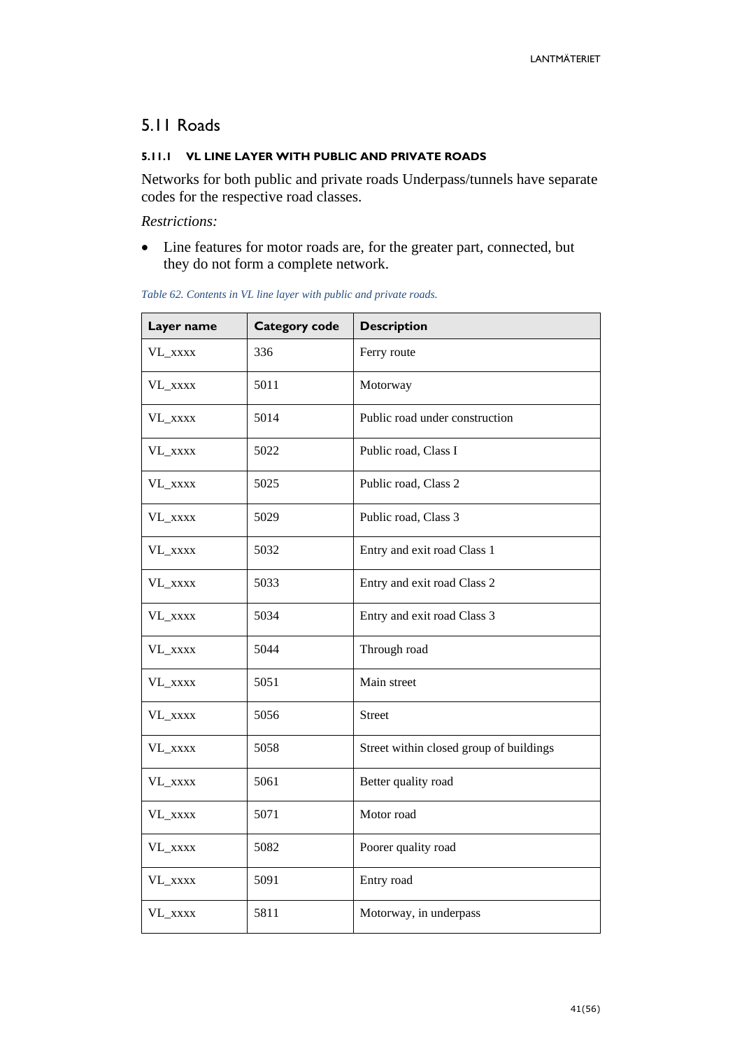# <span id="page-40-0"></span>5.11 Roads

#### <span id="page-40-1"></span>**5.11.1 VL LINE LAYER WITH PUBLIC AND PRIVATE ROADS**

Networks for both public and private roads Underpass/tunnels have separate codes for the respective road classes.

*Restrictions:*

• Line features for motor roads are, for the greater part, connected, but they do not form a complete network.

| Layer name | <b>Category code</b> | <b>Description</b>                      |
|------------|----------------------|-----------------------------------------|
| VL_xxxx    | 336                  | Ferry route                             |
| VL_xxxx    | 5011                 | Motorway                                |
| VL_xxxx    | 5014                 | Public road under construction          |
| VL_xxxx    | 5022                 | Public road, Class I                    |
| VL_xxxx    | 5025                 | Public road, Class 2                    |
| VL_xxxx    | 5029                 | Public road, Class 3                    |
| VL_xxxx    | 5032                 | Entry and exit road Class 1             |
| VL_xxxx    | 5033                 | Entry and exit road Class 2             |
| VL_xxxx    | 5034                 | Entry and exit road Class 3             |
| VL_xxxx    | 5044                 | Through road                            |
| VL_xxxx    | 5051                 | Main street                             |
| VL_xxxx    | 5056                 | <b>Street</b>                           |
| VL_xxxx    | 5058                 | Street within closed group of buildings |
| VL_xxxx    | 5061                 | Better quality road                     |
| VL_xxxx    | 5071                 | Motor road                              |
| VL_xxxx    | 5082                 | Poorer quality road                     |
| VL_xxxx    | 5091                 | Entry road                              |
| VL_xxxx    | 5811                 | Motorway, in underpass                  |

#### *Table 62. Contents in VL line layer with public and private roads.*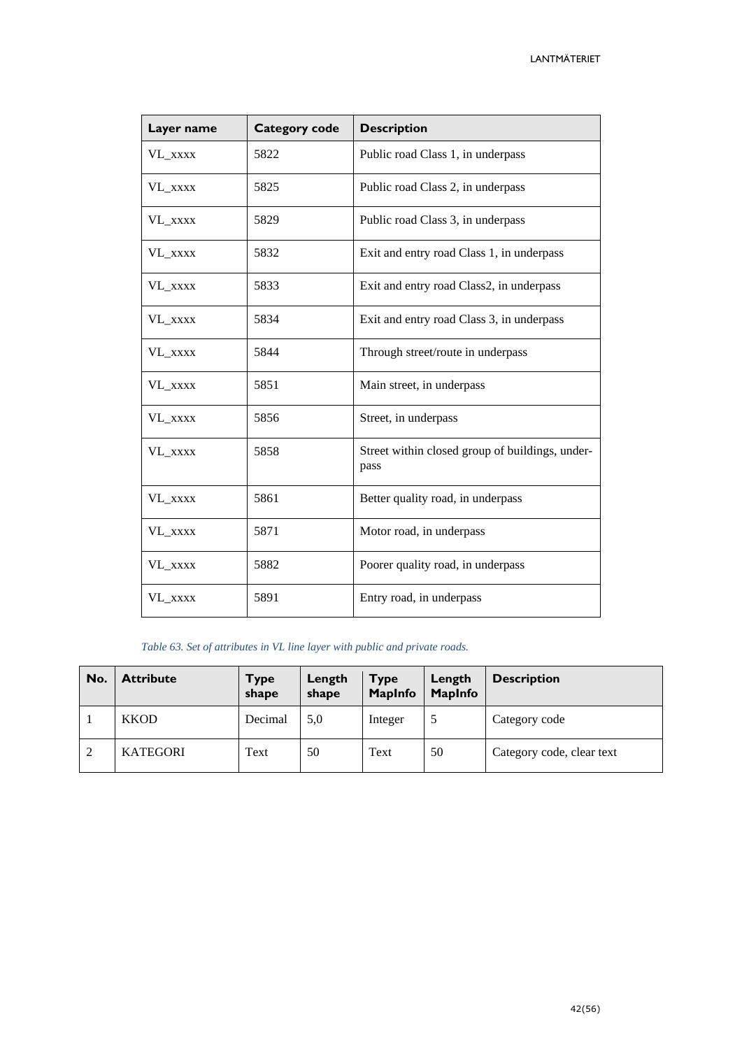| Layer name | <b>Category code</b> | <b>Description</b>                                      |
|------------|----------------------|---------------------------------------------------------|
| VL_xxxx    | 5822                 | Public road Class 1, in underpass                       |
| VL_xxxx    | 5825                 | Public road Class 2, in underpass                       |
| VL_xxxx    | 5829                 | Public road Class 3, in underpass                       |
| VL_xxxx    | 5832                 | Exit and entry road Class 1, in underpass               |
| VL_xxxx    | 5833                 | Exit and entry road Class2, in underpass                |
| VL_xxxx    | 5834                 | Exit and entry road Class 3, in underpass               |
| VL_xxxx    | 5844                 | Through street/route in underpass                       |
| VL_xxxx    | 5851                 | Main street, in underpass                               |
| VL_xxxx    | 5856                 | Street, in underpass                                    |
| VL XXXX    | 5858                 | Street within closed group of buildings, under-<br>pass |
| VL_xxxx    | 5861                 | Better quality road, in underpass                       |
| VL_xxxx    | 5871                 | Motor road, in underpass                                |
| VL_xxxx    | 5882                 | Poorer quality road, in underpass                       |
| VL_xxxx    | 5891                 | Entry road, in underpass                                |

#### *Table 63. Set of attributes in VL line layer with public and private roads.*

| No.            | <b>Attribute</b> | Type<br>shape | Length<br>shape | <b>Type</b><br><b>MapInfo</b> | Length<br><b>MapInfo</b> | <b>Description</b>        |
|----------------|------------------|---------------|-----------------|-------------------------------|--------------------------|---------------------------|
|                | <b>KKOD</b>      | Decimal       | 5,0             | Integer                       |                          | Category code             |
| $\overline{2}$ | <b>KATEGORI</b>  | Text          | 50              | Text                          | 50                       | Category code, clear text |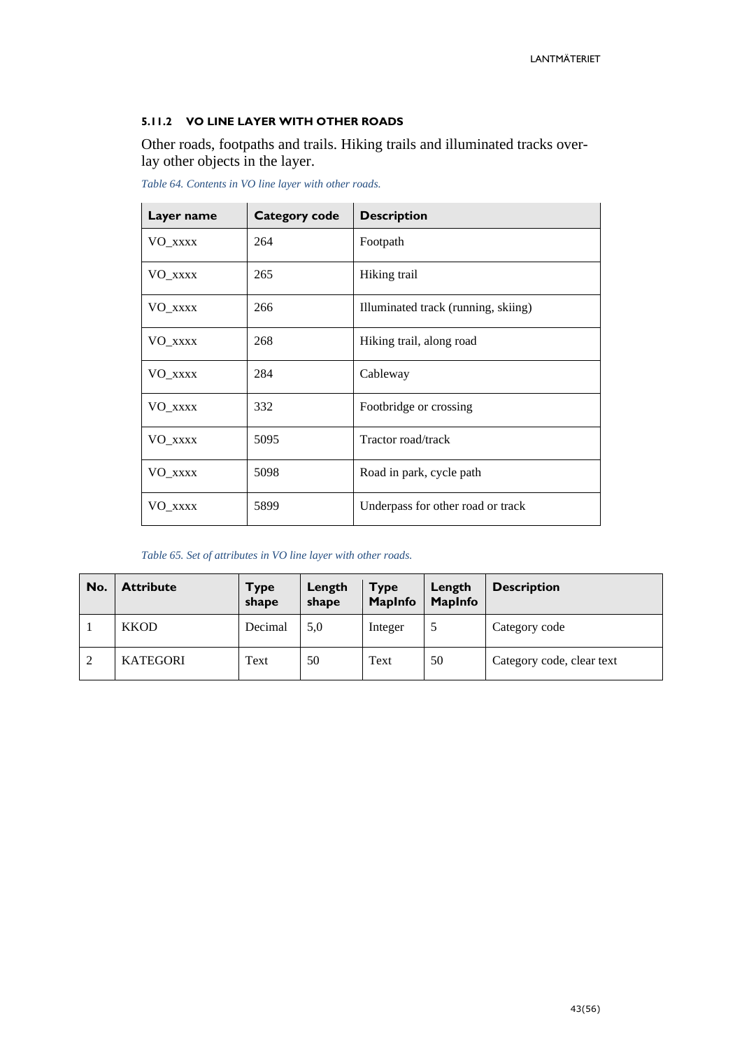#### <span id="page-42-0"></span>**5.11.2 VO LINE LAYER WITH OTHER ROADS**

Other roads, footpaths and trails. Hiking trails and illuminated tracks overlay other objects in the layer.

| Layer name | <b>Category code</b> | <b>Description</b>                  |
|------------|----------------------|-------------------------------------|
| VO_xxxx    | 264                  | Footpath                            |
| VO_xxxx    | 265                  | Hiking trail                        |
| VO_xxxx    | 266                  | Illuminated track (running, skiing) |
| VO_xxxx    | 268                  | Hiking trail, along road            |
| VO_xxxx    | 284                  | Cableway                            |
| VO_xxxx    | 332                  | Footbridge or crossing              |
| VO_xxxx    | 5095                 | Tractor road/track                  |
| VO_xxxx    | 5098                 | Road in park, cycle path            |
| VO_xxxx    | 5899                 | Underpass for other road or track   |

*Table 64. Contents in VO line layer with other roads.*

*Table 65. Set of attributes in VO line layer with other roads.*

| No. | <b>Attribute</b> | <b>Type</b><br>shape | Length<br>shape | <b>Type</b><br><b>MapInfo</b> | Length<br><b>MapInfo</b> | <b>Description</b>        |
|-----|------------------|----------------------|-----------------|-------------------------------|--------------------------|---------------------------|
|     | <b>KKOD</b>      | Decimal              | 5.0             | Integer                       |                          | Category code             |
| 2   | <b>KATEGORI</b>  | Text                 | 50              | Text                          | 50                       | Category code, clear text |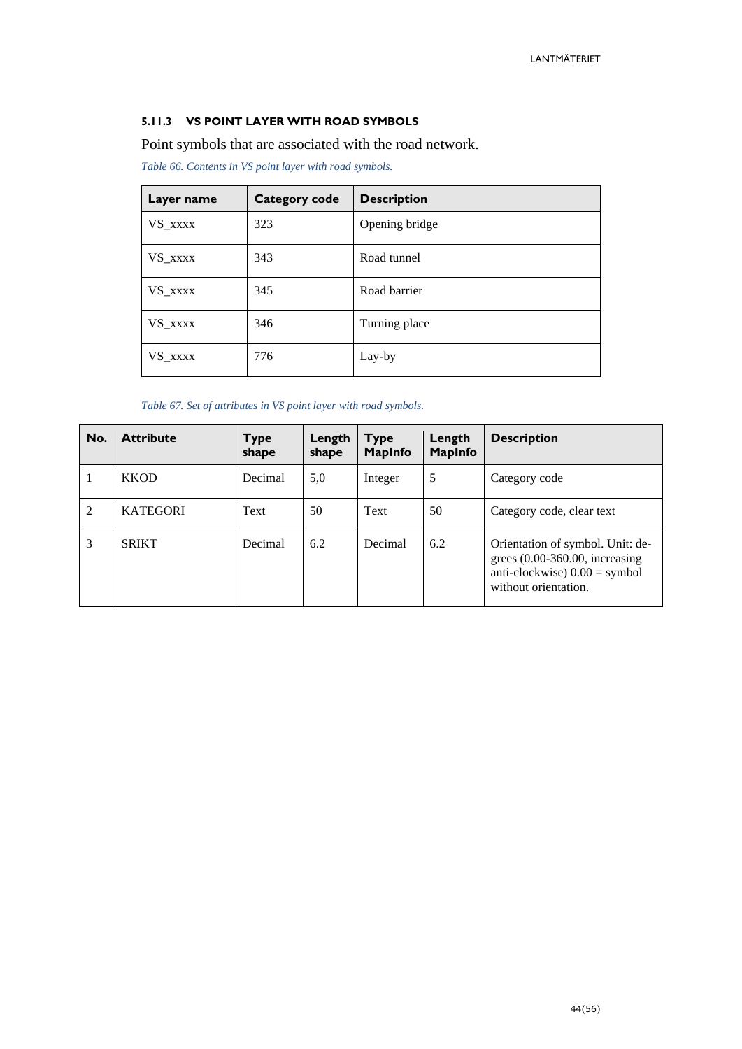#### <span id="page-43-0"></span>**5.11.3 VS POINT LAYER WITH ROAD SYMBOLS**

Point symbols that are associated with the road network.

*Table 66. Contents in VS point layer with road symbols.*

| Layer name | Category code | <b>Description</b> |
|------------|---------------|--------------------|
| VS_xxxx    | 323           | Opening bridge     |
| VS_xxxx    | 343           | Road tunnel        |
| VS_xxxx    | 345           | Road barrier       |
| VS_xxxx    | 346           | Turning place      |
| VS_xxxx    | 776           | Lay-by             |

*Table 67. Set of attributes in VS point layer with road symbols.*

| No.            | <b>Attribute</b> | <b>Type</b><br>shape | Length<br>shape | <b>Type</b><br><b>MapInfo</b> | Length<br><b>MapInfo</b> | <b>Description</b>                                                                                                             |
|----------------|------------------|----------------------|-----------------|-------------------------------|--------------------------|--------------------------------------------------------------------------------------------------------------------------------|
| 1              | <b>KKOD</b>      | Decimal              | 5,0             | Integer                       | 5                        | Category code                                                                                                                  |
| $\overline{2}$ | <b>KATEGORI</b>  | Text                 | 50              | Text                          | 50                       | Category code, clear text                                                                                                      |
| 3              | <b>SRIKT</b>     | Decimal              | 6.2             | Decimal                       | 6.2                      | Orientation of symbol. Unit: de-<br>grees $(0.00-360.00,$ increasing<br>anti-clockwise $0.00 =$ symbol<br>without orientation. |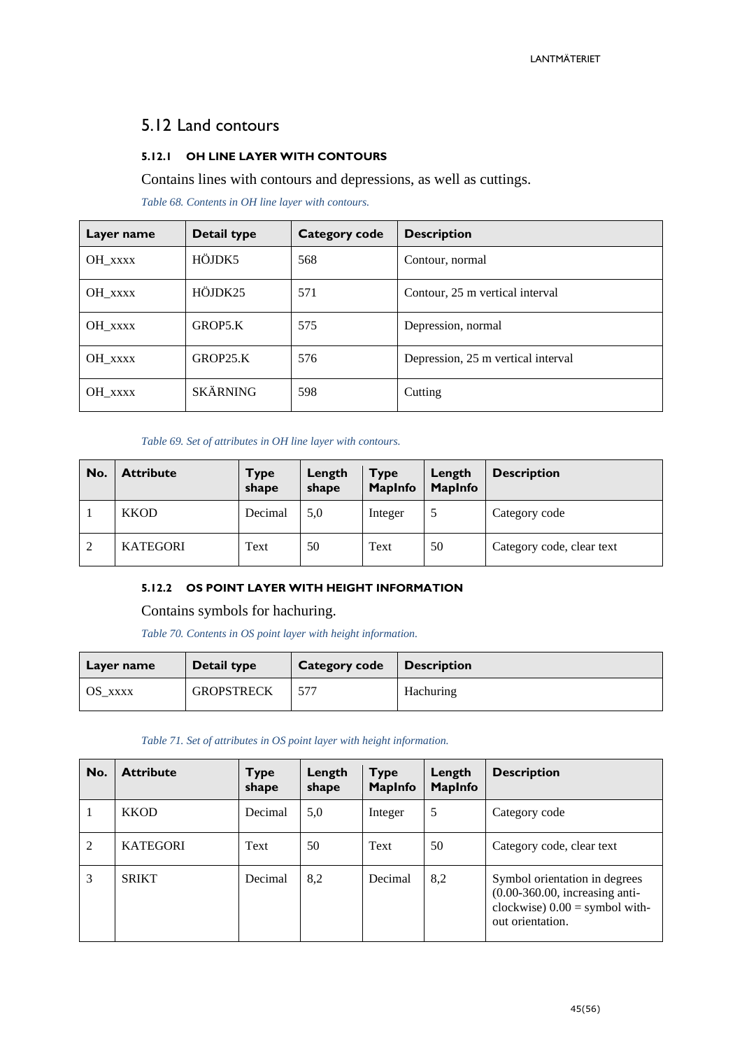# <span id="page-44-0"></span>5.12 Land contours

#### <span id="page-44-1"></span>**5.12.1 OH LINE LAYER WITH CONTOURS**

Contains lines with contours and depressions, as well as cuttings.

*Table 68. Contents in OH line layer with contours.*

| Layer name | Detail type     | Category code | <b>Description</b>                 |
|------------|-----------------|---------------|------------------------------------|
| OH_XXXX    | HÖJDK5          | 568           | Contour, normal                    |
| OH XXXX    | HÖJDK25         | 571           | Contour, 25 m vertical interval    |
| OH_XXXX    | GROP5.K         | 575           | Depression, normal                 |
| OH_XXXX    | GROP25.K        | 576           | Depression, 25 m vertical interval |
| OH XXXX    | <b>SKÄRNING</b> | 598           | Cutting                            |

#### *Table 69. Set of attributes in OH line layer with contours.*

| No.                | <b>Attribute</b> | <b>Type</b><br>shape | Length<br>shape | <b>Type</b><br><b>MapInfo</b> | Length<br><b>MapInfo</b> | <b>Description</b>        |
|--------------------|------------------|----------------------|-----------------|-------------------------------|--------------------------|---------------------------|
|                    | <b>KKOD</b>      | Decimal              | 5,0             | Integer                       |                          | Category code             |
| $\mathcal{D}$<br>∠ | <b>KATEGORI</b>  | Text                 | 50              | Text                          | 50                       | Category code, clear text |

#### <span id="page-44-2"></span>**5.12.2 OS POINT LAYER WITH HEIGHT INFORMATION**

#### Contains symbols for hachuring.

*Table 70. Contents in OS point layer with height information.*

| Layer name | Detail type       | Category code | <b>Description</b> |
|------------|-------------------|---------------|--------------------|
| OS XXXX    | <b>GROPSTRECK</b> | 577           | Hachuring          |

| Table 71. Set of attributes in OS point layer with height information. |  |  |  |
|------------------------------------------------------------------------|--|--|--|
|------------------------------------------------------------------------|--|--|--|

| No.            | <b>Attribute</b> | <b>Type</b><br>shape | Length<br>shape | <b>Type</b><br><b>MapInfo</b> | Length<br><b>MapInfo</b> | <b>Description</b>                                                                                                        |
|----------------|------------------|----------------------|-----------------|-------------------------------|--------------------------|---------------------------------------------------------------------------------------------------------------------------|
|                | <b>KKOD</b>      | Decimal              | 5,0             | Integer                       | 5                        | Category code                                                                                                             |
| $\overline{2}$ | <b>KATEGORI</b>  | Text                 | 50              | Text                          | 50                       | Category code, clear text                                                                                                 |
| 3              | <b>SRIKT</b>     | Decimal              | 8,2             | Decimal                       | 8,2                      | Symbol orientation in degrees<br>$(0.00-360.00,$ increasing anti-<br>clockwise) $0.00 =$ symbol with-<br>out orientation. |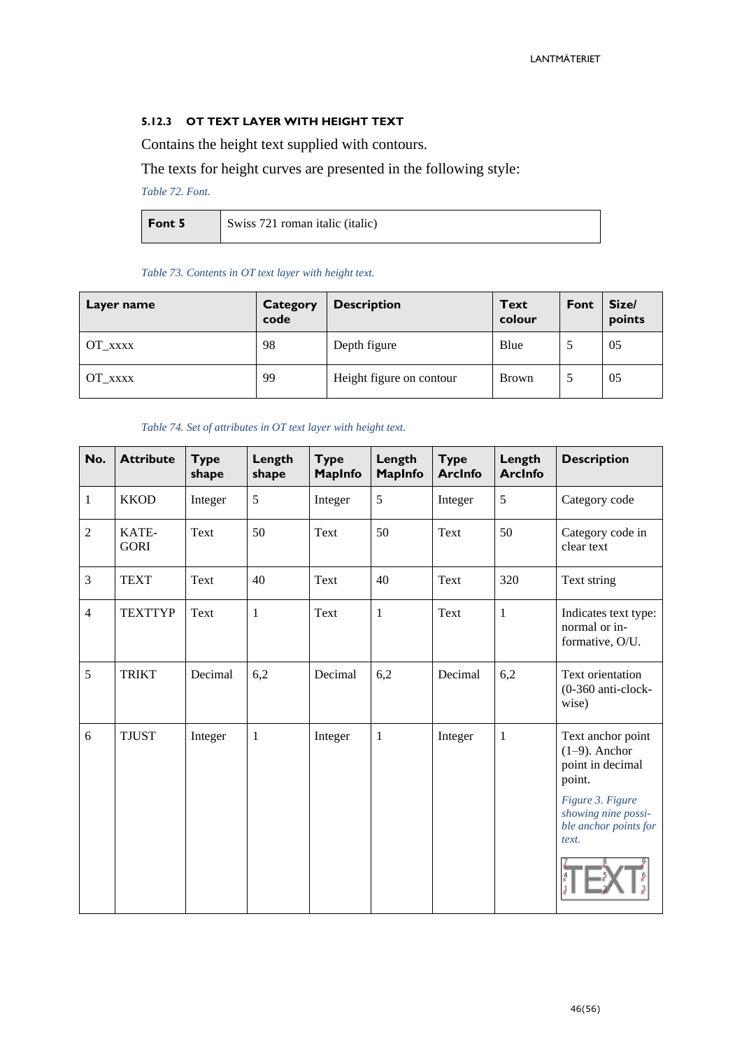#### <span id="page-45-0"></span>**5.12.3 OT TEXT LAYER WITH HEIGHT TEXT**

Contains the height text supplied with contours.

#### The texts for height curves are presented in the following style:

*Table 72. Font.*

| Font 5 | Swiss 721 roman italic (italic) |
|--------|---------------------------------|
|        |                                 |

#### *Table 73. Contents in OT text layer with height text.*

| Layer name     | Category<br>code | <b>Description</b>       | <b>Text</b><br>colour | Font | Size/<br>points |
|----------------|------------------|--------------------------|-----------------------|------|-----------------|
| OT XXXX        | 98               | Depth figure             | Blue                  |      | 05              |
| $OT_{\_}$ xxxx | 99               | Height figure on contour | <b>Brown</b>          |      | 05              |

#### *Table 74. Set of attributes in OT text layer with height text.*

| No.            | <b>Attribute</b>     | <b>Type</b><br>shape | Length<br>shape | <b>Type</b><br><b>MapInfo</b> | Length<br>MapInfo | <b>Type</b><br><b>ArcInfo</b> | Length<br><b>ArcInfo</b> | <b>Description</b>                                                                                                                               |
|----------------|----------------------|----------------------|-----------------|-------------------------------|-------------------|-------------------------------|--------------------------|--------------------------------------------------------------------------------------------------------------------------------------------------|
| $\mathbf{1}$   | <b>KKOD</b>          | Integer              | 5               | Integer                       | 5                 | Integer                       | 5                        | Category code                                                                                                                                    |
| $\overline{2}$ | KATE-<br><b>GORI</b> | Text                 | 50              | Text                          | 50                | Text                          | 50                       | Category code in<br>clear text                                                                                                                   |
| 3              | <b>TEXT</b>          | Text                 | 40              | Text                          | 40                | Text                          | 320                      | Text string                                                                                                                                      |
| $\overline{4}$ | <b>TEXTTYP</b>       | Text                 | $\mathbf{1}$    | Text                          | $\mathbf{1}$      | Text                          | $\mathbf{1}$             | Indicates text type:<br>normal or in-<br>formative, O/U.                                                                                         |
| 5              | <b>TRIKT</b>         | Decimal              | 6,2             | Decimal                       | 6,2               | Decimal                       | 6,2                      | Text orientation<br>(0-360 anti-clock-<br>wise)                                                                                                  |
| 6              | <b>TJUST</b>         | Integer              | $\mathbf{1}$    | Integer                       | $\mathbf{1}$      | Integer                       | 1                        | Text anchor point<br>$(1-9)$ . Anchor<br>point in decimal<br>point.<br>Figure 3. Figure<br>showing nine possi-<br>ble anchor points for<br>text. |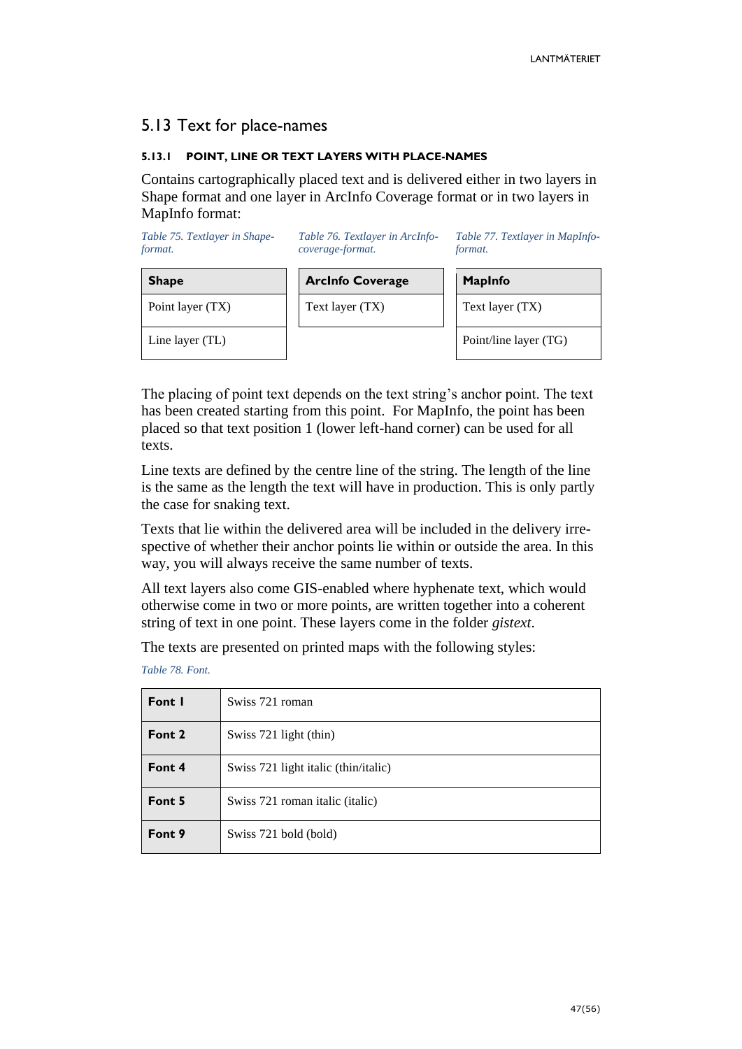### <span id="page-46-0"></span>5.13 Text for place-names

#### <span id="page-46-1"></span>**5.13.1 POINT, LINE OR TEXT LAYERS WITH PLACE-NAMES**

Contains cartographically placed text and is delivered either in two layers in Shape format and one layer in ArcInfo Coverage format or in two layers in MapInfo format:

| Table 75. Textlayer in Shape-<br>format. | Table 76. Textlayer in ArcInfo-<br>coverage-format. | Table 77. Textlayer in MapInfo-<br><i>format.</i> |  |  |
|------------------------------------------|-----------------------------------------------------|---------------------------------------------------|--|--|
| <b>Shape</b>                             | <b>Arcinfo Coverage</b>                             | <b>MapInfo</b>                                    |  |  |
| Point layer (TX)                         | Text layer (TX)                                     | Text layer (TX)                                   |  |  |
| Line layer (TL)                          |                                                     | Point/line layer (TG)                             |  |  |

The placing of point text depends on the text string's anchor point. The text has been created starting from this point. For MapInfo, the point has been placed so that text position 1 (lower left-hand corner) can be used for all texts.

Line texts are defined by the centre line of the string. The length of the line is the same as the length the text will have in production. This is only partly the case for snaking text.

Texts that lie within the delivered area will be included in the delivery irrespective of whether their anchor points lie within or outside the area. In this way, you will always receive the same number of texts.

All text layers also come GIS-enabled where hyphenate text, which would otherwise come in two or more points, are written together into a coherent string of text in one point. These layers come in the folder *gistext*.

The texts are presented on printed maps with the following styles:

*Table 78. Font.*

| Font I | Swiss 721 roman                      |
|--------|--------------------------------------|
| Font 2 | Swiss 721 light (thin)               |
| Font 4 | Swiss 721 light italic (thin/italic) |
| Font 5 | Swiss 721 roman italic (italic)      |
| Font 9 | Swiss 721 bold (bold)                |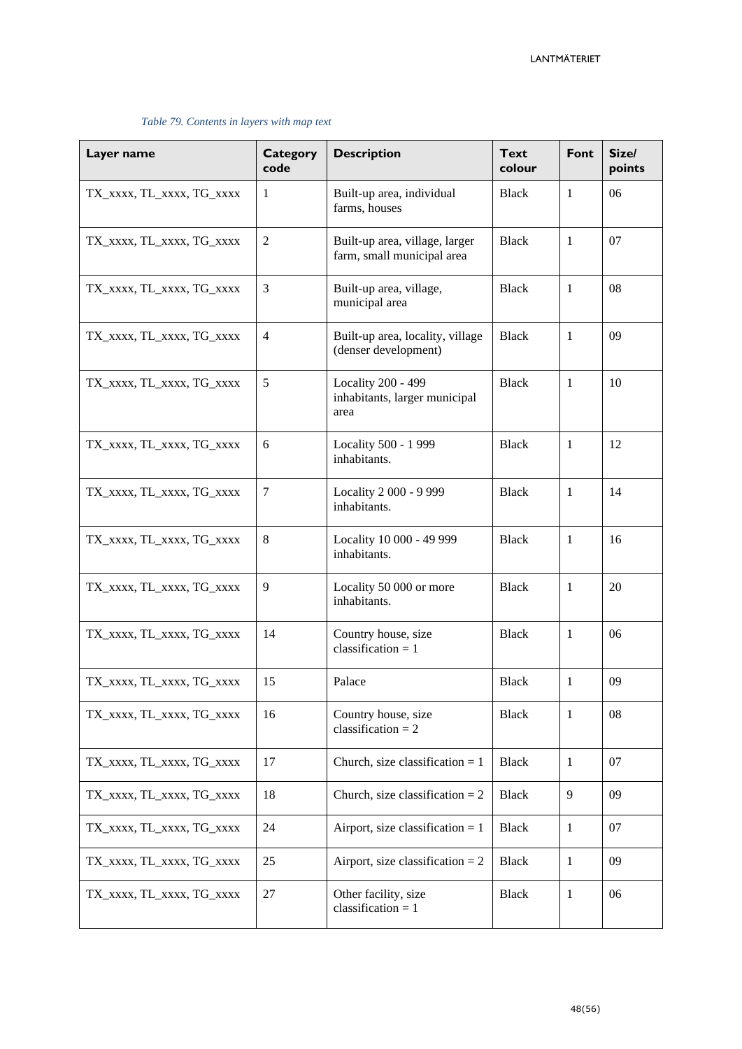| Layer name                | <b>Category</b><br>code | <b>Description</b>                                           | <b>Text</b><br>colour | Font         | Size/<br>points |
|---------------------------|-------------------------|--------------------------------------------------------------|-----------------------|--------------|-----------------|
| TX_XXXX, TL_XXXX, TG_XXXX | $\mathbf{1}$            | Built-up area, individual<br>farms, houses                   | <b>Black</b>          | 1            | 06              |
| TX_xxxx, TL_xxxx, TG_xxxx | $\mathfrak{2}$          | Built-up area, village, larger<br>farm, small municipal area | <b>Black</b>          | $\mathbf{1}$ | 07              |
| TX_XXXX, TL_XXXX, TG_XXXX | 3                       | Built-up area, village,<br>municipal area                    | <b>Black</b>          | $\mathbf{1}$ | 08              |
| TX_XXXX, TL_XXXX, TG_XXXX | $\overline{4}$          | Built-up area, locality, village<br>(denser development)     | <b>Black</b>          | $\mathbf{1}$ | 09              |
| TX_XXXX, TL_XXXX, TG_XXXX | 5                       | Locality 200 - 499<br>inhabitants, larger municipal<br>area  | <b>Black</b>          | $\mathbf{1}$ | 10              |
| TX_XXXX, TL_XXXX, TG_XXXX | 6                       | Locality 500 - 1 999<br>inhabitants.                         | <b>Black</b>          | $\mathbf{1}$ | 12              |
| TX_XXXX, TL_XXXX, TG_XXXX | $\tau$                  | Locality 2 000 - 9 999<br>inhabitants.                       | <b>Black</b>          | $\mathbf{1}$ | 14              |
| TX_XXXX, TL_XXXX, TG_XXXX | 8                       | Locality 10 000 - 49 999<br>inhabitants.                     | <b>Black</b>          | $\mathbf{1}$ | 16              |
| TX_XXXX, TL_XXXX, TG_XXXX | 9                       | Locality 50 000 or more<br>inhabitants.                      | <b>Black</b>          | $\mathbf{1}$ | 20              |
| TX_XXXX, TL_XXXX, TG_XXXX | 14                      | Country house, size<br>classification = $1$                  | <b>Black</b>          | 1            | 06              |
| TX_XXXX, TL_XXXX, TG_XXXX | 15                      | Palace                                                       | <b>Black</b>          | 1            | 09              |
| TX_XXXX, TL_XXXX, TG_XXXX | 16                      | Country house, size<br>classification = $2$                  | <b>Black</b>          | $\mathbf{1}$ | ${\bf 08}$      |
| TX_XXXX, TL_XXXX, TG_XXXX | 17                      | Church, size classification $= 1$                            | <b>Black</b>          | 1            | 07              |
| TX_XXXX, TL_XXXX, TG_XXXX | 18                      | Church, size classification = $2$                            | <b>Black</b>          | 9            | 09              |
| TX_XXXX, TL_XXXX, TG_XXXX | 24                      | Airport, size classification $= 1$                           | Black                 | $\mathbf{1}$ | 07              |
| TX_XXXX, TL_XXXX, TG_XXXX | 25                      | Airport, size classification = $2$                           | <b>Black</b>          | $\mathbf{1}$ | 09              |
| TX_XXXX, TL_XXXX, TG_XXXX | $27\,$                  | Other facility, size<br>classification = $1$                 | <b>Black</b>          | 1            | 06              |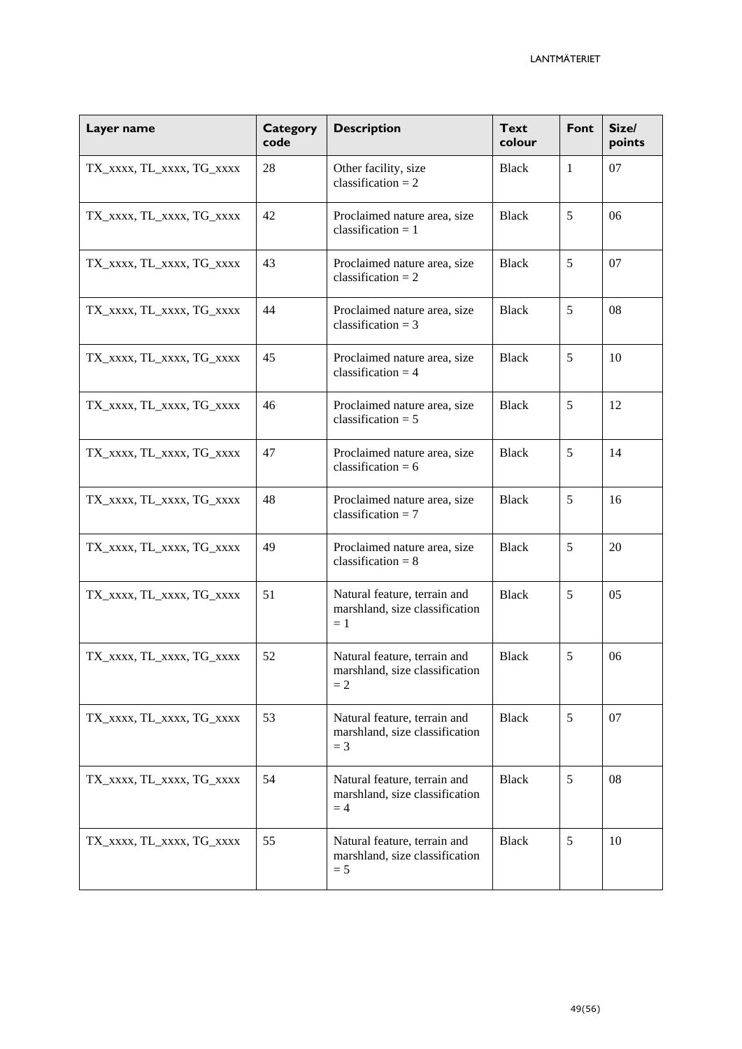| Layer name                | <b>Category</b><br>code | <b>Description</b>                                                      | <b>Text</b><br>colour | Font | Size/<br>points |
|---------------------------|-------------------------|-------------------------------------------------------------------------|-----------------------|------|-----------------|
| TX_XXXX, TL_XXXX, TG_XXXX | 28                      | Other facility, size<br>classification = $2$                            | Black                 | 1    | 07              |
| TX_XXXX, TL_XXXX, TG_XXXX | 42                      | Proclaimed nature area, size<br>classification $= 1$                    | <b>Black</b>          | 5    | 06              |
| TX_XXXX, TL_XXXX, TG_XXXX | 43                      | Proclaimed nature area, size<br>classification = $2$                    | <b>Black</b>          | 5    | 07              |
| TX_XXXX, TL_XXXX, TG_XXXX | 44                      | Proclaimed nature area, size<br>classification = $3$                    | <b>Black</b>          | 5    | 08              |
| TX_XXXX, TL_XXXX, TG_XXXX | 45                      | Proclaimed nature area, size<br>classification = $4$                    | <b>Black</b>          | 5    | 10              |
| TX_XXXX, TL_XXXX, TG_XXXX | 46                      | Proclaimed nature area, size<br>classification = $5$                    | <b>Black</b>          | 5    | 12              |
| TX_XXXX, TL_XXXX, TG_XXXX | 47                      | Proclaimed nature area, size<br>classification = $6$                    | <b>Black</b>          | 5    | 14              |
| TX_XXXX, TL_XXXX, TG_XXXX | 48                      | Proclaimed nature area, size<br>classification = $7$                    | <b>Black</b>          | 5    | 16              |
| TX_XXXX, TL_XXXX, TG_XXXX | 49                      | Proclaimed nature area, size<br>classification = $8$                    | <b>Black</b>          | 5    | 20              |
| TX_XXXX, TL_XXXX, TG_XXXX | 51                      | Natural feature, terrain and<br>marshland, size classification<br>$=1$  | <b>Black</b>          | 5    | 05              |
| TX_XXXX, TL_XXXX, TG_XXXX | 52                      | Natural feature, terrain and<br>marshland, size classification<br>$=2$  | <b>Black</b>          | 5    | 06              |
| TX_XXXX, TL_XXXX, TG_XXXX | 53                      | Natural feature, terrain and<br>marshland, size classification<br>$=$ 3 | <b>Black</b>          | 5    | 07              |
| TX_XXXX, TL_XXXX, TG_XXXX | 54                      | Natural feature, terrain and<br>marshland, size classification<br>$=4$  | <b>Black</b>          | 5    | 08              |
| TX_XXXX, TL_XXXX, TG_XXXX | 55                      | Natural feature, terrain and<br>marshland, size classification<br>$= 5$ | <b>Black</b>          | 5    | 10              |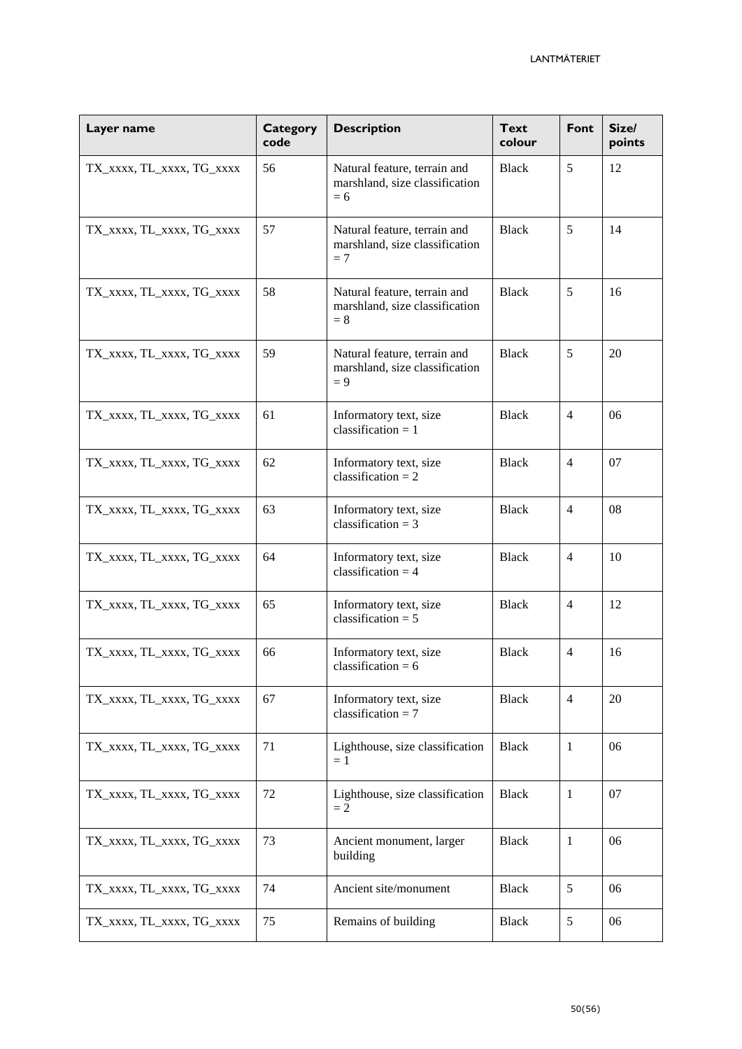| Layer name                | <b>Category</b><br>code | <b>Description</b>                                                      | <b>Text</b><br>colour | Font           | Size/<br>points |
|---------------------------|-------------------------|-------------------------------------------------------------------------|-----------------------|----------------|-----------------|
| TX_XXXX, TL_XXXX, TG_XXXX | 56                      | Natural feature, terrain and<br>marshland, size classification<br>$= 6$ | <b>Black</b>          | 5              | 12              |
| TX_XXXX, TL_XXXX, TG_XXXX | 57                      | Natural feature, terrain and<br>marshland, size classification<br>$= 7$ | Black                 | 5              | 14              |
| TX_XXXX, TL_XXXX, TG_XXXX | 58                      | Natural feature, terrain and<br>marshland, size classification<br>$= 8$ | <b>Black</b>          | 5              | 16              |
| TX_XXXX, TL_XXXX, TG_XXXX | 59                      | Natural feature, terrain and<br>marshland, size classification<br>$= 9$ | <b>Black</b>          | 5              | 20              |
| TX_XXXX, TL_XXXX, TG_XXXX | 61                      | Informatory text, size<br>classification = $1$                          | <b>Black</b>          | $\overline{4}$ | 06              |
| TX_XXXX, TL_XXXX, TG_XXXX | 62                      | Informatory text, size<br>classification = $2$                          | <b>Black</b>          | $\overline{4}$ | 07              |
| TX_XXXX, TL_XXXX, TG_XXXX | 63                      | Informatory text, size<br>classification = $3$                          | <b>Black</b>          | $\overline{4}$ | 08              |
| TX_XXXX, TL_XXXX, TG_XXXX | 64                      | Informatory text, size<br>classification = $4$                          | <b>Black</b>          | $\overline{4}$ | 10              |
| TX_xxxx, TL_xxxx, TG_xxxx | 65                      | Informatory text, size<br>classification = $5$                          | <b>Black</b>          | $\overline{4}$ | 12              |
| TX_XXXX, TL_XXXX, TG_XXXX | 66                      | Informatory text, size<br>classification = $6$                          | <b>Black</b>          | $\overline{4}$ | 16              |
| TX_XXXX, TL_XXXX, TG_XXXX | 67                      | Informatory text, size<br>classification = $7$                          | <b>Black</b>          | $\overline{4}$ | 20              |
| TX_XXXX, TL_XXXX, TG_XXXX | 71                      | Lighthouse, size classification<br>$=1$                                 | <b>Black</b>          | $\mathbf{1}$   | 06              |
| TX_XXXX, TL_XXXX, TG_XXXX | 72                      | Lighthouse, size classification<br>$=2$                                 | <b>Black</b>          | $\mathbf{1}$   | 07              |
| TX_XXXX, TL_XXXX, TG_XXXX | 73                      | Ancient monument, larger<br>building                                    | <b>Black</b>          | -1             | 06              |
| TX_XXXX, TL_XXXX, TG_XXXX | 74                      | Ancient site/monument                                                   | <b>Black</b>          | 5              | 06              |
| TX_XXXX, TL_XXXX, TG_XXXX | 75                      | Remains of building                                                     | Black                 | 5              | 06              |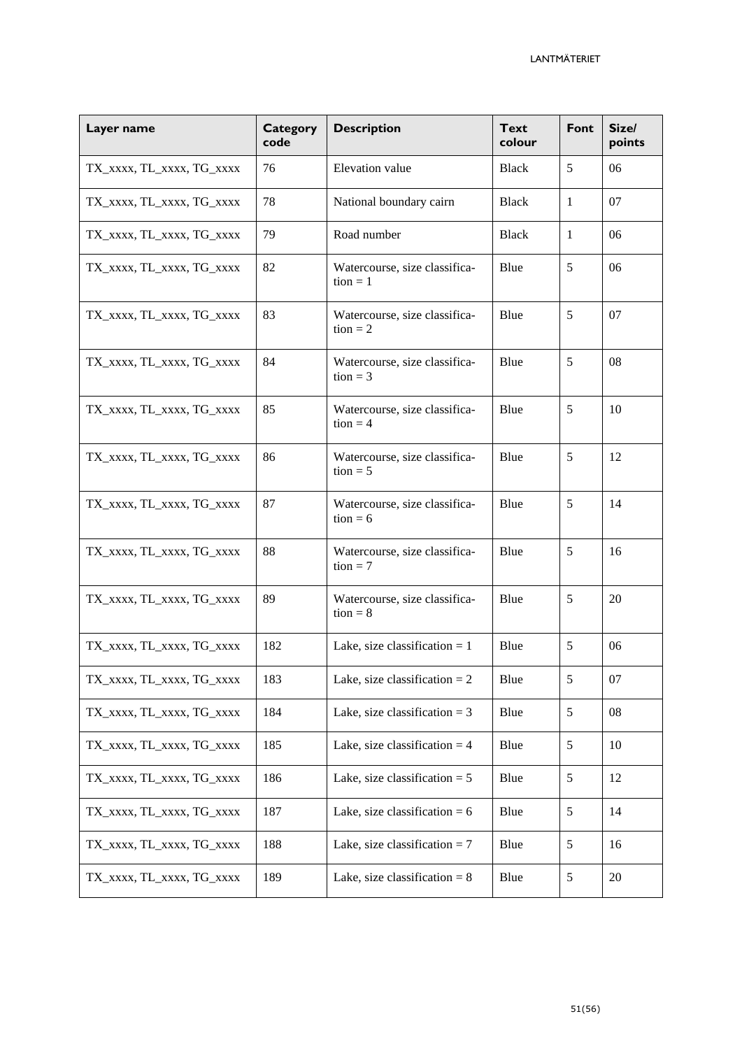| Layer name                | <b>Category</b><br>code | <b>Description</b>                          | <b>Text</b><br>colour | Font         | Size/<br>points |
|---------------------------|-------------------------|---------------------------------------------|-----------------------|--------------|-----------------|
| TX_XXXX, TL_XXXX, TG_XXXX | 76                      | Elevation value                             | Black                 | 5            | 06              |
| TX_XXXX, TL_XXXX, TG_XXXX | 78                      | National boundary cairn                     | <b>Black</b>          | $\mathbf{1}$ | 07              |
| TX_XXXX, TL_XXXX, TG_XXXX | 79                      | Road number                                 | <b>Black</b>          | $\mathbf{1}$ | 06              |
| TX_XXXX, TL_XXXX, TG_XXXX | 82                      | Watercourse, size classifica-<br>$tion = 1$ | Blue                  | 5            | 06              |
| TX_XXXX, TL_XXXX, TG_XXXX | 83                      | Watercourse, size classifica-<br>$tion = 2$ | Blue                  | 5            | 07              |
| TX_XXXX, TL_XXXX, TG_XXXX | 84                      | Watercourse, size classifica-<br>$tion = 3$ | Blue                  | 5            | 08              |
| TX_XXXX, TL_XXXX, TG_XXXX | 85                      | Watercourse, size classifica-<br>$tion = 4$ | Blue                  | 5            | 10              |
| TX_XXXX, TL_XXXX, TG_XXXX | 86                      | Watercourse, size classifica-<br>$tion = 5$ | Blue                  | 5            | 12              |
| TX_XXXX, TL_XXXX, TG_XXXX | 87                      | Watercourse, size classifica-<br>$tion = 6$ | Blue                  | 5            | 14              |
| TX_XXXX, TL_XXXX, TG_XXXX | 88                      | Watercourse, size classifica-<br>$tion = 7$ | Blue                  | 5            | 16              |
| TX_XXXX, TL_XXXX, TG_XXXX | 89                      | Watercourse, size classifica-<br>$tion = 8$ | Blue                  | 5            | 20              |
| TX_XXXX, TL_XXXX, TG_XXXX | 182                     | Lake, size classification $= 1$             | Blue                  | 5            | 06              |
| TX_xxxx, TL_xxxx, TG_xxxx | 183                     | Lake, size classification $= 2$             | Blue                  | 5            | 07              |
| TX_XXXX, TL_XXXX, TG_XXXX | 184                     | Lake, size classification = $3$             | Blue                  | $5\,$        | 08              |
| TX_XXXX, TL_XXXX, TG_XXXX | 185                     | Lake, size classification = $4$             | Blue                  | 5            | 10              |
| TX_XXXX, TL_XXXX, TG_XXXX | 186                     | Lake, size classification $= 5$             | Blue                  | 5            | 12              |
| TX_XXXX, TL_XXXX, TG_XXXX | 187                     | Lake, size classification = $6$             | Blue                  | 5            | 14              |
| TX_xxxx, TL_xxxx, TG_xxxx | 188                     | Lake, size classification $= 7$             | Blue                  | 5            | 16              |
| TX_XXXX, TL_XXXX, TG_XXXX | 189                     | Lake, size classification = $8$             | Blue                  | 5            | 20              |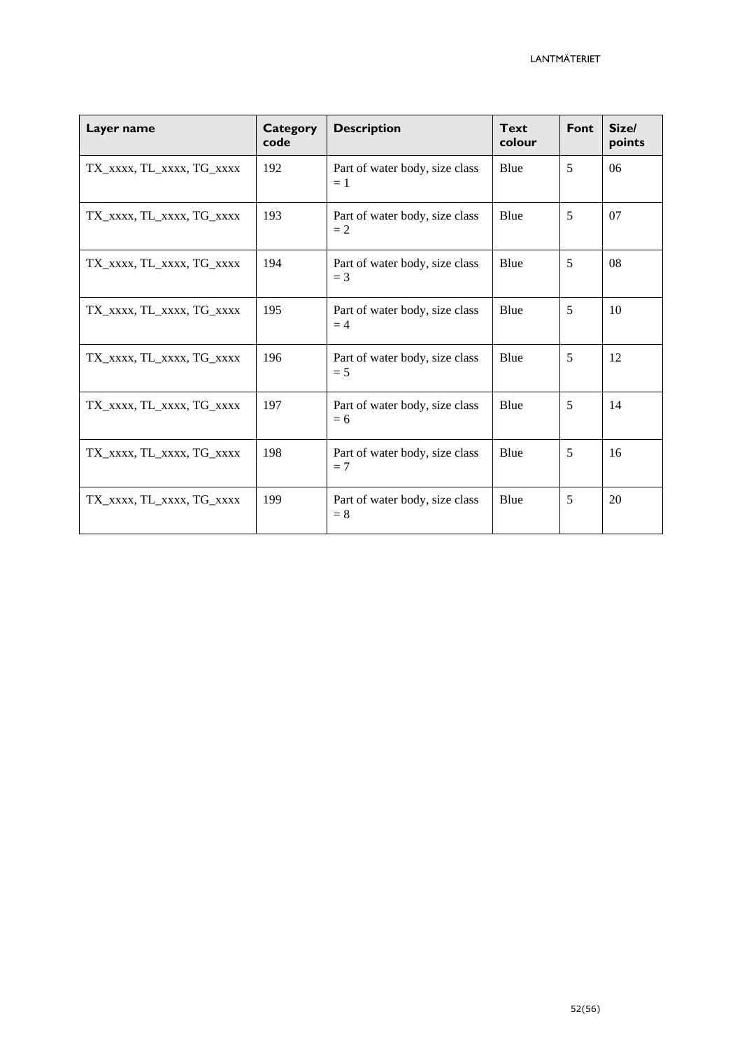| Layer name                | <b>Category</b><br>code | <b>Description</b>                      | <b>Text</b><br>colour | Font | Size/<br>points |
|---------------------------|-------------------------|-----------------------------------------|-----------------------|------|-----------------|
| TX_xxxx, TL_xxxx, TG_xxxx | 192                     | Part of water body, size class<br>$=1$  | Blue                  | 5    | 06              |
| TX_XXXX, TL_XXXX, TG_XXXX | 193                     | Part of water body, size class<br>$=2$  | Blue                  | 5    | 07              |
| TX_xxxx, TL_xxxx, TG_xxxx | 194                     | Part of water body, size class<br>$=$ 3 | Blue                  | 5    | 08              |
| TX_xxxx, TL_xxxx, TG_xxxx | 195                     | Part of water body, size class<br>$=4$  | Blue                  | 5    | 10              |
| TX_XXXX, TL_XXXX, TG_XXXX | 196                     | Part of water body, size class<br>$= 5$ | Blue                  | 5    | 12              |
| TX_XXXX, TL_XXXX, TG_XXXX | 197                     | Part of water body, size class<br>$= 6$ | Blue                  | 5    | 14              |
| TX_xxxx, TL_xxxx, TG_xxxx | 198                     | Part of water body, size class<br>$=7$  | Blue                  | 5    | 16              |
| TX_xxxx, TL_xxxx, TG_xxxx | 199                     | Part of water body, size class<br>$= 8$ | Blue                  | 5    | 20              |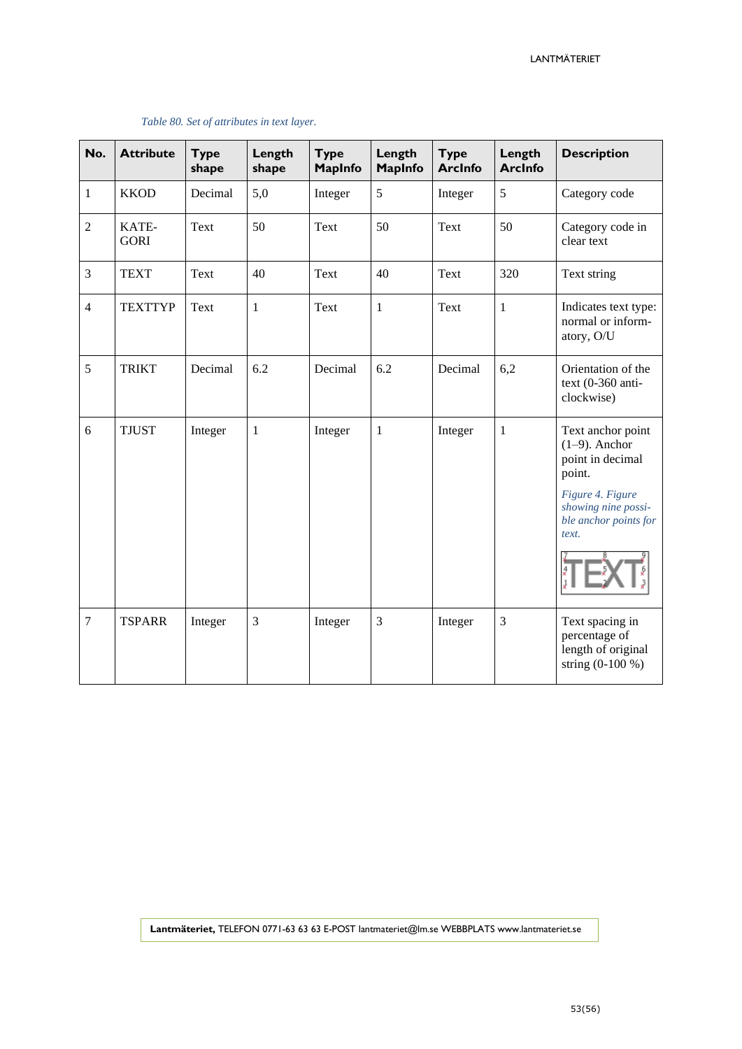| No.            | <b>Attribute</b>     | <b>Type</b><br>shape | Length<br>shape | <b>Type</b><br><b>MapInfo</b> | Length<br><b>MapInfo</b> | <b>Type</b><br><b>ArcInfo</b> | Length<br><b>ArcInfo</b> | <b>Description</b>                                                                                                                               |
|----------------|----------------------|----------------------|-----------------|-------------------------------|--------------------------|-------------------------------|--------------------------|--------------------------------------------------------------------------------------------------------------------------------------------------|
| 1              | <b>KKOD</b>          | Decimal              | 5,0             | Integer                       | 5                        | Integer                       | 5                        | Category code                                                                                                                                    |
| $\overline{2}$ | KATE-<br><b>GORI</b> | Text                 | 50              | Text                          | 50                       | Text                          | 50                       | Category code in<br>clear text                                                                                                                   |
| 3              | <b>TEXT</b>          | Text                 | 40              | Text                          | 40                       | Text                          | 320                      | Text string                                                                                                                                      |
| $\overline{4}$ | <b>TEXTTYP</b>       | Text                 | $\mathbf{1}$    | Text                          | $\mathbf{1}$             | Text                          | $\mathbf{1}$             | Indicates text type:<br>normal or inform-<br>atory, O/U                                                                                          |
| 5              | <b>TRIKT</b>         | Decimal              | 6.2             | Decimal                       | 6.2                      | Decimal                       | 6,2                      | Orientation of the<br>text $(0-360 \text{ anti}$<br>clockwise)                                                                                   |
| 6              | <b>TJUST</b>         | Integer              | $\mathbf{1}$    | Integer                       | $\mathbf{1}$             | Integer                       | $\mathbf{1}$             | Text anchor point<br>$(1-9)$ . Anchor<br>point in decimal<br>point.<br>Figure 4. Figure<br>showing nine possi-<br>ble anchor points for<br>text. |
| $\overline{7}$ | <b>TSPARR</b>        | Integer              | 3               | Integer                       | 3                        | Integer                       | 3                        | Text spacing in<br>percentage of<br>length of original<br>string $(0-100\%)$                                                                     |

#### *Table 80. Set of attributes in text layer.*

**Lantmäteriet,** TELEFON 0771-63 63 63 E-POST lantmateriet@lm.se WEBBPLATS www.lantmateriet.se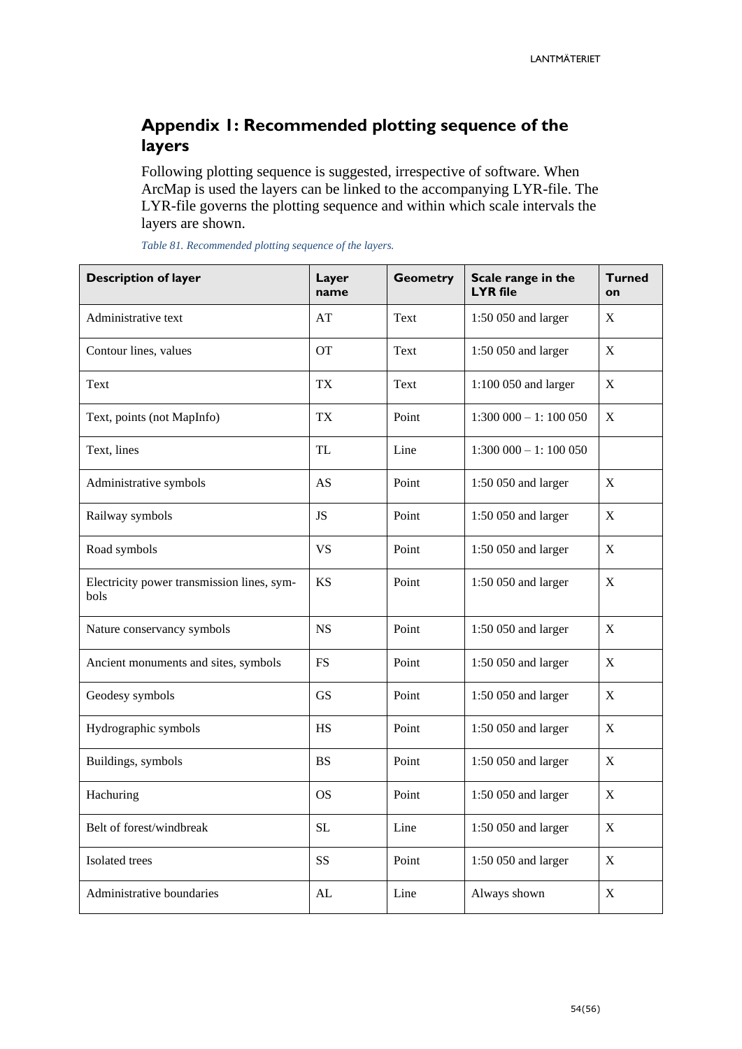# <span id="page-53-0"></span>**Appendix 1: Recommended plotting sequence of the layers**

Following plotting sequence is suggested, irrespective of software. When ArcMap is used the layers can be linked to the accompanying LYR-file. The LYR-file governs the plotting sequence and within which scale intervals the layers are shown.

| <b>Description of layer</b>                        | Layer<br>name | <b>Geometry</b> | Scale range in the<br><b>LYR</b> file | <b>Turned</b><br>on |
|----------------------------------------------------|---------------|-----------------|---------------------------------------|---------------------|
| Administrative text                                | AT            | Text            | 1:50 050 and larger                   | X                   |
| Contour lines, values                              | <b>OT</b>     | Text            | 1:50 050 and larger                   | $\mathbf X$         |
| Text                                               | <b>TX</b>     | Text            | 1:100 050 and larger                  | $\mathbf X$         |
| Text, points (not MapInfo)                         | <b>TX</b>     | Point           | $1:300000 - 1:100050$                 | $\mathbf X$         |
| Text, lines                                        | <b>TL</b>     | Line            | $1:300\,000 - 1:100\,050$             |                     |
| Administrative symbols                             | AS            | Point           | 1:50 050 and larger                   | X                   |
| Railway symbols                                    | <b>JS</b>     | Point           | 1:50 050 and larger                   | X                   |
| Road symbols                                       | <b>VS</b>     | Point           | 1:50 050 and larger                   | X                   |
| Electricity power transmission lines, sym-<br>bols | <b>KS</b>     | Point           | 1:50 050 and larger                   | $\mathbf X$         |
| Nature conservancy symbols                         | <b>NS</b>     | Point           | 1:50 050 and larger                   | X                   |
| Ancient monuments and sites, symbols               | <b>FS</b>     | Point           | 1:50 050 and larger                   | X                   |
| Geodesy symbols                                    | <b>GS</b>     | Point           | 1:50 050 and larger                   | $\mathbf X$         |
| Hydrographic symbols                               | <b>HS</b>     | Point           | 1:50 050 and larger                   | $\mathbf X$         |
| Buildings, symbols                                 | <b>BS</b>     | Point           | 1:50 050 and larger                   | X                   |
| Hachuring                                          | <b>OS</b>     | Point           | 1:50 050 and larger                   | X                   |
| Belt of forest/windbreak                           | <b>SL</b>     | Line            | 1:50 050 and larger                   | $\mathbf X$         |
| Isolated trees                                     | <b>SS</b>     | Point           | 1:50 050 and larger                   | X                   |
| Administrative boundaries                          | AL            | Line            | Always shown                          | X                   |

*Table 81. Recommended plotting sequence of the layers.*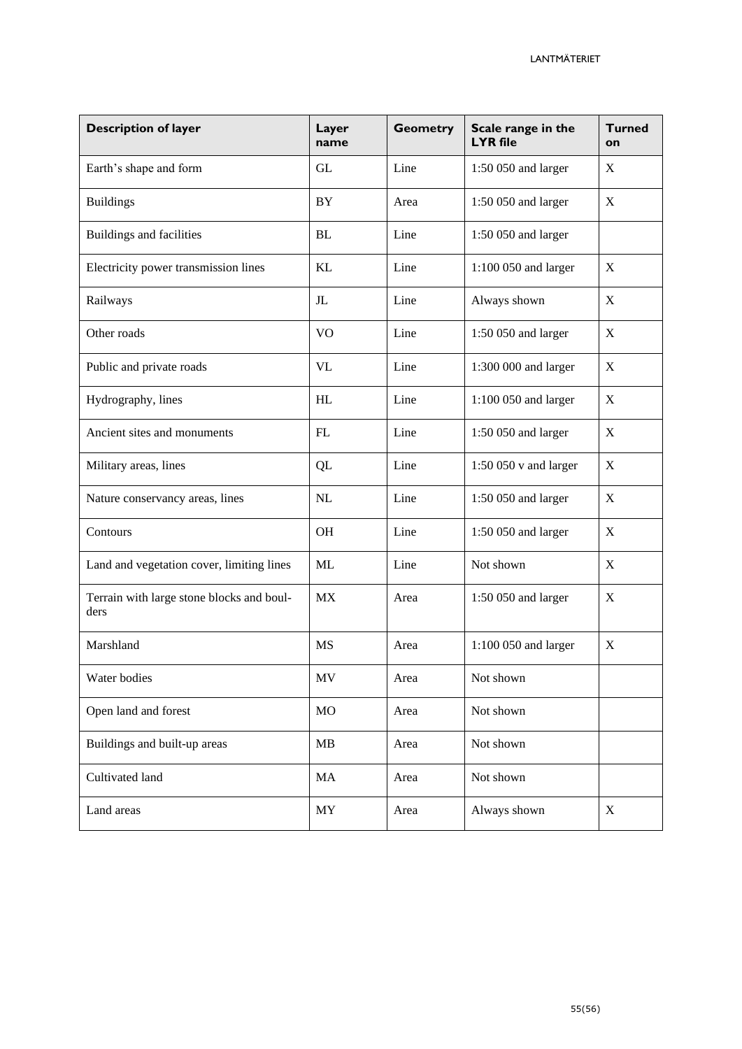| <b>Description of layer</b>                       | Layer<br>name            | <b>Geometry</b> | Scale range in the<br><b>LYR</b> file | <b>Turned</b><br>on |
|---------------------------------------------------|--------------------------|-----------------|---------------------------------------|---------------------|
| Earth's shape and form                            | <b>GL</b>                | Line            | 1:50 050 and larger                   | $\boldsymbol{X}$    |
| <b>Buildings</b>                                  | BY                       | Area            | 1:50 050 and larger                   | X                   |
| Buildings and facilities                          | <b>BL</b>                | Line            | 1:50 050 and larger                   |                     |
| Electricity power transmission lines              | KL                       | Line            | 1:100 050 and larger                  | X                   |
| Railways                                          | J <sub>L</sub>           | Line            | Always shown                          | $\mathbf X$         |
| Other roads                                       | V <sub>O</sub>           | Line            | 1:50 050 and larger                   | X                   |
| Public and private roads                          | VL                       | Line            | 1:300 000 and larger                  | $\mathbf X$         |
| Hydrography, lines                                | HL                       | Line            | 1:100 050 and larger                  | X                   |
| Ancient sites and monuments                       | FL                       | Line            | 1:50 050 and larger                   | X                   |
| Military areas, lines                             | QL                       | Line            | $1:50050$ v and larger                | $\mathbf X$         |
| Nature conservancy areas, lines                   | NL                       | Line            | 1:50 050 and larger                   | $\mathbf X$         |
| Contours                                          | OH                       | Line            | 1:50 050 and larger                   | X                   |
| Land and vegetation cover, limiting lines         | <b>ML</b>                | Line            | Not shown                             | X                   |
| Terrain with large stone blocks and boul-<br>ders | <b>MX</b>                | Area            | 1:50 050 and larger                   | X                   |
| Marshland                                         | <b>MS</b>                | Area            | 1:100 050 and larger                  | $\mathbf X$         |
| Water bodies                                      | MV                       | Area            | Not shown                             |                     |
| Open land and forest                              | <b>MO</b>                | Area            | Not shown                             |                     |
| Buildings and built-up areas                      | MB                       | Area            | Not shown                             |                     |
| Cultivated land                                   | MA                       | Area            | Not shown                             |                     |
| Land areas                                        | $\ensuremath{\text{MY}}$ | Area            | Always shown                          | $\mathbf X$         |